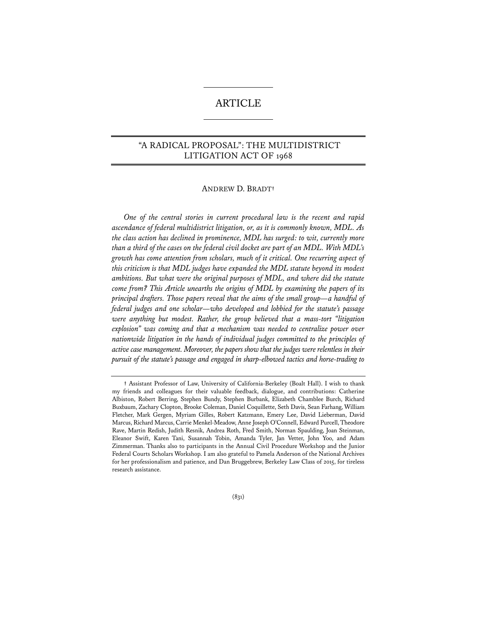# ARTICLE

# "A RADICAL PROPOSAL": THE MULTIDISTRICT LITIGATION ACT OF 1968

# ANDREW D. BRADT**†**

*One of the central stories in current procedural law is the recent and rapid ascendance of federal multidistrict litigation, or, as it is commonly known, MDL. As the class action has declined in prominence, MDL has surged: to wit, currently more than a third of the cases on the federal civil docket are part of an MDL. With MDL's growth has come attention from scholars, much of it critical. One recurring aspect of this criticism is that MDL judges have expanded the MDL statute beyond its modest ambitions. But what were the original purposes of MDL, and where did the statute come from? This Article unearths the origins of MDL by examining the papers of its principal drafters. Those papers reveal that the aims of the small group—a handful of federal judges and one scholar—who developed and lobbied for the statute's passage were anything but modest. Rather, the group believed that a mass-tort "litigation explosion" was coming and that a mechanism was needed to centralize power over nationwide litigation in the hands of individual judges committed to the principles of active case management. Moreover, the papers show that the judges were relentless in their pursuit of the statute's passage and engaged in sharp-elbowed tactics and horse-trading to* 

(831)

**<sup>†</sup>** Assistant Professor of Law, University of California-Berkeley (Boalt Hall). I wish to thank my friends and colleagues for their valuable feedback, dialogue, and contributions: Catherine Albiston, Robert Berring, Stephen Bundy, Stephen Burbank, Elizabeth Chamblee Burch, Richard Buxbaum, Zachary Clopton, Brooke Coleman, Daniel Coquillette, Seth Davis, Sean Farhang, William Fletcher, Mark Gergen, Myriam Gilles, Robert Katzmann, Emery Lee, David Lieberman, David Marcus, Richard Marcus, Carrie Menkel-Meadow, Anne Joseph O'Connell, Edward Purcell, Theodore Rave, Martin Redish, Judith Resnik, Andrea Roth, Fred Smith, Norman Spaulding, Joan Steinman, Eleanor Swift, Karen Tani, Susannah Tobin, Amanda Tyler, Jan Vetter, John Yoo, and Adam Zimmerman. Thanks also to participants in the Annual Civil Procedure Workshop and the Junior Federal Courts Scholars Workshop. I am also grateful to Pamela Anderson of the National Archives for her professionalism and patience, and Dan Bruggebrew, Berkeley Law Class of 2015, for tireless research assistance.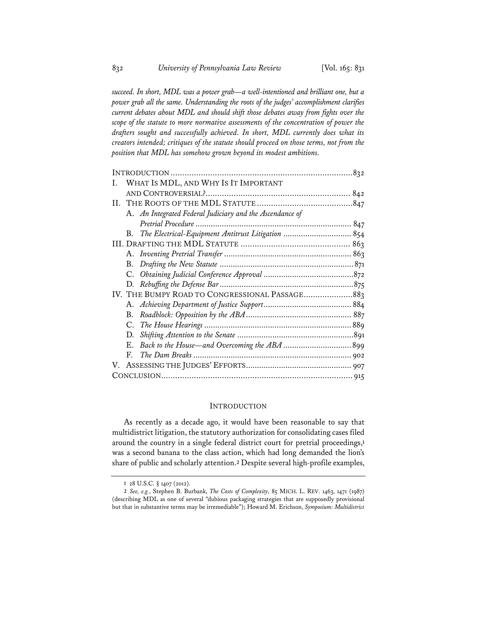*succeed. In short, MDL was a power grab—a well-intentioned and brilliant one, but a power grab all the same. Understanding the roots of the judges' accomplishment clarifies current debates about MDL and should shift those debates away from fights over the scope of the statute to more normative assessments of the concentration of power the drafters sought and successfully achieved. In short, MDL currently does what its creators intended; critiques of the statute should proceed on those terms, not from the position that MDL has somehow grown beyond its modest ambitions.* 

| WHAT IS MDL, AND WHY IS IT IMPORTANT<br>Ι.<br>A. An Integrated Federal Judiciary and the Ascendance of<br>В.<br>IV. THE BUMPY ROAD TO CONGRESSIONAL PASSAGE883<br>В.<br>C.<br>D.<br>E.<br>F.<br>V. |  |  |
|----------------------------------------------------------------------------------------------------------------------------------------------------------------------------------------------------|--|--|
|                                                                                                                                                                                                    |  |  |
|                                                                                                                                                                                                    |  |  |
|                                                                                                                                                                                                    |  |  |
|                                                                                                                                                                                                    |  |  |
|                                                                                                                                                                                                    |  |  |
|                                                                                                                                                                                                    |  |  |
|                                                                                                                                                                                                    |  |  |
|                                                                                                                                                                                                    |  |  |
|                                                                                                                                                                                                    |  |  |
|                                                                                                                                                                                                    |  |  |
|                                                                                                                                                                                                    |  |  |
|                                                                                                                                                                                                    |  |  |
|                                                                                                                                                                                                    |  |  |
|                                                                                                                                                                                                    |  |  |
|                                                                                                                                                                                                    |  |  |
|                                                                                                                                                                                                    |  |  |
|                                                                                                                                                                                                    |  |  |
|                                                                                                                                                                                                    |  |  |
|                                                                                                                                                                                                    |  |  |
|                                                                                                                                                                                                    |  |  |

## INTRODUCTION

As recently as a decade ago, it would have been reasonable to say that multidistrict litigation, the statutory authorization for consolidating cases filed around the country in a single federal district court for pretrial proceedings,**<sup>1</sup>** was a second banana to the class action, which had long demanded the lion's share of public and scholarly attention.**<sup>2</sup>** Despite several high-profile examples,

**<sup>1</sup>** 28 U.S.C. § 1407 (2012).

**<sup>2</sup>** *See, e.g.*, Stephen B. Burbank, *The Costs of Complexity*, 85 MICH. L. REV. 1463, 1471 (1987) (describing MDL as one of several "dubious packaging strategies that are supposedly provisional but that in substantive terms may be irremediable"); Howard M. Erichson, *Symposium: Multidistrict*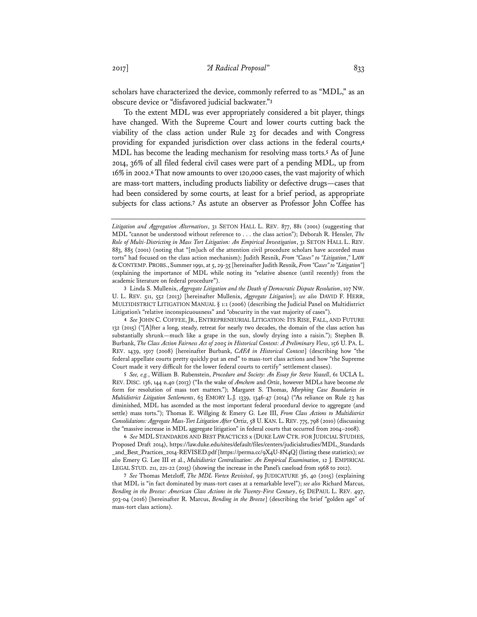scholars have characterized the device, commonly referred to as "MDL," as an obscure device or "disfavored judicial backwater."**<sup>3</sup>**

To the extent MDL was ever appropriately considered a bit player, things have changed. With the Supreme Court and lower courts cutting back the viability of the class action under Rule 23 for decades and with Congress providing for expanded jurisdiction over class actions in the federal courts,**<sup>4</sup>** MDL has become the leading mechanism for resolving mass torts.**<sup>5</sup>** As of June 2014, 36% of all filed federal civil cases were part of a pending MDL, up from 16% in 2002.**<sup>6</sup>** That now amounts to over 120,000 cases, the vast majority of which are mass-tort matters, including products liability or defective drugs—cases that had been considered by some courts, at least for a brief period, as appropriate subjects for class actions.**<sup>7</sup>** As astute an observer as Professor John Coffee has

**4** *See* JOHN C. COFFEE, JR., ENTREPRENEURIAL LITIGATION: ITS RISE, FALL, AND FUTURE 132 (2015) ("[A]fter a long, steady, retreat for nearly two decades, the domain of the class action has substantially shrunk—much like a grape in the sun, slowly drying into a raisin."); Stephen B. Burbank, *The Class Action Fairness Act of 2005 in Historical Context: A Preliminary View*, 156 U. PA. L. REV. 1439, 1507 (2008) [hereinafter Burbank, *CAFA in Historical Context*] (describing how "the federal appellate courts pretty quickly put an end" to mass-tort class actions and how "the Supreme Court made it very difficult for the lower federal courts to certify" settlement classes).

**5** *See, e.g.*, William B. Rubenstein, *Procedure and Society: An Essay for Steve Yeazell*, 61 UCLA L. REV. DISC. 136, 144 n.40 (2013) ("In the wake of *Amchem* and *Ortiz*, however MDLs have become *the*  form for resolution of mass tort matters."); Margaret S. Thomas, *Morphing Case Boundaries in Multidistrict Litigation Settlements*, 63 EMORY L.J. 1339, 1346-47 (2014) ("As reliance on Rule 23 has diminished, MDL has ascended as the most important federal procedural device to aggregate (and settle) mass torts."); Thomas E. Willging & Emery G. Lee III, *From Class Actions to Multidistrict Consolidations: Aggregate Mass-Tort Litigation After* Ortiz, 58 U. KAN. L. REV. 775, 798 (2010) (discussing the "massive increase in MDL aggregate litigation" in federal courts that occurred from 2004–2008).

**6** *See* MDL STANDARDS AND BEST PRACTICES x (DUKE LAW CTR. FOR JUDICIAL STUDIES, Proposed Draft 2014), https://law.duke.edu/sites/default/files/centers/judicialstudies/MDL\_Standards \_and\_Best\_Practices\_2014-REVISED.pdf [https://perma.cc/9X4U-8N4Q] (listing these statistics); *see also* Emery G. Lee III et al., *Multidistrict Centralization: An Empirical Examination*, 12 J. EMPIRICAL LEGAL STUD. 211, 221-22 (2015) (showing the increase in the Panel's caseload from 1968 to 2012).

**7** *See* Thomas Metzloff, *The MDL Vortex Revisited*, 99 JUDICATURE 36, 40 (2015) (explaining that MDL is "in fact dominated by mass-tort cases at a remarkable level"); *see also* Richard Marcus, *Bending in the Breeze: American Class Actions in the Twenty-First Century*, 65 DEPAUL L. REV. 497, 503-04 (2016) [hereinafter R. Marcus, *Bending in the Breeze*] (describing the brief "golden age" of mass-tort class actions).

*Litigation and Aggregation Alternatives*, 31 SETON HALL L. REV. 877, 881 (2001) (suggesting that MDL "cannot be understood without reference to . . . the class action"); Deborah R. Hensler, *The Role of Multi-Districting in Mass Tort Litigation: An Empirical Investigation*, 31 SETON HALL L. REV. 883, 885 (2001) (noting that "[m]uch of the attention civil procedure scholars have accorded mass torts" had focused on the class action mechanism); Judith Resnik, *From "Cases" to "Litigation*,*"* LAW &CONTEMP. PROBS., Summer 1991, at 5, 29-35 [hereinafter Judith Resnik, *From "Cases" to "Litigation"*] (explaining the importance of MDL while noting its "relative absence (until recently) from the academic literature on federal procedure").

**<sup>3</sup>** Linda S. Mullenix, *Aggregate Litigation and the Death of Democratic Dispute Resolution*, 107 NW. U. L. REV. 511, 552 (2013) [hereinafter Mullenix, *Aggregate Litigation*]; *see also* DAVID F. HERR, MULTIDISTRICT LITIGATION MANUAL § 1:1 (2006) (describing the Judicial Panel on Multidistrict Litigation's "relative inconspicuousness" and "obscurity in the vast majority of cases").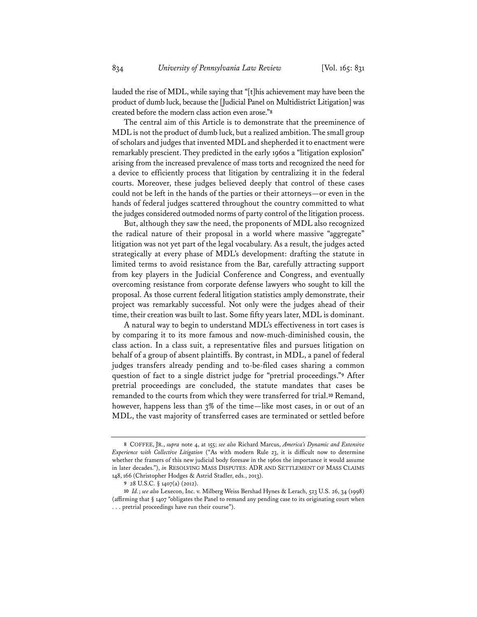lauded the rise of MDL, while saying that "[t]his achievement may have been the product of dumb luck, because the [Judicial Panel on Multidistrict Litigation] was created before the modern class action even arose."**<sup>8</sup>**

The central aim of this Article is to demonstrate that the preeminence of MDL is not the product of dumb luck, but a realized ambition. The small group of scholars and judges that invented MDL and shepherded it to enactment were remarkably prescient. They predicted in the early 1960s a "litigation explosion" arising from the increased prevalence of mass torts and recognized the need for a device to efficiently process that litigation by centralizing it in the federal courts. Moreover, these judges believed deeply that control of these cases could not be left in the hands of the parties or their attorneys—or even in the hands of federal judges scattered throughout the country committed to what the judges considered outmoded norms of party control of the litigation process.

But, although they saw the need, the proponents of MDL also recognized the radical nature of their proposal in a world where massive "aggregate" litigation was not yet part of the legal vocabulary. As a result, the judges acted strategically at every phase of MDL's development: drafting the statute in limited terms to avoid resistance from the Bar, carefully attracting support from key players in the Judicial Conference and Congress, and eventually overcoming resistance from corporate defense lawyers who sought to kill the proposal. As those current federal litigation statistics amply demonstrate, their project was remarkably successful. Not only were the judges ahead of their time, their creation was built to last. Some fifty years later, MDL is dominant.

A natural way to begin to understand MDL's effectiveness in tort cases is by comparing it to its more famous and now-much-diminished cousin, the class action. In a class suit, a representative files and pursues litigation on behalf of a group of absent plaintiffs. By contrast, in MDL, a panel of federal judges transfers already pending and to-be-filed cases sharing a common question of fact to a single district judge for "pretrial proceedings."**<sup>9</sup>** After pretrial proceedings are concluded, the statute mandates that cases be remanded to the courts from which they were transferred for trial.**<sup>10</sup>** Remand, however, happens less than 3% of the time—like most cases, in or out of an MDL, the vast majority of transferred cases are terminated or settled before

**<sup>8</sup>** COFFEE, JR., *supra* note 4, at 155; *see also* Richard Marcus, *America's Dynamic and Extensive Experience with Collective Litigation* ("As with modern Rule 23, it is difficult now to determine whether the framers of this new judicial body foresaw in the 1960s the importance it would assume in later decades."), *in* RESOLVING MASS DISPUTES: ADR AND SETTLEMENT OF MASS CLAIMS 148, 166 (Christopher Hodges & Astrid Stadler, eds., 2013).

**<sup>9</sup>** 28 U.S.C. § 1407(a) (2012).

**<sup>10</sup>** *Id.*; *see also* Lexecon, Inc. v. Milberg Weiss Bershad Hynes & Lerach, 523 U.S. 26, 34 (1998) (affirming that § 1407 "obligates the Panel to remand any pending case to its originating court when . . . pretrial proceedings have run their course").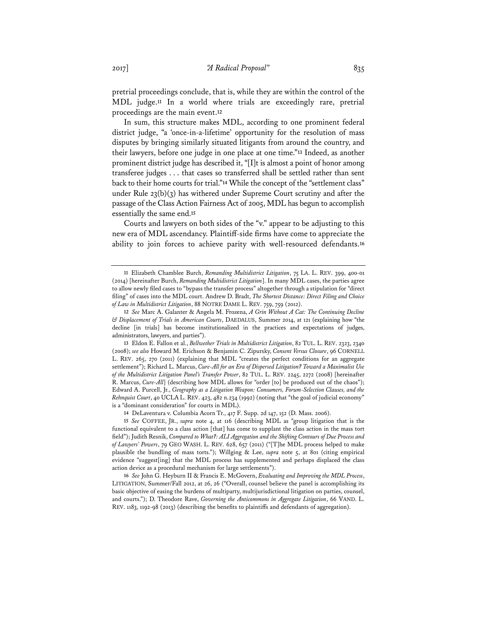pretrial proceedings conclude, that is, while they are within the control of the MDL judge.**<sup>11</sup>** In a world where trials are exceedingly rare, pretrial proceedings are the main event.**<sup>12</sup>**

In sum, this structure makes MDL, according to one prominent federal district judge, "a 'once-in-a-lifetime' opportunity for the resolution of mass disputes by bringing similarly situated litigants from around the country, and their lawyers, before one judge in one place at one time."**<sup>13</sup>** Indeed, as another prominent district judge has described it, "[I]t is almost a point of honor among transferee judges . . . that cases so transferred shall be settled rather than sent back to their home courts for trial."**<sup>14</sup>** While the concept of the "settlement class" under Rule 23(b)(3) has withered under Supreme Court scrutiny and after the passage of the Class Action Fairness Act of 2005, MDL has begun to accomplish essentially the same end.**<sup>15</sup>**

Courts and lawyers on both sides of the "v." appear to be adjusting to this new era of MDL ascendancy. Plaintiff-side firms have come to appreciate the ability to join forces to achieve parity with well-resourced defendants.**<sup>16</sup>**

**<sup>11</sup>** Elizabeth Chamblee Burch, *Remanding Multidistrict Litigation*, 75 LA. L. REV. 399, 400-01 (2014) [hereinafter Burch, *Remanding Multidistrict Litigation*]. In many MDL cases, the parties agree to allow newly filed cases to "bypass the transfer process" altogether through a stipulation for "direct filing" of cases into the MDL court. Andrew D. Bradt, *The Shortest Distance: Direct Filing and Choice of Law in Multidistrict Litigation*, 88 NOTRE DAME L. REV. 759, 759 (2012).

**<sup>12</sup>** *See* Marc A. Galanter & Angela M. Frozena, *A Grin Without A Cat: The Continuing Decline & Displacement of Trials in American Courts*, DAEDALUS, Summer 2014, at 121 (explaining how "the decline [in trials] has become institutionalized in the practices and expectations of judges, administrators, lawyers, and parties").

**<sup>13</sup>** Eldon E. Fallon et al., *Bellwether Trials in Multidistrict Litigation*, 82 TUL. L. REV. 2323, 2340 (2008); *see also* Howard M. Erichson & Benjamin C. Zipursky, *Consent Versus Closure*, 96 CORNELL L. REV. 265, 270 (2011) (explaining that MDL "creates the perfect conditions for an aggregate settlement"); Richard L. Marcus, *Cure-All for an Era of Dispersed Litigation? Toward a Maximalist Use of the Multidistrict Litigation Panel's Transfer Power*, 82 TUL. L. REV. 2245, 2272 (2008) [hereinafter R. Marcus, *Cure-All*] (describing how MDL allows for "order [to] be produced out of the chaos"); Edward A. Purcell, Jr., *Geography as a Litigation Weapon: Consumers, Forum-Selection Clauses, and the Rehnquist Court*, 40 UCLA L. REV. 423, 482 n.234 (1992) (noting that "the goal of judicial economy" is a "dominant consideration" for courts in MDL).

**<sup>14</sup>** DeLaventura v. Columbia Acorn Tr., 417 F. Supp. 2d 147, 152 (D. Mass. 2006).

**<sup>15</sup>** *See* COFFEE, JR., *supra* note 4, at 116 (describing MDL as "group litigation that is the functional equivalent to a class action [that] has come to supplant the class action in the mass tort field"); Judith Resnik, *Compared to What?: ALI Aggregation and the Shifting Contours of Due Process and of Lawyers' Powers*, 79 GEO WASH. L. REV. 628, 657 (2011) ("[T]he MDL process helped to make plausible the bundling of mass torts."); Willging & Lee, *supra* note 5, at 801 (citing empirical evidence "suggest[ing] that the MDL process has supplemented and perhaps displaced the class action device as a procedural mechanism for large settlements").

**<sup>16</sup>** *See* John G. Heyburn II & Francis E. McGovern, *Evaluating and Improving the MDL Process*, LITIGATION, Summer/Fall 2012, at 26, 26 ("Overall, counsel believe the panel is accomplishing its basic objective of easing the burdens of multiparty, multijurisdictional litigation on parties, counsel, and courts."); D. Theodore Rave, *Governing the Anticommons in Aggregate Litigation*, 66 VAND. L. REV. 1183, 1192-98 (2013) (describing the benefits to plaintiffs and defendants of aggregation).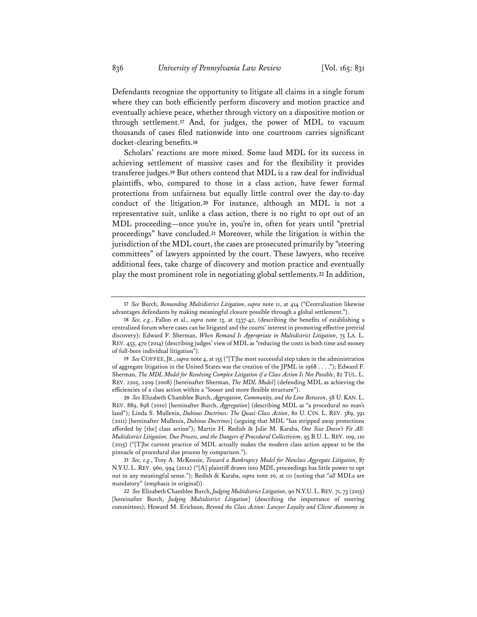Defendants recognize the opportunity to litigate all claims in a single forum where they can both efficiently perform discovery and motion practice and eventually achieve peace, whether through victory on a dispositive motion or through settlement.**<sup>17</sup>** And, for judges, the power of MDL to vacuum thousands of cases filed nationwide into one courtroom carries significant docket-clearing benefits.**<sup>18</sup>**

Scholars' reactions are more mixed. Some laud MDL for its success in achieving settlement of massive cases and for the flexibility it provides transferee judges.**<sup>19</sup>** But others contend that MDL is a raw deal for individual plaintiffs, who, compared to those in a class action, have fewer formal protections from unfairness but equally little control over the day-to-day conduct of the litigation.**<sup>20</sup>** For instance, although an MDL is not a representative suit, unlike a class action, there is no right to opt out of an MDL proceeding—once you're in, you're in, often for years until "pretrial proceedings" have concluded.**<sup>21</sup>** Moreover, while the litigation is within the jurisdiction of the MDL court, the cases are prosecuted primarily by "steering committees" of lawyers appointed by the court. These lawyers, who receive additional fees, take charge of discovery and motion practice and eventually play the most prominent role in negotiating global settlements.**<sup>22</sup>** In addition,

**<sup>17</sup>** *See* Burch, *Remanding Multidistrict Litigation*, *supra* note 11, at 414 ("Centralization likewise advantages defendants by making meaningful closure possible through a global settlement.").

**<sup>18</sup>** *See, e.g.*, Fallon et al., *supra* note 13, at 2337-42, (describing the benefits of establishing a centralized forum where cases can be litigated and the courts' interest in promoting effective pretrial discovery); Edward F. Sherman, *When Remand Is Appropriate in Multidistrict Litigation*, 75 LA. L. REV. 455, 470 (2014) (describing judges' view of MDL as "reducing the costs in both time and money of full-bore individual litigation").

**<sup>19</sup>** *See* COFFEE,JR., *supra* note 4, at 155 ("[T]he most successful step taken in the administration of aggregate litigation in the United States was the creation of the JPML in 1968 . . . ."); Edward F. Sherman, *The MDL Model for Resolving Complex Litigation if a Class Action Is Not Possible*, 82 TUL. L. REV. 2205, 2209 (2008) [hereinafter Sherman, *The MDL Model*] (defending MDL as achieving the efficiencies of a class action within a "looser and more flexible structure").

**<sup>20</sup>** *See* Elizabeth Chamblee Burch, *Aggregation, Community, and the Line Between*, 58 U. KAN. L. REV. 889, 898 (2010) [hereinafter Burch, *Aggregation*] (describing MDL as "a procedural no man's land"); Linda S. Mullenix, *Dubious Doctrines: The Quasi-Class Action*, 80 U. CIN. L. REV. 389, 391 (2011) [hereinafter Mullenix, *Dubious Doctrines*] (arguing that MDL "has stripped away protections afforded by [the] class action"); Martin H. Redish & Julie M. Karaba, *One Size Doesn't Fit All: Multidistrict Litigation, Due Process, and the Dangers of Procedural Collectivism*, 95 B.U. L. REV. 109, 110 (2015) ("[T]he current practice of MDL actually makes the modern class action appear to be the pinnacle of procedural due process by comparison.").

**<sup>21</sup>** *See, e.g.*, Troy A. McKenzie, *Toward a Bankruptcy Model for Nonclass Aggregate Litigation*, 87 N.Y.U. L. REV. 960, 994 (2012) ("[A] plaintiff drawn into MDL proceedings has little power to opt out in any meaningful sense."); Redish & Karaba, *supra* note 20, at 111 (noting that "*all* MDLs are mandatory" (emphasis in original)).

**<sup>22</sup>** *See* Elizabeth Chamblee Burch, *Judging Multidistrict Litigation*, 90 N.Y.U. L.REV. 71, 73 (2015) [hereinafter Burch, *Judging Multidistrict Litigation*] (describing the importance of steering committees); Howard M. Erichson, *Beyond the Class Action: Lawyer Loyalty and Client Autonomy in*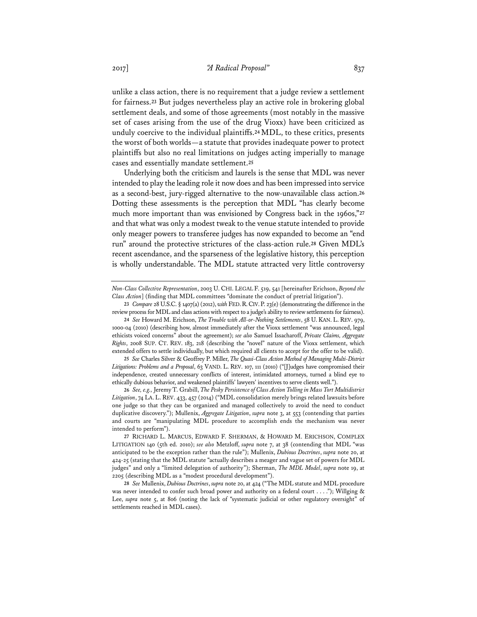unlike a class action, there is no requirement that a judge review a settlement for fairness.**<sup>23</sup>** But judges nevertheless play an active role in brokering global settlement deals, and some of those agreements (most notably in the massive set of cases arising from the use of the drug Vioxx) have been criticized as unduly coercive to the individual plaintiffs.**<sup>24</sup>** MDL, to these critics, presents the worst of both worlds—a statute that provides inadequate power to protect plaintiffs but also no real limitations on judges acting imperially to manage cases and essentially mandate settlement.**<sup>25</sup>**

Underlying both the criticism and laurels is the sense that MDL was never intended to play the leading role it now does and has been impressed into service as a second-best, jury-rigged alternative to the now-unavailable class action.**<sup>26</sup>** Dotting these assessments is the perception that MDL "has clearly become much more important than was envisioned by Congress back in the 1960s,"**<sup>27</sup>** and that what was only a modest tweak to the venue statute intended to provide only meager powers to transferee judges has now expanded to become an "end run" around the protective strictures of the class-action rule.**<sup>28</sup>** Given MDL's recent ascendance, and the sparseness of the legislative history, this perception is wholly understandable. The MDL statute attracted very little controversy

**25** *See* Charles Silver & Geoffrey P. Miller, *The Quasi-Class Action Method of Managing Multi-District Litigations: Problems and a Proposal*, 63 VAND. L. REV. 107, 111 (2010) ("[J]udges have compromised their independence, created unnecessary conflicts of interest, intimidated attorneys, turned a blind eye to ethically dubious behavior, and weakened plaintiffs' lawyers' incentives to serve clients well.").

**26** *See, e.g.,* Jeremy T. Grabill, *The Pesky Persistence of Class Action Tolling in Mass Tort Multidistrict Litigation*, 74 LA. L. REV. 433, 457 (2014) ("MDL consolidation merely brings related lawsuits before one judge so that they can be organized and managed collectively to avoid the need to conduct duplicative discovery."); Mullenix, *Aggregate Litigation*, *supra* note 3, at 553 (contending that parties and courts are "manipulating MDL procedure to accomplish ends the mechanism was never intended to perform").

*Non-Class Collective Representation*, 2003 U. CHI. LEGAL F. 519, 541 [hereinafter Erichson, *Beyond the Class Action*] (finding that MDL committees "dominate the conduct of pretrial litigation").

**<sup>23</sup>** *Compare* 28 U.S.C. § 1407(a) (2012), *with* FED.R.CIV.P. 23(e) (demonstrating the difference in the review process for MDL and class actions with respect to a judge's ability to review settlements for fairness).

**<sup>24</sup>** *See* Howard M. Erichson, *The Trouble with All-or-Nothing Settlements*, 58 U. KAN. L. REV. 979, 1000-04 (2010) (describing how, almost immediately after the Vioxx settlement "was announced, legal ethicists voiced concerns" about the agreement); *see also* Samuel Issacharoff, *Private Claims, Aggregate Rights*, 2008 SUP. CT. REV. 183, 218 (describing the "novel" nature of the Vioxx settlement, which extended offers to settle individually, but which required all clients to accept for the offer to be valid).

**<sup>27</sup>** RICHARD L. MARCUS, EDWARD F. SHERMAN, & HOWARD M. ERICHSON, COMPLEX LITIGATION 140 (5th ed. 2010); *see also* Metzloff, *supra* note 7, at 38 (contending that MDL "was anticipated to be the exception rather than the rule"); Mullenix, *Dubious Doctrines*, *supra* note 20, at 424-25 (stating that the MDL statute "actually describes a meager and vague set of powers for MDL judges" and only a "limited delegation of authority"); Sherman, *The MDL Model*, *supra* note 19, at 2205 (describing MDL as a "modest procedural development").

**<sup>28</sup>** *See* Mullenix, *Dubious Doctrines*, *supra* note 20, at 424 ("The MDL statute and MDL procedure was never intended to confer such broad power and authority on a federal court . . . ."); Willging & Lee, *supra* note 5, at 806 (noting the lack of "systematic judicial or other regulatory oversight" of settlements reached in MDL cases).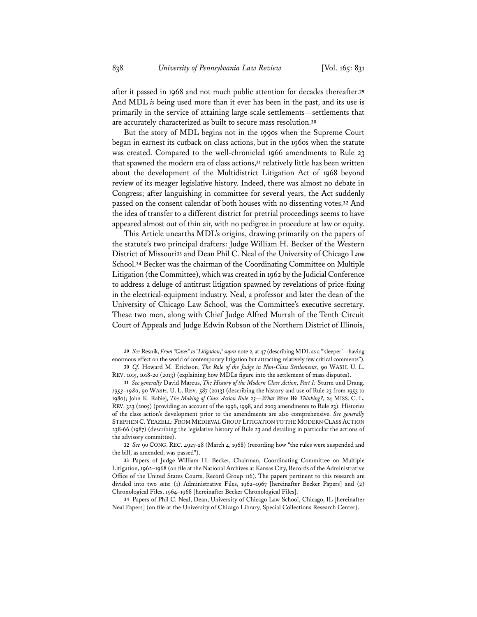after it passed in 1968 and not much public attention for decades thereafter.**<sup>29</sup>** And MDL *is* being used more than it ever has been in the past, and its use is primarily in the service of attaining large-scale settlements—settlements that are accurately characterized as built to secure mass resolution.**<sup>30</sup>**

But the story of MDL begins not in the 1990s when the Supreme Court began in earnest its cutback on class actions, but in the 1960s when the statute was created. Compared to the well-chronicled 1966 amendments to Rule 23 that spawned the modern era of class actions,**<sup>31</sup>** relatively little has been written about the development of the Multidistrict Litigation Act of 1968 beyond review of its meager legislative history. Indeed, there was almost no debate in Congress; after languishing in committee for several years, the Act suddenly passed on the consent calendar of both houses with no dissenting votes.**<sup>32</sup>** And the idea of transfer to a different district for pretrial proceedings seems to have appeared almost out of thin air, with no pedigree in procedure at law or equity.

This Article unearths MDL's origins, drawing primarily on the papers of the statute's two principal drafters: Judge William H. Becker of the Western District of Missouri**<sup>33</sup>** and Dean Phil C. Neal of the University of Chicago Law School.**<sup>34</sup>** Becker was the chairman of the Coordinating Committee on Multiple Litigation (the Committee), which was created in 1962 by the Judicial Conference to address a deluge of antitrust litigation spawned by revelations of price-fixing in the electrical-equipment industry. Neal, a professor and later the dean of the University of Chicago Law School, was the Committee's executive secretary. These two men, along with Chief Judge Alfred Murrah of the Tenth Circuit Court of Appeals and Judge Edwin Robson of the Northern District of Illinois,

**32** *See* 90 CONG. REC. 4927-28 (March 4, 1968) (recording how "the rules were suspended and the bill, as amended, was passed").

**34** Papers of Phil C. Neal, Dean, University of Chicago Law School, Chicago, IL [hereinafter Neal Papers] (on file at the University of Chicago Library, Special Collections Research Center).

**<sup>29</sup>** *See* Resnik, *From "Cases" to "Litigation*,*"supra* note 2, at 47 (describing MDL as a "'sleeper'—having enormous effect on the world of contemporary litigation but attracting relatively few critical comments").

**<sup>30</sup>** *Cf.* Howard M. Erichson, *The Role of the Judge in Non-Class Settlements*, 90 WASH. U. L. REV. 1015, 1018-20 (2013) (explaining how MDLs figure into the settlement of mass disputes).

**<sup>31</sup>** *See generally* David Marcus, *The History of the Modern Class Action, Part I:* Sturm und Drang*, 1953–1980*, 90 WASH. U. L. REV. 587 (2013) (describing the history and use of Rule 23 from 1953 to 1980); John K. Rabiej, *The Making of Class Action Rule 23—What Were We Thinking?*, 24 MISS. C. L. REV. 323 (2005) (providing an account of the 1996, 1998, and 2003 amendments to Rule 23). Histories of the class action's development prior to the amendments are also comprehensive. *See generally* STEPHEN C. YEAZELL: FROM MEDIEVAL GROUP LITIGATION TO THE MODERN CLASS ACTION 238-66 (1987) (describing the legislative history of Rule 23 and detailing in particular the actions of the advisory committee).

**<sup>33</sup>** Papers of Judge William H. Becker, Chairman, Coordinating Committee on Multiple Litigation, 1962–1968 (on file at the National Archives at Kansas City, Records of the Administrative Office of the United States Courts, Record Group 116). The papers pertinent to this research are divided into two sets: (1) Administrative Files, 1962–1967 [hereinafter Becker Papers] and (2) Chronological Files, 1964–1968 [hereinafter Becker Chronological Files].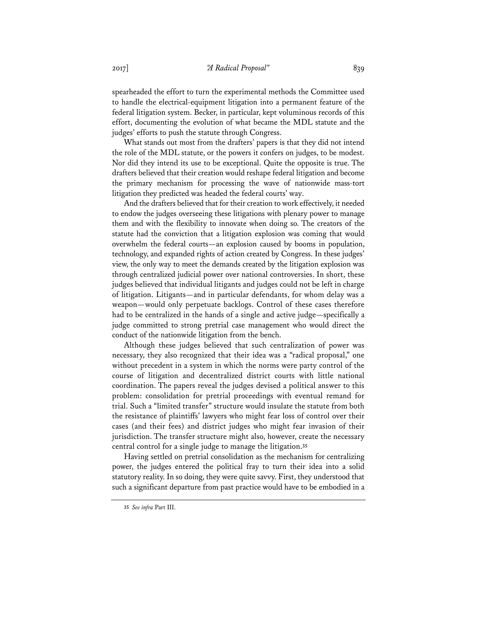spearheaded the effort to turn the experimental methods the Committee used to handle the electrical-equipment litigation into a permanent feature of the federal litigation system. Becker, in particular, kept voluminous records of this effort, documenting the evolution of what became the MDL statute and the judges' efforts to push the statute through Congress.

What stands out most from the drafters' papers is that they did not intend the role of the MDL statute, or the powers it confers on judges, to be modest. Nor did they intend its use to be exceptional. Quite the opposite is true. The drafters believed that their creation would reshape federal litigation and become the primary mechanism for processing the wave of nationwide mass-tort litigation they predicted was headed the federal courts' way.

And the drafters believed that for their creation to work effectively, it needed to endow the judges overseeing these litigations with plenary power to manage them and with the flexibility to innovate when doing so. The creators of the statute had the conviction that a litigation explosion was coming that would overwhelm the federal courts—an explosion caused by booms in population, technology, and expanded rights of action created by Congress. In these judges' view, the only way to meet the demands created by the litigation explosion was through centralized judicial power over national controversies. In short, these judges believed that individual litigants and judges could not be left in charge of litigation. Litigants—and in particular defendants, for whom delay was a weapon—would only perpetuate backlogs. Control of these cases therefore had to be centralized in the hands of a single and active judge—specifically a judge committed to strong pretrial case management who would direct the conduct of the nationwide litigation from the bench.

Although these judges believed that such centralization of power was necessary, they also recognized that their idea was a "radical proposal," one without precedent in a system in which the norms were party control of the course of litigation and decentralized district courts with little national coordination. The papers reveal the judges devised a political answer to this problem: consolidation for pretrial proceedings with eventual remand for trial. Such a "limited transfer" structure would insulate the statute from both the resistance of plaintiffs' lawyers who might fear loss of control over their cases (and their fees) and district judges who might fear invasion of their jurisdiction. The transfer structure might also, however, create the necessary central control for a single judge to manage the litigation.**<sup>35</sup>**

Having settled on pretrial consolidation as the mechanism for centralizing power, the judges entered the political fray to turn their idea into a solid statutory reality. In so doing, they were quite savvy. First, they understood that such a significant departure from past practice would have to be embodied in a

**<sup>35</sup>** *See infra* Part III.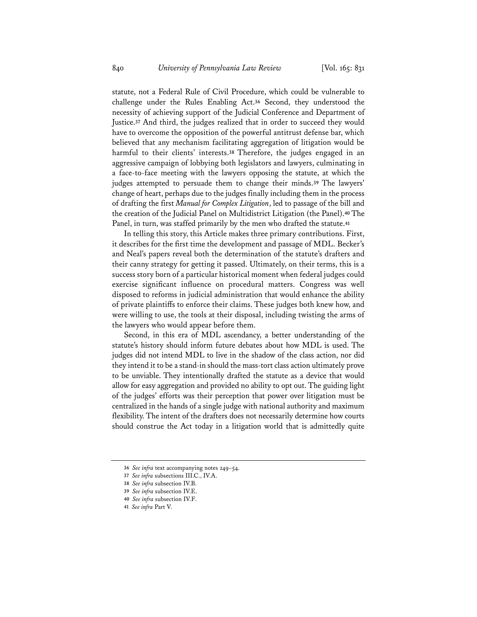statute, not a Federal Rule of Civil Procedure, which could be vulnerable to challenge under the Rules Enabling Act.**<sup>36</sup>** Second, they understood the necessity of achieving support of the Judicial Conference and Department of Justice.**<sup>37</sup>** And third, the judges realized that in order to succeed they would have to overcome the opposition of the powerful antitrust defense bar, which believed that any mechanism facilitating aggregation of litigation would be harmful to their clients' interests.**<sup>38</sup>** Therefore, the judges engaged in an aggressive campaign of lobbying both legislators and lawyers, culminating in a face-to-face meeting with the lawyers opposing the statute, at which the judges attempted to persuade them to change their minds.**<sup>39</sup>** The lawyers' change of heart, perhaps due to the judges finally including them in the process of drafting the first *Manual for Complex Litigation*, led to passage of the bill and the creation of the Judicial Panel on Multidistrict Litigation (the Panel).**<sup>40</sup>** The Panel, in turn, was staffed primarily by the men who drafted the statute.**<sup>41</sup>**

In telling this story, this Article makes three primary contributions. First, it describes for the first time the development and passage of MDL. Becker's and Neal's papers reveal both the determination of the statute's drafters and their canny strategy for getting it passed. Ultimately, on their terms, this is a success story born of a particular historical moment when federal judges could exercise significant influence on procedural matters. Congress was well disposed to reforms in judicial administration that would enhance the ability of private plaintiffs to enforce their claims. These judges both knew how, and were willing to use, the tools at their disposal, including twisting the arms of the lawyers who would appear before them.

Second, in this era of MDL ascendancy, a better understanding of the statute's history should inform future debates about how MDL is used. The judges did not intend MDL to live in the shadow of the class action, nor did they intend it to be a stand-in should the mass-tort class action ultimately prove to be unviable. They intentionally drafted the statute as a device that would allow for easy aggregation and provided no ability to opt out. The guiding light of the judges' efforts was their perception that power over litigation must be centralized in the hands of a single judge with national authority and maximum flexibility. The intent of the drafters does not necessarily determine how courts should construe the Act today in a litigation world that is admittedly quite

**<sup>36</sup>** *See infra* text accompanying notes 249–54.

**<sup>37</sup>** *See infra* subsections III.C., IV.A.

**<sup>38</sup>** *See infra* subsection IV.B.

**<sup>39</sup>** *See infra* subsection IV.E.

**<sup>40</sup>** *See infra* subsection IV.F.

**<sup>41</sup>** *See infra* Part V.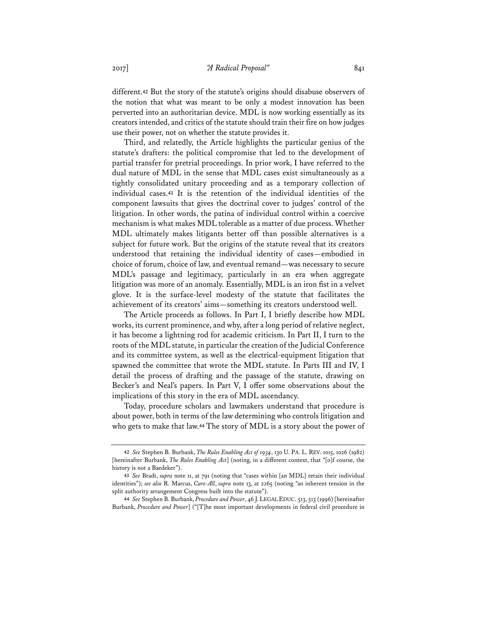different.**<sup>42</sup>** But the story of the statute's origins should disabuse observers of the notion that what was meant to be only a modest innovation has been perverted into an authoritarian device. MDL is now working essentially as its creators intended, and critics of the statute should train their fire on how judges use their power, not on whether the statute provides it.

Third, and relatedly, the Article highlights the particular genius of the statute's drafters: the political compromise that led to the development of partial transfer for pretrial proceedings. In prior work, I have referred to the dual nature of MDL in the sense that MDL cases exist simultaneously as a tightly consolidated unitary proceeding and as a temporary collection of individual cases.**<sup>43</sup>** It is the retention of the individual identities of the component lawsuits that gives the doctrinal cover to judges' control of the litigation. In other words, the patina of individual control within a coercive mechanism is what makes MDL tolerable as a matter of due process. Whether MDL ultimately makes litigants better off than possible alternatives is a subject for future work. But the origins of the statute reveal that its creators understood that retaining the individual identity of cases—embodied in choice of forum, choice of law, and eventual remand—was necessary to secure MDL's passage and legitimacy, particularly in an era when aggregate litigation was more of an anomaly. Essentially, MDL is an iron fist in a velvet glove. It is the surface-level modesty of the statute that facilitates the achievement of its creators' aims—something its creators understood well.

The Article proceeds as follows. In Part I, I briefly describe how MDL works, its current prominence, and why, after a long period of relative neglect, it has become a lightning rod for academic criticism. In Part II, I turn to the roots of the MDL statute, in particular the creation of the Judicial Conference and its committee system, as well as the electrical-equipment litigation that spawned the committee that wrote the MDL statute. In Parts III and IV, I detail the process of drafting and the passage of the statute, drawing on Becker's and Neal's papers. In Part V, I offer some observations about the implications of this story in the era of MDL ascendancy.

Today, procedure scholars and lawmakers understand that procedure is about power, both in terms of the law determining who controls litigation and who gets to make that law.**<sup>44</sup>** The story of MDL is a story about the power of

**<sup>42</sup>** *See* Stephen B. Burbank, *The Rules Enabling Act of 1934*, 130 U. PA. L. REV. 1015, 1026 (1982) [hereinafter Burbank, *The Rules Enabling Act*] (noting, in a different context, that "[o]f course, the history is not a Baedeker").

**<sup>43</sup>** *See* Bradt, *supra* note 11, at 791 (noting that "cases within [an MDL] retain their individual identities"); *see also* R. Marcus, *Cure-All*, *supra* note 13, at 2265 (noting "an inherent tension in the split authority arrangement Congress built into the statute").

**<sup>44</sup>** *See* Stephen B. Burbank, *Procedure and Power*, 46 J. LEGAL EDUC. 513, 513 (1996) [hereinafter Burbank, *Procedure and Power*] ("[T]he most important developments in federal civil procedure in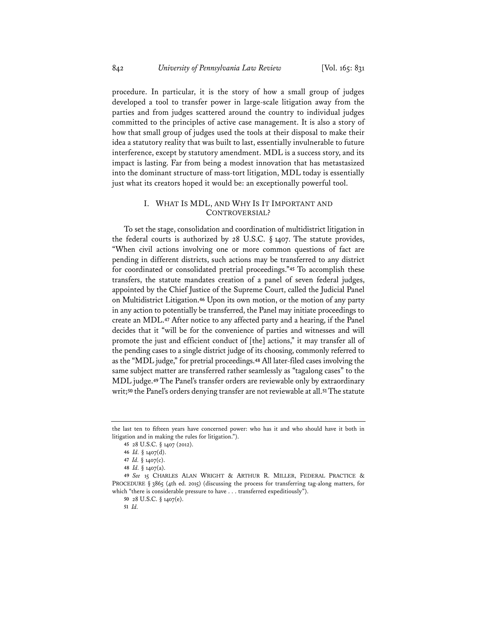procedure. In particular, it is the story of how a small group of judges developed a tool to transfer power in large-scale litigation away from the parties and from judges scattered around the country to individual judges committed to the principles of active case management. It is also a story of how that small group of judges used the tools at their disposal to make their idea a statutory reality that was built to last, essentially invulnerable to future interference, except by statutory amendment. MDL is a success story, and its impact is lasting. Far from being a modest innovation that has metastasized into the dominant structure of mass-tort litigation, MDL today is essentially just what its creators hoped it would be: an exceptionally powerful tool.

# I. WHAT IS MDL, AND WHY IS IT IMPORTANT AND CONTROVERSIAL?

To set the stage, consolidation and coordination of multidistrict litigation in the federal courts is authorized by  $28$  U.S.C.  $\S$  1407. The statute provides, "When civil actions involving one or more common questions of fact are pending in different districts, such actions may be transferred to any district for coordinated or consolidated pretrial proceedings."**<sup>45</sup>** To accomplish these transfers, the statute mandates creation of a panel of seven federal judges, appointed by the Chief Justice of the Supreme Court, called the Judicial Panel on Multidistrict Litigation.**<sup>46</sup>** Upon its own motion, or the motion of any party in any action to potentially be transferred, the Panel may initiate proceedings to create an MDL.**<sup>47</sup>** After notice to any affected party and a hearing, if the Panel decides that it "will be for the convenience of parties and witnesses and will promote the just and efficient conduct of [the] actions," it may transfer all of the pending cases to a single district judge of its choosing, commonly referred to as the "MDL judge," for pretrial proceedings.**<sup>48</sup>** All later-filed cases involving the same subject matter are transferred rather seamlessly as "tagalong cases" to the MDL judge.**<sup>49</sup>** The Panel's transfer orders are reviewable only by extraordinary writ;**<sup>50</sup>** the Panel's orders denying transfer are not reviewable at all.**<sup>51</sup>** The statute

**50** 28 U.S.C. § 1407(e).

**51** *Id.*

the last ten to fifteen years have concerned power: who has it and who should have it both in litigation and in making the rules for litigation.").

**<sup>45</sup>** 28 U.S.C. § 1407 (2012).

**<sup>46</sup>** *Id.* § 1407(d).

**<sup>47</sup>** *Id.* § 1407(c).

**<sup>48</sup>** *Id.* § 1407(a).

**<sup>49</sup>** *See* 15 CHARLES ALAN WRIGHT & ARTHUR R. MILLER, FEDERAL PRACTICE & PROCEDURE § 3865 (4th ed. 2015) (discussing the process for transferring tag-along matters, for which "there is considerable pressure to have . . . transferred expeditiously").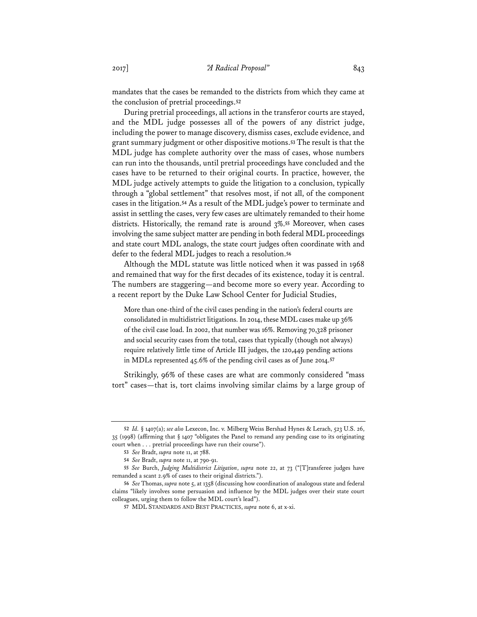mandates that the cases be remanded to the districts from which they came at the conclusion of pretrial proceedings.**<sup>52</sup>**

During pretrial proceedings, all actions in the transferor courts are stayed, and the MDL judge possesses all of the powers of any district judge, including the power to manage discovery, dismiss cases, exclude evidence, and grant summary judgment or other dispositive motions.**<sup>53</sup>** The result is that the MDL judge has complete authority over the mass of cases, whose numbers can run into the thousands, until pretrial proceedings have concluded and the cases have to be returned to their original courts. In practice, however, the MDL judge actively attempts to guide the litigation to a conclusion, typically through a "global settlement" that resolves most, if not all, of the component cases in the litigation.**<sup>54</sup>** As a result of the MDL judge's power to terminate and assist in settling the cases, very few cases are ultimately remanded to their home districts. Historically, the remand rate is around 3%.**<sup>55</sup>** Moreover, when cases involving the same subject matter are pending in both federal MDL proceedings and state court MDL analogs, the state court judges often coordinate with and defer to the federal MDL judges to reach a resolution.**<sup>56</sup>**

Although the MDL statute was little noticed when it was passed in 1968 and remained that way for the first decades of its existence, today it is central. The numbers are staggering—and become more so every year. According to a recent report by the Duke Law School Center for Judicial Studies,

More than one-third of the civil cases pending in the nation's federal courts are consolidated in multidistrict litigations. In 2014, these MDL cases make up 36% of the civil case load. In 2002, that number was 16%. Removing 70,328 prisoner and social security cases from the total, cases that typically (though not always) require relatively little time of Article III judges, the 120,449 pending actions in MDLs represented 45.6% of the pending civil cases as of June 2014.**<sup>57</sup>**

Strikingly, 96% of these cases are what are commonly considered "mass tort" cases—that is, tort claims involving similar claims by a large group of

**<sup>52</sup>** *Id.* § 1407(a); *see also* Lexecon, Inc. v. Milberg Weiss Bershad Hynes & Lerach, 523 U.S. 26, 35 (1998) (affirming that § 1407 "obligates the Panel to remand any pending case to its originating court when . . . pretrial proceedings have run their course").

**<sup>53</sup>** *See* Bradt, *supra* note 11, at 788.

**<sup>54</sup>** *See* Bradt, *supra* note 11, at 790-91.

**<sup>55</sup>** *See* Burch, *Judging Multidistrict Litigation*, *supra* note 22, at 73 ("[T]ransferee judges have remanded a scant 2.9% of cases to their original districts.").

**<sup>56</sup>** *See* Thomas, *supra* note 5, at 1358 (discussing how coordination of analogous state and federal claims "likely involves some persuasion and influence by the MDL judges over their state court colleagues, urging them to follow the MDL court's lead").

**<sup>57</sup>** MDL STANDARDS AND BEST PRACTICES, *supra* note 6, at x-xi.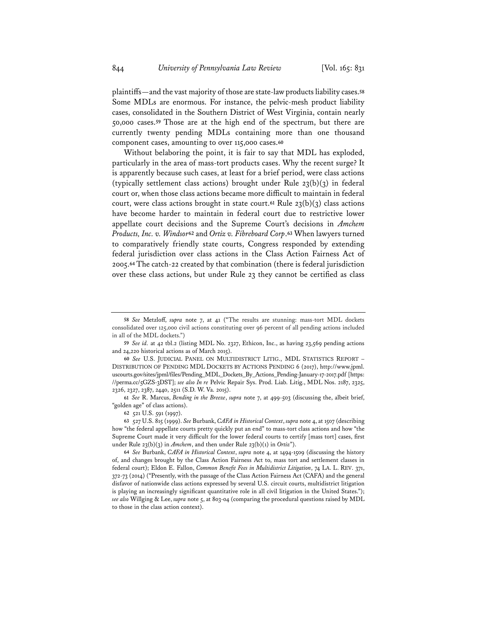plaintiffs—and the vast majority of those are state-law products liability cases.**<sup>58</sup>** Some MDLs are enormous. For instance, the pelvic-mesh product liability cases, consolidated in the Southern District of West Virginia, contain nearly 50,000 cases.**<sup>59</sup>** Those are at the high end of the spectrum, but there are currently twenty pending MDLs containing more than one thousand component cases, amounting to over 115,000 cases.**<sup>60</sup>**

Without belaboring the point, it is fair to say that MDL has exploded, particularly in the area of mass-tort products cases. Why the recent surge? It is apparently because such cases, at least for a brief period, were class actions (typically settlement class actions) brought under Rule  $23(b)(3)$  in federal court or, when those class actions became more difficult to maintain in federal court, were class actions brought in state court.<sup>61</sup> Rule  $23(b)(3)$  class actions have become harder to maintain in federal court due to restrictive lower appellate court decisions and the Supreme Court's decisions in *Amchem Products, Inc. v. Windsor***<sup>62</sup>** and *Ortiz v. Fibreboard Corp*.**<sup>63</sup>** When lawyers turned to comparatively friendly state courts, Congress responded by extending federal jurisdiction over class actions in the Class Action Fairness Act of 2005.**<sup>64</sup>** The catch-22 created by that combination (there is federal jurisdiction over these class actions, but under Rule 23 they cannot be certified as class

**<sup>58</sup>** *See* Metzloff, *supra* note 7, at 41 ("The results are stunning: mass-tort MDL dockets consolidated over 125,000 civil actions constituting over 96 percent of all pending actions included in all of the MDL dockets.")

**<sup>59</sup>** *See id.* at 42 tbl.2 (listing MDL No. 2327, Ethicon, Inc., as having 23,569 pending actions and 24,220 historical actions as of March 2015).

**<sup>60</sup>** *See* U.S. JUDICIAL PANEL ON MULTIDISTRICT LITIG., MDL STATISTICS REPORT – DISTRIBUTION OF PENDING MDL DOCKETS BY ACTIONS PENDING 6 (2017), http://www.jpml. uscourts.gov/sites/jpml/files/Pending\_MDL\_Dockets\_By\_Actions\_Pending-January-17-2017.pdf [https: //perma.cc/5GZS-3DST]; *see also In re* Pelvic Repair Sys. Prod. Liab. Litig., MDL Nos. 2187, 2325, 2326, 2327, 2387, 2440, 2511 (S.D. W. Va. 2015).

**<sup>61</sup>** *See* R. Marcus, *Bending in the Breeze*, *supra* note 7, at 499-503 (discussing the, albeit brief, "golden age" of class actions).

**<sup>62</sup>** 521 U.S. 591 (1997).

**<sup>63</sup>** 527 U.S. 815 (1999). *See* Burbank, *CAFA in Historical Context*, *supra* note 4, at 1507 (describing how "the federal appellate courts pretty quickly put an end" to mass-tort class actions and how "the Supreme Court made it very difficult for the lower federal courts to certify [mass tort] cases, first under Rule 23(b)(3) in *Amchem*, and then under Rule 23(b)(1) in *Ortiz*").

**<sup>64</sup>** *See* Burbank, *CAFA in Historical Context*, *supra* note 4, at 1494-1509 (discussing the history of, and changes brought by the Class Action Fairness Act to, mass tort and settlement classes in federal court); Eldon E. Fallon, *Common Benefit Fees in Multidistrict Litigation*, 74 LA. L. REV. 371, 372-73 (2014) ("Presently, with the passage of the Class Action Fairness Act (CAFA) and the general disfavor of nationwide class actions expressed by several U.S. circuit courts, multidistrict litigation is playing an increasingly significant quantitative role in all civil litigation in the United States."); *see also* Willging & Lee, *supra* note 5, at 803-04 (comparing the procedural questions raised by MDL to those in the class action context).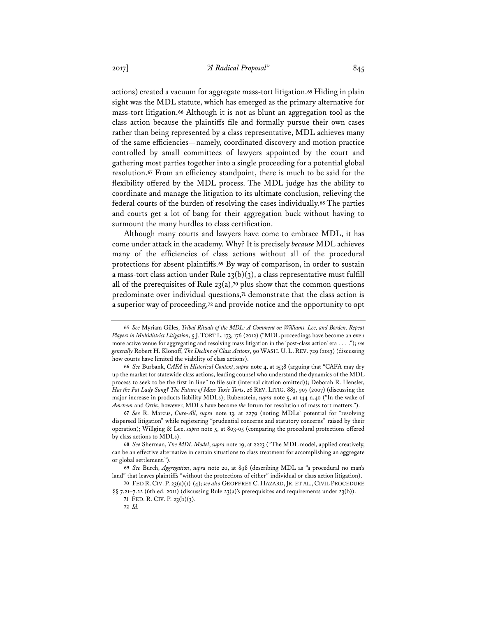actions) created a vacuum for aggregate mass-tort litigation.**<sup>65</sup>** Hiding in plain sight was the MDL statute, which has emerged as the primary alternative for mass-tort litigation.**<sup>66</sup>** Although it is not as blunt an aggregation tool as the class action because the plaintiffs file and formally pursue their own cases rather than being represented by a class representative, MDL achieves many of the same efficiencies—namely, coordinated discovery and motion practice controlled by small committees of lawyers appointed by the court and gathering most parties together into a single proceeding for a potential global resolution.**<sup>67</sup>** From an efficiency standpoint, there is much to be said for the flexibility offered by the MDL process. The MDL judge has the ability to coordinate and manage the litigation to its ultimate conclusion, relieving the federal courts of the burden of resolving the cases individually.**<sup>68</sup>** The parties and courts get a lot of bang for their aggregation buck without having to surmount the many hurdles to class certification.

Although many courts and lawyers have come to embrace MDL, it has come under attack in the academy. Why? It is precisely *because* MDL achieves many of the efficiencies of class actions without all of the procedural protections for absent plaintiffs.**<sup>69</sup>** By way of comparison, in order to sustain a mass-tort class action under Rule  $23(b)(3)$ , a class representative must fulfill all of the prerequisites of Rule 23(a),**<sup>70</sup>** plus show that the common questions predominate over individual questions,**<sup>71</sup>** demonstrate that the class action is a superior way of proceeding,**<sup>72</sup>** and provide notice and the opportunity to opt

**<sup>65</sup>** *See* Myriam Gilles, *Tribal Rituals of the MDL: A Comment on Williams, Lee, and Borden, Repeat Players in Multidistrict Litigation*, 5 J. TORT L. 173, 176 (2012) ("MDL proceedings have become an even more active venue for aggregating and resolving mass litigation in the 'post-class action' era . . . ."); *see generally* Robert H. Klonoff, *The Decline of Class Actions*, 90 WASH. U. L. REV. 729 (2013) (discussing how courts have limited the viability of class actions).

**<sup>66</sup>** *See* Burbank, *CAFA in Historical Context*, *supra* note 4, at 1538 (arguing that "CAFA may dry up the market for statewide class actions, leading counsel who understand the dynamics of the MDL process to seek to be the first in line" to file suit (internal citation omitted)); Deborah R. Hensler, *Has the Fat Lady Sung? The Future of Mass Toxic Torts*, 26 REV. LITIG. 883, 907 (2007) (discussing the major increase in products liability MDLs); Rubenstein, *supra* note 5, at 144 n.40 ("In the wake of *Amchem* and *Ortiz*, however, MDLs have become *the* forum for resolution of mass tort matters.").

**<sup>67</sup>** *See* R. Marcus, *Cure-All*, *supra* note 13, at 2279 (noting MDLs' potential for "resolving dispersed litigation" while registering "prudential concerns and statutory concerns" raised by their operation); Willging & Lee, *supra* note 5, at 803-05 (comparing the procedural protections offered by class actions to MDLs).

**<sup>68</sup>** *See* Sherman, *The MDL Model*, *supra* note 19, at 2223 ("The MDL model, applied creatively, can be an effective alternative in certain situations to class treatment for accomplishing an aggregate or global settlement.").

**<sup>69</sup>** *See* Burch, *Aggregation*, *supra* note 20, at 898 (describing MDL as "a procedural no man's land" that leaves plaintiffs "without the protections of either" individual or class action litigation).

**<sup>70</sup>** FED R. CIV. P. 23(a)(1)-(4); *see also* GEOFFREY C. HAZARD, JR. ET AL.,CIVIL PROCEDURE §§ 7.21–7.22 (6th ed. 2011) (discussing Rule 23(a)'s prerequisites and requirements under 23(b)).

**<sup>71</sup>** FED. R. CIV. P. 23(b)(3).

**<sup>72</sup>** *Id.*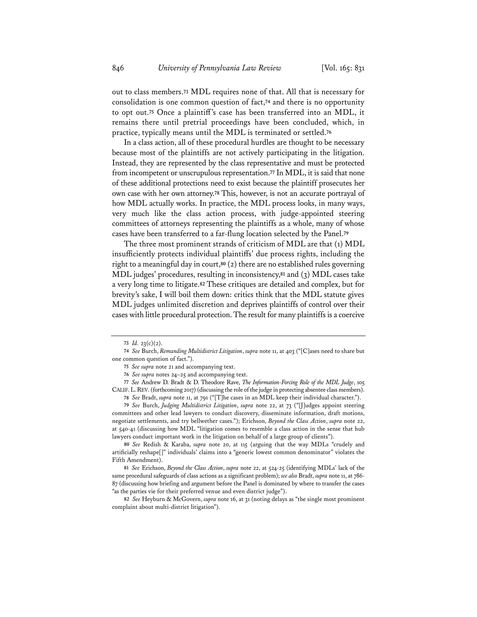out to class members.**<sup>73</sup>** MDL requires none of that. All that is necessary for consolidation is one common question of fact,**<sup>74</sup>** and there is no opportunity to opt out.**<sup>75</sup>** Once a plaintiff's case has been transferred into an MDL, it remains there until pretrial proceedings have been concluded, which, in practice, typically means until the MDL is terminated or settled.**<sup>76</sup>**

In a class action, all of these procedural hurdles are thought to be necessary because most of the plaintiffs are not actively participating in the litigation. Instead, they are represented by the class representative and must be protected from incompetent or unscrupulous representation.**<sup>77</sup>** In MDL, it is said that none of these additional protections need to exist because the plaintiff prosecutes her own case with her own attorney.**<sup>78</sup>** This, however, is not an accurate portrayal of how MDL actually works. In practice, the MDL process looks, in many ways, very much like the class action process, with judge-appointed steering committees of attorneys representing the plaintiffs as a whole, many of whose cases have been transferred to a far-flung location selected by the Panel.**<sup>79</sup>**

The three most prominent strands of criticism of MDL are that (1) MDL insufficiently protects individual plaintiffs' due process rights, including the right to a meaningful day in court,**<sup>80</sup>** (2) there are no established rules governing MDL judges' procedures, resulting in inconsistency,**<sup>81</sup>** and (3) MDL cases take a very long time to litigate.**<sup>82</sup>** These critiques are detailed and complex, but for brevity's sake, I will boil them down: critics think that the MDL statute gives MDL judges unlimited discretion and deprives plaintiffs of control over their cases with little procedural protection. The result for many plaintiffs is a coercive

**77** *See* Andrew D. Bradt & D. Theodore Rave, *The Information-Forcing Role of the MDL Judge*, 105 CALIF.L.REV. (forthcoming 2017) (discussing the role of the judge in protecting absentee class members).

**79** *See* Burch, *Judging Multidistrict Litigation*, *supra* note 22, at 73 ("[J]udges appoint steering committees and other lead lawyers to conduct discovery, disseminate information, draft motions, negotiate settlements, and try bellwether cases."); Erichson, *Beyond the Class Action*, *supra* note 22, at 540-41 (discussing how MDL "litigation comes to resemble a class action in the sense that hub lawyers conduct important work in the litigation on behalf of a large group of clients").

**80** *See* Redish & Karaba, *supra* note 20, at 115 (arguing that the way MDLs "crudely and artificially reshape[]" individuals' claims into a "generic lowest common denominator" violates the Fifth Amendment).

**81** *See* Erichson, *Beyond the Class Action*, *supra* note 22, at 524-25 (identifying MDLs' lack of the same procedural safeguards of class actions as a significant problem); *see also* Bradt, *supra* note 11, at 786- 87 (discussing how briefing and argument before the Panel is dominated by where to transfer the cases "as the parties vie for their preferred venue and even district judge").

**82** *See* Heyburn & McGovern, *supra* note 16, at 31 (noting delays as "the single most prominent complaint about multi-district litigation").

**<sup>73</sup>** *Id.* 23(c)(2).

**<sup>74</sup>** *See* Burch, *Remanding Multidistrict Litigation*, *supra* note 11, at 403 ("[C]ases need to share but one common question of fact.").

**<sup>75</sup>** *See supra* note 21 and accompanying text.

**<sup>76</sup>** *See supra* notes 24–25 and accompanying text.

**<sup>78</sup>** *See* Bradt, *supra* note 11, at 791 ("[T]he cases in an MDL keep their individual character.").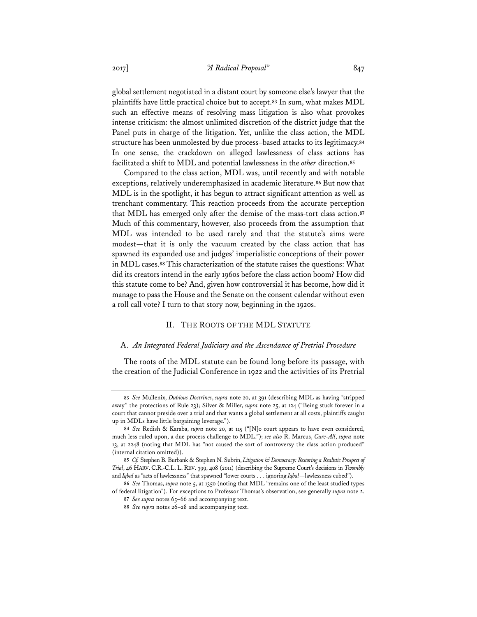global settlement negotiated in a distant court by someone else's lawyer that the plaintiffs have little practical choice but to accept.**<sup>83</sup>** In sum, what makes MDL such an effective means of resolving mass litigation is also what provokes intense criticism: the almost unlimited discretion of the district judge that the Panel puts in charge of the litigation. Yet, unlike the class action, the MDL structure has been unmolested by due process–based attacks to its legitimacy.**<sup>84</sup>** In one sense, the crackdown on alleged lawlessness of class actions has facilitated a shift to MDL and potential lawlessness in the *other* direction.**<sup>85</sup>**

Compared to the class action, MDL was, until recently and with notable exceptions, relatively underemphasized in academic literature.**<sup>86</sup>** But now that MDL is in the spotlight, it has begun to attract significant attention as well as trenchant commentary. This reaction proceeds from the accurate perception that MDL has emerged only after the demise of the mass-tort class action.**<sup>87</sup>** Much of this commentary, however, also proceeds from the assumption that MDL was intended to be used rarely and that the statute's aims were modest—that it is only the vacuum created by the class action that has spawned its expanded use and judges' imperialistic conceptions of their power in MDL cases.**<sup>88</sup>** This characterization of the statute raises the questions: What did its creators intend in the early 1960s before the class action boom? How did this statute come to be? And, given how controversial it has become, how did it manage to pass the House and the Senate on the consent calendar without even a roll call vote? I turn to that story now, beginning in the 1920s.

# II. THE ROOTS OF THE MDL STATUTE

### A. *An Integrated Federal Judiciary and the Ascendance of Pretrial Procedure*

The roots of the MDL statute can be found long before its passage, with the creation of the Judicial Conference in 1922 and the activities of its Pretrial

**<sup>83</sup>** *See* Mullenix, *Dubious Doctrines*, *supra* note 20, at 391 (describing MDL as having "stripped away" the protections of Rule 23); Silver & Miller, *supra* note 25, at 124 ("Being stuck forever in a court that cannot preside over a trial and that wants a global settlement at all costs, plaintiffs caught up in MDLs have little bargaining leverage.").

**<sup>84</sup>** *See* Redish & Karaba, *supra* note 20, at 115 ("[N]o court appears to have even considered, much less ruled upon, a due process challenge to MDL."); *see also* R. Marcus, *Cure-All*, *supra* note 13, at 2248 (noting that MDL has "not caused the sort of controversy the class action produced" (internal citation omitted)).

**<sup>85</sup>** *Cf.* Stephen B. Burbank & Stephen N. Subrin, *Litigation & Democracy: Restoring a Realistic Prospect of Trial*, 46 HARV.C.R.-C.L. L. REV. 399, 408 (2011) (describing the Supreme Court's decisions in *Twombly*  and *Iqbal* as "acts of lawlessness" that spawned "lower courts . . . ignoring *Iqbal*—lawlessness cubed").

**<sup>86</sup>** *See* Thomas, *supra* note 5, at 1350 (noting that MDL "remains one of the least studied types of federal litigation"). For exceptions to Professor Thomas's observation, see generally *supra* note 2.

**<sup>87</sup>** *See supra* notes 65–66 and accompanying text.

**<sup>88</sup>** *See supra* notes 26–28 and accompanying text.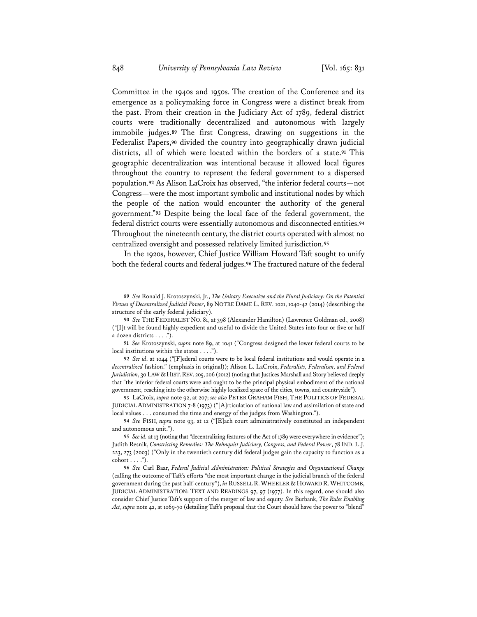Committee in the 1940s and 1950s. The creation of the Conference and its emergence as a policymaking force in Congress were a distinct break from the past. From their creation in the Judiciary Act of 1789, federal district courts were traditionally decentralized and autonomous with largely immobile judges.**<sup>89</sup>** The first Congress, drawing on suggestions in the Federalist Papers,**<sup>90</sup>** divided the country into geographically drawn judicial districts, all of which were located within the borders of a state.**<sup>91</sup>** This geographic decentralization was intentional because it allowed local figures throughout the country to represent the federal government to a dispersed population.**<sup>92</sup>** As Alison LaCroix has observed, "the inferior federal courts—not Congress—were the most important symbolic and institutional nodes by which the people of the nation would encounter the authority of the general government."**<sup>93</sup>** Despite being the local face of the federal government, the federal district courts were essentially autonomous and disconnected entities.**<sup>94</sup>** Throughout the nineteenth century, the district courts operated with almost no centralized oversight and possessed relatively limited jurisdiction.**<sup>95</sup>**

In the 1920s, however, Chief Justice William Howard Taft sought to unify both the federal courts and federal judges.**<sup>96</sup>** The fractured nature of the federal

**91** *See* Krotoszynski, *supra* note 89, at 1041 ("Congress designed the lower federal courts to be local institutions within the states . . . .").

**93** LaCroix, *supra* note 92, at 207; *see also* PETER GRAHAM FISH, THE POLITICS OF FEDERAL JUDICIAL ADMINISTRATION 7-8 (1973) ("[A]rticulation of national law and assimilation of state and local values . . . consumed the time and energy of the judges from Washington.").

**94** *See* FISH, *supra* note 93, at 12 ("[E]ach court administratively constituted an independent and autonomous unit.").

**96** *See* Carl Baar, *Federal Judicial Administration: Political Strategies and Organizational Change* (calling the outcome of Taft's efforts "the most important change in the judicial branch of the federal government during the past half-century"), *in* RUSSELL R.WHEELER & HOWARD R.WHITCOMB, JUDICIAL ADMINISTRATION: TEXT AND READINGS 97, 97 (1977). In this regard, one should also consider Chief Justice Taft's support of the merger of law and equity. *See* Burbank, *The Rules Enabling Act*, *supra* note 42, at 1069-70 (detailing Taft's proposal that the Court should have the power to "blend"

**<sup>89</sup>** *See* Ronald J. Krotoszynski, Jr., *The Unitary Executive and the Plural Judiciary: On the Potential Virtues of Decentralized Judicial Power*, 89 NOTRE DAME L. REV. 1021, 1040-42 (2014) (describing the structure of the early federal judiciary).

**<sup>90</sup>** *See* THE FEDERALIST NO. 81, at 398 (Alexander Hamilton) (Lawrence Goldman ed., 2008) ("[I]t will be found highly expedient and useful to divide the United States into four or five or half a dozen districts . . . .").

**<sup>92</sup>** *See id*. at 1044 ("[F]ederal courts were to be local federal institutions and would operate in a *decentralized* fashion." (emphasis in original)); Alison L. LaCroix, *Federalists, Federalism, and Federal Jurisdiction*, 30 LAW & HIST. REV. 205, 206 (2012) (noting that Justices Marshall and Story believed deeply that "the inferior federal courts were and ought to be the principal physical embodiment of the national government, reaching into the otherwise highly localized space of the cities, towns, and countryside").

**<sup>95</sup>** *See id.* at 13 (noting that "decentralizing features of the Act of 1789 were everywhere in evidence"); Judith Resnik, *Constricting Remedies: The Rehnquist Judiciary, Congress, and Federal Power*, 78 IND. L.J. 223, 273 (2003) ("Only in the twentieth century did federal judges gain the capacity to function as a  $\text{cohort} \ldots$ .").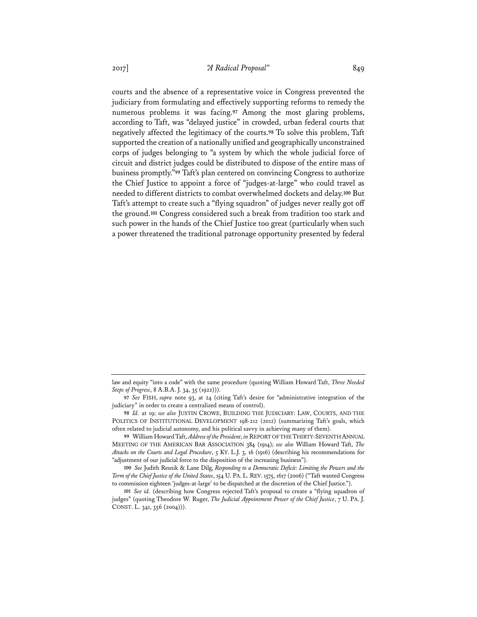courts and the absence of a representative voice in Congress prevented the judiciary from formulating and effectively supporting reforms to remedy the numerous problems it was facing.**<sup>97</sup>** Among the most glaring problems, according to Taft, was "delayed justice" in crowded, urban federal courts that negatively affected the legitimacy of the courts.**<sup>98</sup>** To solve this problem, Taft supported the creation of a nationally unified and geographically unconstrained corps of judges belonging to "a system by which the whole judicial force of circuit and district judges could be distributed to dispose of the entire mass of business promptly."**<sup>99</sup>** Taft's plan centered on convincing Congress to authorize the Chief Justice to appoint a force of "judges-at-large" who could travel as needed to different districts to combat overwhelmed dockets and delay.**<sup>100</sup>** But Taft's attempt to create such a "flying squadron" of judges never really got off the ground.**<sup>101</sup>** Congress considered such a break from tradition too stark and such power in the hands of the Chief Justice too great (particularly when such a power threatened the traditional patronage opportunity presented by federal

law and equity "into a code" with the same procedure (quoting William Howard Taft, *Three Needed Steps of Progress*, 8 A.B.A. J. 34, 35 (1922))).

**<sup>97</sup>** *See* FISH, *supra* note 93, at 24 (citing Taft's desire for "administrative integration of the judiciary" in order to create a centralized means of control).

**<sup>98</sup>** *Id.* at 19; *see also* JUSTIN CROWE, BUILDING THE JUDICIARY: LAW, COURTS, AND THE POLITICS OF INSTITUTIONAL DEVELOPMENT 198-212 (2012) (summarizing Taft's goals, which often related to judicial autonomy, and his political savvy in achieving many of them).

**<sup>99</sup>** William Howard Taft, *Address of the President*, *in* REPORT OF THE THIRTY-SEVENTH ANNUAL MEETING OF THE AMERICAN BAR ASSOCIATION 384 (1914); *see also* William Howard Taft, *The Attacks on the Courts and Legal Procedure*, 5 KY. L.J. 3, 16 (1916) (describing his recommendations for "adjustment of our judicial force to the disposition of the increasing business").

**<sup>100</sup>** *See* Judith Resnik & Lane Dilg, *Responding to a Democratic Deficit: Limiting the Powers and the Term of the Chief Justice of the United States*, 154 U. PA. L. REV. 1575, 1617 (2006) ("Taft wanted Congress to commission eighteen 'judges-at-large' to be dispatched at the discretion of the Chief Justice.").

**<sup>101</sup>** *See id.* (describing how Congress rejected Taft's proposal to create a "flying squadron of judges" (quoting Theodore W. Ruger, *The Judicial Appointment Power of the Chief Justice*, 7 U. PA. J. CONST. L. 341, 356 (2004))).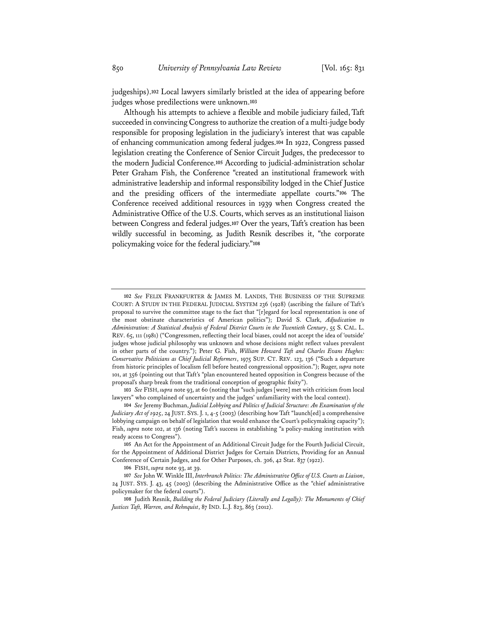judgeships).**<sup>102</sup>** Local lawyers similarly bristled at the idea of appearing before judges whose predilections were unknown.**<sup>103</sup>**

Although his attempts to achieve a flexible and mobile judiciary failed, Taft succeeded in convincing Congress to authorize the creation of a multi-judge body responsible for proposing legislation in the judiciary's interest that was capable of enhancing communication among federal judges.**<sup>104</sup>** In 1922, Congress passed legislation creating the Conference of Senior Circuit Judges, the predecessor to the modern Judicial Conference.**<sup>105</sup>** According to judicial-administration scholar Peter Graham Fish, the Conference "created an institutional framework with administrative leadership and informal responsibility lodged in the Chief Justice and the presiding officers of the intermediate appellate courts."**<sup>106</sup>** The Conference received additional resources in 1939 when Congress created the Administrative Office of the U.S. Courts, which serves as an institutional liaison between Congress and federal judges.**<sup>107</sup>** Over the years, Taft's creation has been wildly successful in becoming, as Judith Resnik describes it, "the corporate policymaking voice for the federal judiciary."**<sup>108</sup>**

**103** *See* FISH, *supra* note 93, at 60 (noting that "such judges [were] met with criticism from local lawyers" who complained of uncertainty and the judges' unfamiliarity with the local context).

**106** FISH, *supra* note 93, at 39.

**<sup>102</sup>** *See* FELIX FRANKFURTER & JAMES M. LANDIS, THE BUSINESS OF THE SUPREME COURT: A STUDY IN THE FEDERAL JUDICIAL SYSTEM 236 (1928) (ascribing the failure of Taft's proposal to survive the committee stage to the fact that "[r]egard for local representation is one of the most obstinate characteristics of American politics"); David S. Clark, *Adjudication to Administration: A Statistical Analysis of Federal District Courts in the Twentieth Century*, 55 S. CAL. L. REV. 65, 111 (1981) ("Congressmen, reflecting their local biases, could not accept the idea of 'outside' judges whose judicial philosophy was unknown and whose decisions might reflect values prevalent in other parts of the country."); Peter G. Fish, *William Howard Taft and Charles Evans Hughes: Conservative Politicians as Chief Judicial Reformers*, 1975 SUP. CT. REV. 123, 136 ("Such a departure from historic principles of localism fell before heated congressional opposition."); Ruger, *supra* note 101, at 356 (pointing out that Taft's "plan encountered heated opposition in Congress because of the proposal's sharp break from the traditional conception of geographic fixity").

**<sup>104</sup>** *See* Jeremy Buchman, *Judicial Lobbying and Politics of Judicial Structure: An Examination of the Judiciary Act of 1925*, 24 JUST. SYS. J. 1, 4-5 (2003) (describing how Taft "launch[ed] a comprehensive lobbying campaign on behalf of legislation that would enhance the Court's policymaking capacity"); Fish, *supra* note 102, at 136 (noting Taft's success in establishing "a policy-making institution with ready access to Congress").

**<sup>105</sup>** An Act for the Appointment of an Additional Circuit Judge for the Fourth Judicial Circuit, for the Appointment of Additional District Judges for Certain Districts, Providing for an Annual Conference of Certain Judges, and for Other Purposes, ch. 306, 42 Stat. 837 (1922).

**<sup>107</sup>** *See* John W. Winkle III, *Interbranch Politics: The Administrative Office of U.S. Courts as Liaison*, 24 JUST. SYS. J. 43, 45 (2003) (describing the Administrative Office as the "chief administrative policymaker for the federal courts").

**<sup>108</sup>** Judith Resnik, *Building the Federal Judiciary (Literally and Legally): The Monuments of Chief Justices Taft, Warren, and Rehnquist*, 87 IND. L.J. 823, 863 (2012).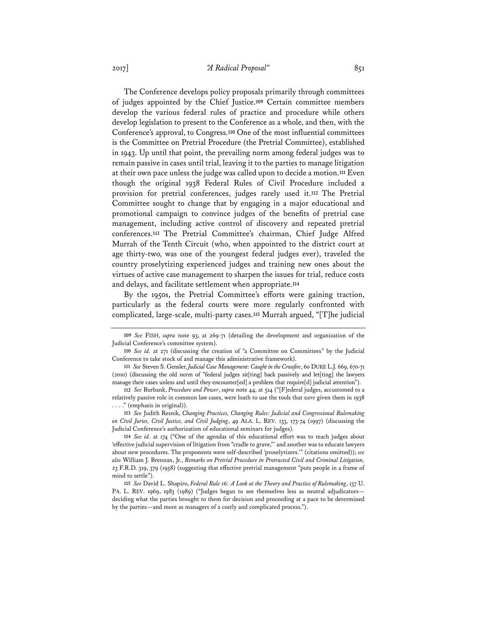The Conference develops policy proposals primarily through committees of judges appointed by the Chief Justice.**<sup>109</sup>** Certain committee members develop the various federal rules of practice and procedure while others develop legislation to present to the Conference as a whole, and then, with the Conference's approval, to Congress.**<sup>110</sup>** One of the most influential committees is the Committee on Pretrial Procedure (the Pretrial Committee), established in 1943. Up until that point, the prevailing norm among federal judges was to remain passive in cases until trial, leaving it to the parties to manage litigation at their own pace unless the judge was called upon to decide a motion.**<sup>111</sup>** Even though the original 1938 Federal Rules of Civil Procedure included a provision for pretrial conferences, judges rarely used it.**<sup>112</sup>** The Pretrial Committee sought to change that by engaging in a major educational and promotional campaign to convince judges of the benefits of pretrial case management, including active control of discovery and repeated pretrial conferences.**<sup>113</sup>** The Pretrial Committee's chairman, Chief Judge Alfred Murrah of the Tenth Circuit (who, when appointed to the district court at age thirty-two, was one of the youngest federal judges ever), traveled the country proselytizing experienced judges and training new ones about the virtues of active case management to sharpen the issues for trial, reduce costs and delays, and facilitate settlement when appropriate.**<sup>114</sup>**

By the 1950s, the Pretrial Committee's efforts were gaining traction, particularly as the federal courts were more regularly confronted with complicated, large-scale, multi-party cases.**<sup>115</sup>** Murrah argued, "[T]he judicial

**<sup>109</sup>** *See* FISH, *supra* note 93, at 269-71 (detailing the development and organization of the Judicial Conference's committee system).

**<sup>110</sup>** *See id.* at 271 (discussing the creation of "a Committee on Committees" by the Judicial Conference to take stock of and manage this administrative framework).

**<sup>111</sup>** *See* Steven S. Gensler, *Judicial Case Management: Caught in the Crossfire*, 60 DUKE L.J. 669, 670-71 (2010) (discussing the old norm of "federal judges sit[ting] back passively and let[ting] the lawyers manage their cases unless and until they encounter[ed] a problem that require[d] judicial attention").

**<sup>112</sup>** *See* Burbank, *Procedure and Power*, *supra* note 44, at 514 ("[F]ederal judges, accustomed to a relatively passive role in common law cases, were loath to use the tools that *were* given them in 1938 . . . ." (emphasis in original)).

**<sup>113</sup>** *See* Judith Resnik, *Changing Practices, Changing Rules: Judicial and Congressional Rulemaking on Civil Juries, Civil Justice, and Civil Judging*, 49 ALA. L. REV. 133, 173-74 (1997) (discussing the Judicial Conference's authorization of educational seminars for judges).

**<sup>114</sup>** *See id.* at 174 ("One of the agendas of this educational effort was to teach judges about 'effective judicial supervision of litigation from "cradle to grave,"' and another was to educate lawyers about new procedures. The proponents were self-described 'proselytizers.'" (citations omitted)); *see also* William J. Brennan, Jr., *Remarks on Pretrial Procedure in Protracted Civil and Criminal Litigation,*  23 F.R.D. 319, 379 (1958) (suggesting that effective pretrial management "puts people in a frame of mind to settle").

**<sup>115</sup>** *See* David L. Shapiro, *Federal Rule 16: A Look at the Theory and Practice of Rulemaking*, 137 U. PA. L. REV. 1969, 1983 (1989) ("Judges began to see themselves less as neutral adjudicatorsdeciding what the parties brought to them for decision and proceeding at a pace to be determined by the parties—and more as managers of a costly and complicated process.").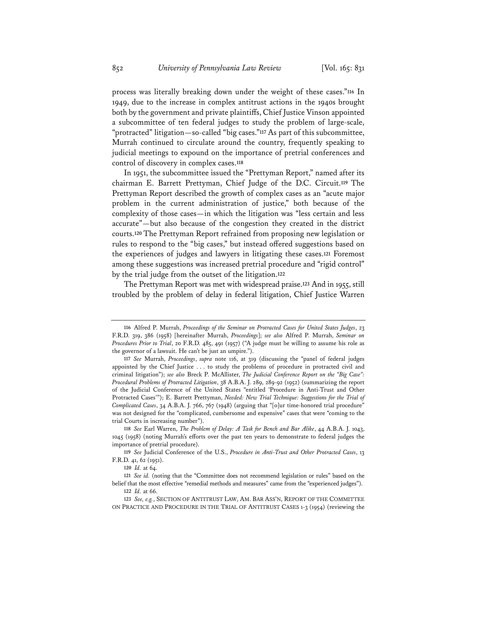process was literally breaking down under the weight of these cases."**<sup>116</sup>** In 1949, due to the increase in complex antitrust actions in the 1940s brought both by the government and private plaintiffs, Chief Justice Vinson appointed a subcommittee of ten federal judges to study the problem of large-scale, "protracted" litigation—so-called "big cases."**<sup>117</sup>** As part of this subcommittee, Murrah continued to circulate around the country, frequently speaking to judicial meetings to expound on the importance of pretrial conferences and control of discovery in complex cases.**<sup>118</sup>**

In 1951, the subcommittee issued the "Prettyman Report," named after its chairman E. Barrett Prettyman, Chief Judge of the D.C. Circuit.**<sup>119</sup>** The Prettyman Report described the growth of complex cases as an "acute major problem in the current administration of justice," both because of the complexity of those cases—in which the litigation was "less certain and less accurate"—but also because of the congestion they created in the district courts.**<sup>120</sup>** The Prettyman Report refrained from proposing new legislation or rules to respond to the "big cases," but instead offered suggestions based on the experiences of judges and lawyers in litigating these cases.**<sup>121</sup>** Foremost among these suggestions was increased pretrial procedure and "rigid control" by the trial judge from the outset of the litigation.**<sup>122</sup>**

The Prettyman Report was met with widespread praise.**<sup>123</sup>** And in 1955, still troubled by the problem of delay in federal litigation, Chief Justice Warren

**<sup>116</sup>** Alfred P. Murrah, *Proceedings of the Seminar on Protracted Cases for United States Judges*, 23 F.R.D. 319, 386 (1958) [hereinafter Murrah, *Proceedings*]; *see also* Alfred P. Murrah, *Seminar on Procedures Prior to Trial*, 20 F.R.D. 485, 491 (1957) ("A judge must be willing to assume his role as the governor of a lawsuit. He can't be just an umpire.").

**<sup>117</sup>** *See* Murrah, *Proceedings*, *supra* note 116, at 319 (discussing the "panel of federal judges appointed by the Chief Justice . . . to study the problems of procedure in protracted civil and criminal litigation"); *see also* Breck P. McAllister, *The Judicial Conference Report on the "Big Case": Procedural Problems of Protracted Litigation*, 38 A.B.A. J. 289, 289-92 (1952) (summarizing the report of the Judicial Conference of the United States "entitled 'Procedure in Anti-Trust and Other Protracted Cases'"); E. Barrett Prettyman, *Needed: New Trial Technique: Suggestions for the Trial of Complicated Cases*, 34 A.B.A. J. 766, 767 (1948) (arguing that "[o]ur time-honored trial procedure" was not designed for the "complicated, cumbersome and expensive" cases that were "coming to the trial Courts in increasing number").

**<sup>118</sup>** *See* Earl Warren, *The Problem of Delay: A Task for Bench and Bar Alike*, 44 A.B.A. J. 1043, 1045 (1958) (noting Murrah's efforts over the past ten years to demonstrate to federal judges the importance of pretrial procedure).

**<sup>119</sup>** *See* Judicial Conference of the U.S., *Procedure in Anti-Trust and Other Protracted Cases*, 13 F.R.D. 41, 62 (1951).

**<sup>120</sup>** *Id.* at 64.

**<sup>121</sup>** *See id.* (noting that the "Committee does not recommend legislation or rules" based on the belief that the most effective "remedial methods and measures" came from the "experienced judges"). **122** *Id.* at 66.

**<sup>123</sup>** *See, e.g.*, SECTION OF ANTITRUST LAW, AM. BAR ASS'N, REPORT OF THE COMMITTEE ON PRACTICE AND PROCEDURE IN THE TRIAL OF ANTITRUST CASES 1-3 (1954) (reviewing the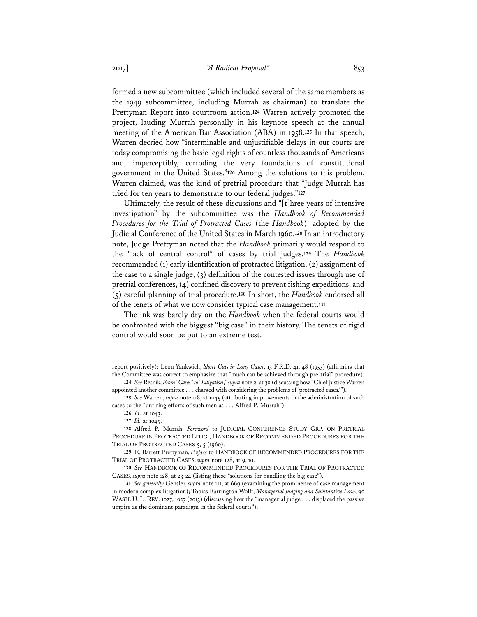formed a new subcommittee (which included several of the same members as the 1949 subcommittee, including Murrah as chairman) to translate the Prettyman Report into courtroom action.**<sup>124</sup>** Warren actively promoted the project, lauding Murrah personally in his keynote speech at the annual meeting of the American Bar Association (ABA) in 1958.**<sup>125</sup>** In that speech, Warren decried how "interminable and unjustifiable delays in our courts are today compromising the basic legal rights of countless thousands of Americans and, imperceptibly, corroding the very foundations of constitutional government in the United States."**<sup>126</sup>** Among the solutions to this problem, Warren claimed, was the kind of pretrial procedure that "Judge Murrah has tried for ten years to demonstrate to our federal judges."**<sup>127</sup>**

Ultimately, the result of these discussions and "[t]hree years of intensive investigation" by the subcommittee was the *Handbook of Recommended Procedures for the Trial of Protracted Cases* (the *Handbook*), adopted by the Judicial Conference of the United States in March 1960.**<sup>128</sup>** In an introductory note, Judge Prettyman noted that the *Handbook* primarily would respond to the "lack of central control" of cases by trial judges.**<sup>129</sup>** The *Handbook* recommended (1) early identification of protracted litigation, (2) assignment of the case to a single judge, (3) definition of the contested issues through use of pretrial conferences, (4) confined discovery to prevent fishing expeditions, and (5) careful planning of trial procedure.**<sup>130</sup>** In short, the *Handbook* endorsed all of the tenets of what we now consider typical case management.**<sup>131</sup>**

The ink was barely dry on the *Handbook* when the federal courts would be confronted with the biggest "big case" in their history. The tenets of rigid control would soon be put to an extreme test.

report positively); Leon Yankwich, *Short Cuts in Long Cases*, 13 F.R.D. 41, 48 (1953) (affirming that the Committee was correct to emphasize that "much can be achieved through pre-trial" procedure).

**<sup>124</sup>** *See* Resnik, *From "Cases" to "Litigation*,*" supra* note 2, at 30 (discussing how "Chief Justice Warren appointed another committee . . . charged with considering the problems of 'protracted cases.'").

**<sup>125</sup>** *See* Warren, *supra* note 118, at 1045 (attributing improvements in the administration of such cases to the "untiring efforts of such men as . . . Alfred P. Murrah").

**<sup>126</sup>** *Id.* at 1043.

**<sup>127</sup>** *Id.* at 1045.

**<sup>128</sup>** Alfred P. Murrah, *Foreword* to JUDICIAL CONFERENCE STUDY GRP. ON PRETRIAL PROCEDURE IN PROTRACTED LITIG., HANDBOOK OF RECOMMENDED PROCEDURES FOR THE TRIAL OF PROTRACTED CASES 5, 5 (1960).

**<sup>129</sup>** E. Barrett Prettyman, *Preface* to HANDBOOK OF RECOMMENDED PROCEDURES FOR THE TRIAL OF PROTRACTED CASES, *supra* note 128, at 9, 10.

**<sup>130</sup>** *See* HANDBOOK OF RECOMMENDED PROCEDURES FOR THE TRIAL OF PROTRACTED CASES, *supra* note 128, at 23-24 (listing these "solutions for handling the big case").

**<sup>131</sup>** *See generally* Gensler, *supra* note 111, at 669 (examining the prominence of case management in modern complex litigation); Tobias Barrington Wolff, *Managerial Judging and Substantive Law*, 90 WASH. U. L. REV. 1027, 1027 (2013) (discussing how the "managerial judge . . . displaced the passive umpire as the dominant paradigm in the federal courts").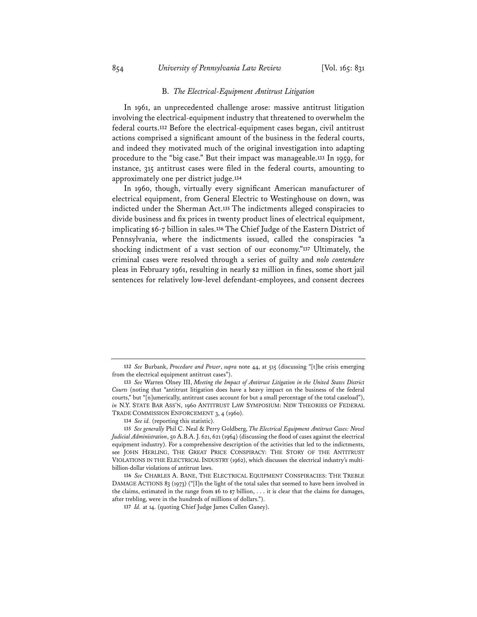#### B. *The Electrical-Equipment Antitrust Litigation*

In 1961, an unprecedented challenge arose: massive antitrust litigation involving the electrical-equipment industry that threatened to overwhelm the federal courts.**<sup>132</sup>** Before the electrical-equipment cases began, civil antitrust actions comprised a significant amount of the business in the federal courts, and indeed they motivated much of the original investigation into adapting procedure to the "big case." But their impact was manageable.**<sup>133</sup>** In 1959, for instance, 315 antitrust cases were filed in the federal courts, amounting to approximately one per district judge.**<sup>134</sup>**

In 1960, though, virtually every significant American manufacturer of electrical equipment, from General Electric to Westinghouse on down, was indicted under the Sherman Act.**<sup>135</sup>** The indictments alleged conspiracies to divide business and fix prices in twenty product lines of electrical equipment, implicating \$6-7 billion in sales.**<sup>136</sup>** The Chief Judge of the Eastern District of Pennsylvania, where the indictments issued, called the conspiracies "a shocking indictment of a vast section of our economy."**<sup>137</sup>** Ultimately, the criminal cases were resolved through a series of guilty and *nolo contendere* pleas in February 1961, resulting in nearly \$2 million in fines, some short jail sentences for relatively low-level defendant-employees, and consent decrees

**<sup>132</sup>** *See* Burbank, *Procedure and Power*, *supra* note 44, at 515 (discussing "[t]he crisis emerging from the electrical equipment antitrust cases").

**<sup>133</sup>** *See* Warren Olney III, *Meeting the Impact of Antitrust Litigation in the United States District Courts* (noting that "antitrust litigation does have a heavy impact on the business of the federal courts," but "[n]umerically, antitrust cases account for but a small percentage of the total caseload"), *in* N.Y. STATE BAR ASS'N, 1960 ANTITRUST LAW SYMPOSIUM: NEW THEORIES OF FEDERAL TRADE COMMISSION ENFORCEMENT 3, 4 (1960).

**<sup>134</sup>** *See id.* (reporting this statistic).

**<sup>135</sup>** *See generally* Phil C. Neal & Perry Goldberg, *The Electrical Equipment Antitrust Cases: Novel Judicial Administration*, 50 A.B.A.J. 621, 621 (1964) (discussing the flood of cases against the electrical equipment industry). For a comprehensive description of the activities that led to the indictments, see JOHN HERLING, THE GREAT PRICE CONSPIRACY: THE STORY OF THE ANTITRUST VIOLATIONS IN THE ELECTRICAL INDUSTRY (1962), which discusses the electrical industry's multibillion-dollar violations of antitrust laws.

**<sup>136</sup>** *See* CHARLES A. BANE, THE ELECTRICAL EQUIPMENT CONSPIRACIES: THE TREBLE DAMAGE ACTIONS 83 (1973) ("[I]n the light of the total sales that seemed to have been involved in the claims, estimated in the range from  $$6$  to  $$7$  billion, ... it is clear that the claims for damages, after trebling, were in the hundreds of millions of dollars.").

**<sup>137</sup>** *Id.* at 14. (quoting Chief Judge James Cullen Ganey).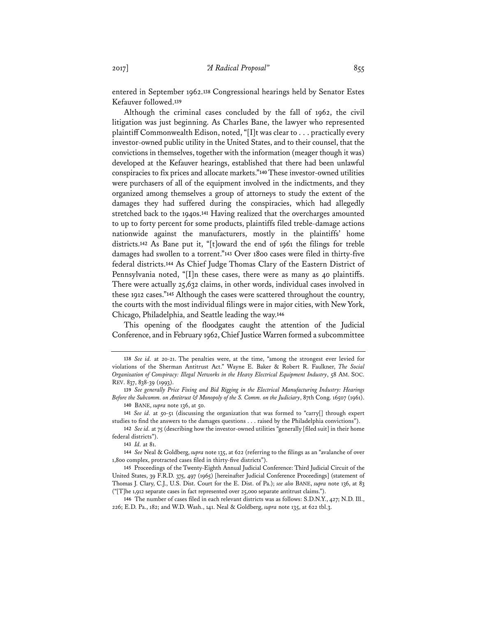entered in September 1962.**<sup>138</sup>** Congressional hearings held by Senator Estes Kefauver followed.**<sup>139</sup>**

Although the criminal cases concluded by the fall of 1962, the civil litigation was just beginning. As Charles Bane, the lawyer who represented plaintiff Commonwealth Edison, noted, "[I]t was clear to . . . practically every investor-owned public utility in the United States, and to their counsel, that the convictions in themselves, together with the information (meager though it was) developed at the Kefauver hearings, established that there had been unlawful conspiracies to fix prices and allocate markets."**<sup>140</sup>** These investor-owned utilities were purchasers of all of the equipment involved in the indictments, and they organized among themselves a group of attorneys to study the extent of the damages they had suffered during the conspiracies, which had allegedly stretched back to the 1940s.**<sup>141</sup>** Having realized that the overcharges amounted to up to forty percent for some products, plaintiffs filed treble-damage actions nationwide against the manufacturers, mostly in the plaintiffs' home districts.**<sup>142</sup>** As Bane put it, "[t]oward the end of 1961 the filings for treble damages had swollen to a torrent."**<sup>143</sup>** Over 1800 cases were filed in thirty-five federal districts.**<sup>144</sup>** As Chief Judge Thomas Clary of the Eastern District of Pennsylvania noted, "[I]n these cases, there were as many as 40 plaintiffs. There were actually 25,632 claims, in other words, individual cases involved in these 1912 cases."**<sup>145</sup>** Although the cases were scattered throughout the country, the courts with the most individual filings were in major cities, with New York, Chicago, Philadelphia, and Seattle leading the way.**<sup>146</sup>**

This opening of the floodgates caught the attention of the Judicial Conference, and in February 1962, Chief Justice Warren formed a subcommittee

**143** *Id.* at 81.

**144** *See* Neal & Goldberg, *supra* note 135, at 622 (referring to the filings as an "avalanche of over 1,800 complex, protracted cases filed in thirty-five districts").

**<sup>138</sup>** *See id.* at 20-21. The penalties were, at the time, "among the strongest ever levied for violations of the Sherman Antitrust Act." Wayne E. Baker & Robert R. Faulkner, *The Social Organization of Conspiracy: Illegal Networks in the Heavy Electrical Equipment Industry*, 58 AM. SOC. REV. 837, 838-39 (1993).

**<sup>139</sup>** *See generally Price Fixing and Bid Rigging in the Electrical Manufacturing Industry: Hearings Before the Subcomm. on Antitrust & Monopoly of the S. Comm. on the Judiciary*, 87th Cong. 16507 (1961). **140** BANE, *supra* note 136, at 50.

**<sup>141</sup>** *See id.* at 50-51 (discussing the organization that was formed to "carry[] through expert studies to find the answers to the damages questions . . . raised by the Philadelphia convictions").

**<sup>142</sup>** *See id.* at 75 (describing how the investor-owned utilities "generally [filed suit] in their home federal districts").

**<sup>145</sup>** Proceedings of the Twenty-Eighth Annual Judicial Conference: Third Judicial Circuit of the United States, 39 F.R.D. 375, 497 (1965) [hereinafter Judicial Conference Proceedings] (statement of Thomas J. Clary, C.J., U.S. Dist. Court for the E. Dist. of Pa.); *see also* BANE, *supra* note 136, at 83 ("[T]he 1,912 separate cases in fact represented over 25,000 separate antitrust claims.").

**<sup>146</sup>** The number of cases filed in each relevant districts was as follows: S.D.N.Y., 427; N.D. Ill., 226; E.D. Pa., 182; and W.D. Wash., 141. Neal & Goldberg, *supra* note 135, at 622 tbl.3.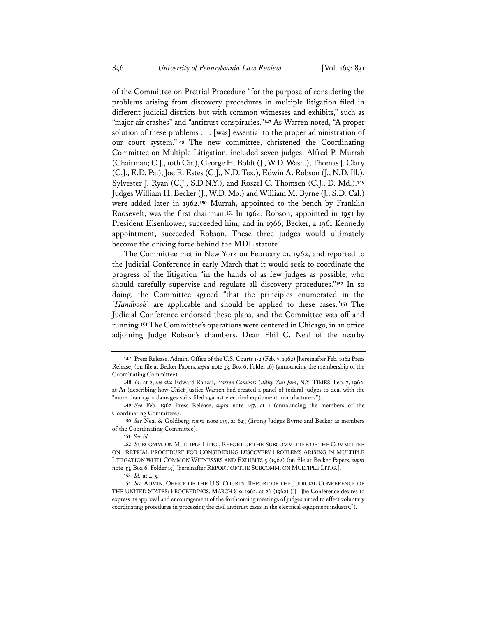of the Committee on Pretrial Procedure "for the purpose of considering the problems arising from discovery procedures in multiple litigation filed in different judicial districts but with common witnesses and exhibits," such as "major air crashes" and "antitrust conspiracies."**<sup>147</sup>** As Warren noted, "A proper solution of these problems . . . [was] essential to the proper administration of our court system."**<sup>148</sup>** The new committee, christened the Coordinating Committee on Multiple Litigation, included seven judges: Alfred P. Murrah (Chairman; C.J., 10th Cir.), George H. Boldt (J., W.D. Wash.), Thomas J. Clary (C.J., E.D. Pa.), Joe E. Estes (C.J., N.D. Tex.), Edwin A. Robson (J., N.D. Ill.), Sylvester J. Ryan (C.J., S.D.N.Y.), and Roszel C. Thomsen (C.J., D. Md.).**<sup>149</sup>** Judges William H. Becker (J., W.D. Mo.) and William M. Byrne (J., S.D. Cal.) were added later in 1962.**<sup>150</sup>** Murrah, appointed to the bench by Franklin Roosevelt, was the first chairman.**<sup>151</sup>** In 1964, Robson, appointed in 1951 by President Eisenhower, succeeded him, and in 1966, Becker, a 1961 Kennedy appointment, succeeded Robson. These three judges would ultimately become the driving force behind the MDL statute.

The Committee met in New York on February 21, 1962, and reported to the Judicial Conference in early March that it would seek to coordinate the progress of the litigation "in the hands of as few judges as possible, who should carefully supervise and regulate all discovery procedures."**<sup>152</sup>** In so doing, the Committee agreed "that the principles enumerated in the [*Handbook*] are applicable and should be applied to these cases."**<sup>153</sup>** The Judicial Conference endorsed these plans, and the Committee was off and running.**<sup>154</sup>** The Committee's operations were centered in Chicago, in an office adjoining Judge Robson's chambers. Dean Phil C. Neal of the nearby

**150** *See* Neal & Goldberg, *supra* note 135, at 623 (listing Judges Byrne and Becker as members of the Coordinating Committee).

**<sup>147</sup>** Press Release, Admin. Office of the U.S. Courts 1-2 (Feb. 7, 1962) [hereinafter Feb. 1962 Press Release] (on file at Becker Papers, *supra* note 33, Box 6, Folder 16) (announcing the membership of the Coordinating Committee).

**<sup>148</sup>** *Id.* at 2; *see also* Edward Ranzal, *Warren Combats Utility-Suit Jam*, N.Y. TIMES, Feb. 7, 1962, at A1 (describing how Chief Justice Warren had created a panel of federal judges to deal with the "more than 1,500 damages suits filed against electrical equipment manufacturers").

**<sup>149</sup>** *See* Feb. 1962 Press Release, *supra* note 147, at 1 (announcing the members of the Coordinating Committee).

**<sup>151</sup>** *See id.*

**<sup>152</sup>** SUBCOMM. ON MULTIPLE LITIG., REPORT OF THE SUBCOMMITTEE OF THE COMMITTEE ON PRETRIAL PROCEDURE FOR CONSIDERING DISCOVERY PROBLEMS ARISING IN MULTIPLE LITIGATION WITH COMMON WITNESSES AND EXHIBITS 5 (1962) (on file at Becker Papers, *supra* note 33, Box 6, Folder 15) [hereinafter REPORT OF THE SUBCOMM. ON MULTIPLE LITIG.].

**<sup>153</sup>** *Id.* at 4-5.

**<sup>154</sup>** *See* ADMIN. OFFICE OF THE U.S. COURTS, REPORT OF THE JUDICIAL CONFERENCE OF THE UNITED STATES: PROCEEDINGS, MARCH 8-9, 1962, at 26 (1962) ("[T]he Conference desires to express its approval and encouragement of the forthcoming meetings of judges aimed to effect voluntary coordinating procedures in processing the civil antitrust cases in the electrical equipment industry.").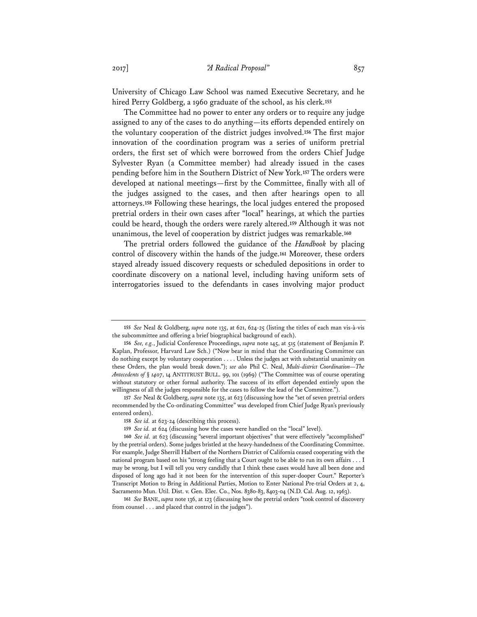University of Chicago Law School was named Executive Secretary, and he hired Perry Goldberg, a 1960 graduate of the school, as his clerk.**<sup>155</sup>**

The Committee had no power to enter any orders or to require any judge assigned to any of the cases to do anything—its efforts depended entirely on the voluntary cooperation of the district judges involved.**<sup>156</sup>** The first major innovation of the coordination program was a series of uniform pretrial orders, the first set of which were borrowed from the orders Chief Judge Sylvester Ryan (a Committee member) had already issued in the cases pending before him in the Southern District of New York.**<sup>157</sup>** The orders were developed at national meetings—first by the Committee, finally with all of the judges assigned to the cases, and then after hearings open to all attorneys.**<sup>158</sup>** Following these hearings, the local judges entered the proposed pretrial orders in their own cases after "local" hearings, at which the parties could be heard, though the orders were rarely altered.**<sup>159</sup>** Although it was not unanimous, the level of cooperation by district judges was remarkable.**<sup>160</sup>**

The pretrial orders followed the guidance of the *Handbook* by placing control of discovery within the hands of the judge.**<sup>161</sup>** Moreover, these orders stayed already issued discovery requests or scheduled depositions in order to coordinate discovery on a national level, including having uniform sets of interrogatories issued to the defendants in cases involving major product

**157** *See* Neal & Goldberg, *supra* note 135, at 623 (discussing how the "set of seven pretrial orders recommended by the Co-ordinating Committee" was developed from Chief Judge Ryan's previously entered orders).

**<sup>155</sup>** *See* Neal & Goldberg, *supra* note 135, at 621, 624-25 (listing the titles of each man vis-à-vis the subcommittee and offering a brief biographical background of each).

**<sup>156</sup>** *See, e.g.*, Judicial Conference Proceedings, *supra* note 145, at 515 (statement of Benjamin P. Kaplan, Professor, Harvard Law Sch.) ("Now bear in mind that the Coordinating Committee can do nothing except by voluntary cooperation . . . . Unless the judges act with substantial unanimity on these Orders, the plan would break down."); *see also* Phil C. Neal, *Multi-district Coordination—The Antecedents of* § *1407*, 14 ANTITRUST BULL. 99, 101 (1969) ("The Committee was of course operating without statutory or other formal authority. The success of its effort depended entirely upon the willingness of all the judges responsible for the cases to follow the lead of the Committee.").

**<sup>158</sup>** *See id.* at 623-24 (describing this process).

**<sup>159</sup>** *See id.* at 624 (discussing how the cases were handled on the "local" level).

**<sup>160</sup>** *See id.* at 623 (discussing "several important objectives" that were effectively "accomplished" by the pretrial orders). Some judges bristled at the heavy-handedness of the Coordinating Committee. For example, Judge Sherrill Halbert of the Northern District of California ceased cooperating with the national program based on his "strong feeling that a Court ought to be able to run its own affairs . . . I may be wrong, but I will tell you very candidly that I think these cases would have all been done and disposed of long ago had it not been for the intervention of this super-dooper Court." Reporter's Transcript Motion to Bring in Additional Parties, Motion to Enter National Pre-trial Orders at 2, 4, Sacramento Mun. Util. Dist. v. Gen. Elec. Co., Nos. 8380-83, 8403-04 (N.D. Cal. Aug. 12, 1963).

**<sup>161</sup>** *See* BANE, *supra* note 136, at 123 (discussing how the pretrial orders "took control of discovery from counsel . . . and placed that control in the judges").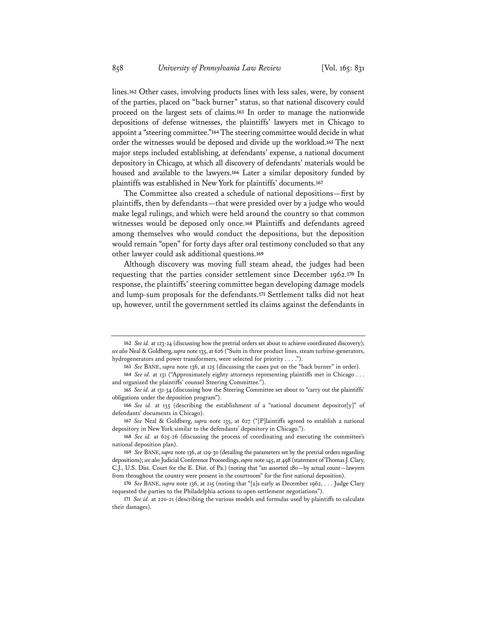lines.**<sup>162</sup>** Other cases, involving products lines with less sales, were, by consent of the parties, placed on "back burner" status, so that national discovery could proceed on the largest sets of claims.**<sup>163</sup>** In order to manage the nationwide depositions of defense witnesses, the plaintiffs' lawyers met in Chicago to appoint a "steering committee."**<sup>164</sup>** The steering committee would decide in what order the witnesses would be deposed and divide up the workload.**<sup>165</sup>** The next major steps included establishing, at defendants' expense, a national document depository in Chicago, at which all discovery of defendants' materials would be housed and available to the lawyers.**<sup>166</sup>** Later a similar depository funded by plaintiffs was established in New York for plaintiffs' documents.**<sup>167</sup>**

The Committee also created a schedule of national depositions—first by plaintiffs, then by defendants—that were presided over by a judge who would make legal rulings, and which were held around the country so that common witnesses would be deposed only once.**<sup>168</sup>** Plaintiffs and defendants agreed among themselves who would conduct the depositions, but the deposition would remain "open" for forty days after oral testimony concluded so that any other lawyer could ask additional questions.**<sup>169</sup>**

Although discovery was moving full steam ahead, the judges had been requesting that the parties consider settlement since December 1962.**<sup>170</sup>** In response, the plaintiffs' steering committee began developing damage models and lump-sum proposals for the defendants.**<sup>171</sup>** Settlement talks did not heat up, however, until the government settled its claims against the defendants in

**<sup>162</sup>** *See id.* at 123-24 (discussing how the pretrial orders set about to achieve coordinated discovery); *see also* Neal & Goldberg, *supra* note 135, at 626 ("Suits in three product lines, steam turbine-generators, hydrogenerators and power transformers, were selected for priority . . . .").

**<sup>163</sup>** *See* BANE, *supra* note 136, at 125 (discussing the cases put on the "back burner" in order). **164** *See id.* at 131 ("Approximately eighty attorneys representing plaintiffs met in Chicago . . .

and organized the plaintiffs' counsel Steering Committee."). **165** *See id.* at 131-34 (discussing how the Steering Committee set about to "carry out the plaintiffs' obligations under the deposition program").

**<sup>166</sup>** *See id.* at 135 (describing the establishment of a "national document depositor[y]" of defendants' documents in Chicago).

**<sup>167</sup>** *See* Neal & Goldberg, *supra* note 135, at 627 ("[P]laintiffs agreed to establish a national depository in New York similar to the defendants' depository in Chicago.").

**<sup>168</sup>** *See id.* at 625-26 (discussing the process of coordinating and executing the committee's national deposition plan).

**<sup>169</sup>** *See* BANE, *supra* note 136, at 129-30 (detailing the parameters set by the pretrial orders regarding depositions); *see also* Judicial Conference Proceedings, *supra* note 145, at 498 (statement of Thomas J. Clary, C.J., U.S. Dist. Court for the E. Dist. of Pa.) (noting that "an assorted 180—by actual count—lawyers from throughout the country were present in the courtroom" for the first national deposition).

**<sup>170</sup>** *See* BANE, *supra* note 136, at 215 (noting that "[a]s early as December 1962, . . . Judge Clary requested the parties to the Philadelphia actions to open settlement negotiations").

**<sup>171</sup>** *See id.* at 220-21 (describing the various models and formulas used by plaintiffs to calculate their damages).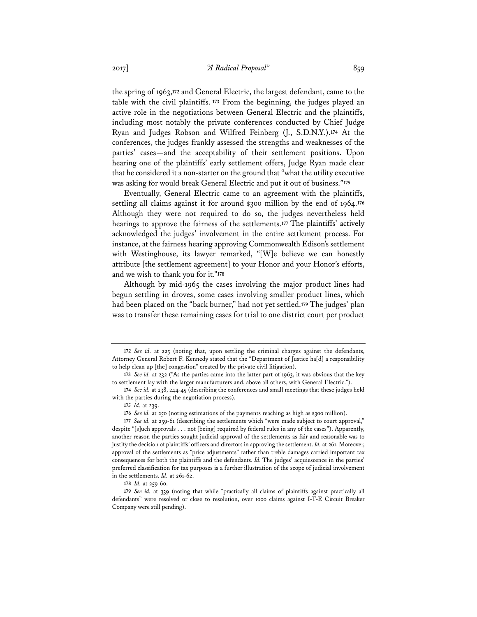the spring of 1963,**<sup>172</sup>** and General Electric, the largest defendant, came to the table with the civil plaintiffs.**<sup>173</sup>** From the beginning, the judges played an active role in the negotiations between General Electric and the plaintiffs, including most notably the private conferences conducted by Chief Judge Ryan and Judges Robson and Wilfred Feinberg (J., S.D.N.Y.).**<sup>174</sup>** At the conferences, the judges frankly assessed the strengths and weaknesses of the parties' cases—and the acceptability of their settlement positions. Upon hearing one of the plaintiffs' early settlement offers, Judge Ryan made clear that he considered it a non-starter on the ground that "what the utility executive was asking for would break General Electric and put it out of business."**<sup>175</sup>**

Eventually, General Electric came to an agreement with the plaintiffs, settling all claims against it for around \$300 million by the end of 1964.**<sup>176</sup>** Although they were not required to do so, the judges nevertheless held hearings to approve the fairness of the settlements.**<sup>177</sup>** The plaintiffs' actively acknowledged the judges' involvement in the entire settlement process. For instance, at the fairness hearing approving Commonwealth Edison's settlement with Westinghouse, its lawyer remarked, "[W]e believe we can honestly attribute [the settlement agreement] to your Honor and your Honor's efforts, and we wish to thank you for it."**<sup>178</sup>**

Although by mid-1965 the cases involving the major product lines had begun settling in droves, some cases involving smaller product lines, which had been placed on the "back burner," had not yet settled.**<sup>179</sup>** The judges' plan was to transfer these remaining cases for trial to one district court per product

**<sup>172</sup>** *See id.* at 225 (noting that, upon settling the criminal charges against the defendants, Attorney General Robert F. Kennedy stated that the "Department of Justice ha[d] a responsibility to help clean up [the] congestion" created by the private civil litigation).

**<sup>173</sup>** *See id.* at 232 ("As the parties came into the latter part of 1963, it was obvious that the key to settlement lay with the larger manufacturers and, above all others, with General Electric.").

**<sup>174</sup>** *See id.* at 238, 244-45 (describing the conferences and small meetings that these judges held with the parties during the negotiation process).

**<sup>175</sup>** *Id.* at 239.

**<sup>176</sup>** *See id.* at 250 (noting estimations of the payments reaching as high as \$300 million).

**<sup>177</sup>** *See id.* at 259-61 (describing the settlements which "were made subject to court approval," despite "[s]uch approvals . . . not [being] required by federal rules in any of the cases"). Apparently, another reason the parties sought judicial approval of the settlements as fair and reasonable was to justify the decision of plaintiffs' officers and directors in approving the settlement. *Id.* at 261. Moreover, approval of the settlements as "price adjustments" rather than treble damages carried important tax consequences for both the plaintiffs and the defendants. *Id.* The judges' acquiescence in the parties' preferred classification for tax purposes is a further illustration of the scope of judicial involvement in the settlements. *Id.* at 261-62.

**<sup>178</sup>** *Id.* at 259-60.

**<sup>179</sup>** *See id.* at 339 (noting that while "practically all claims of plaintiffs against practically all defendants" were resolved or close to resolution, over 1000 claims against I-T-E Circuit Breaker Company were still pending).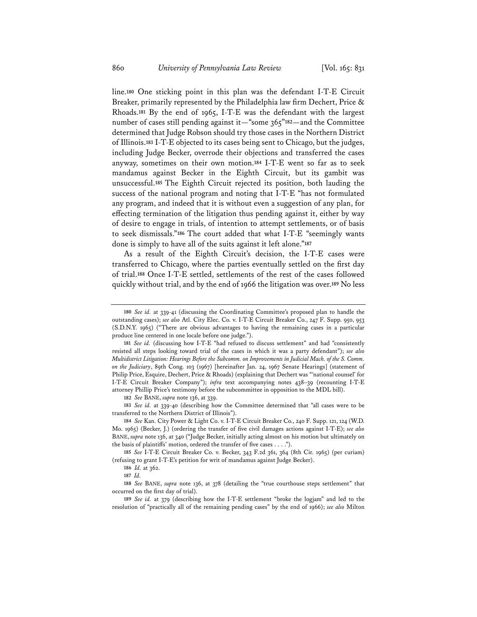line.**<sup>180</sup>** One sticking point in this plan was the defendant I-T-E Circuit Breaker, primarily represented by the Philadelphia law firm Dechert, Price & Rhoads.**<sup>181</sup>** By the end of 1965, I-T-E was the defendant with the largest number of cases still pending against it—"some 365"**<sup>182</sup>**—and the Committee determined that Judge Robson should try those cases in the Northern District of Illinois.**<sup>183</sup>** I-T-E objected to its cases being sent to Chicago, but the judges, including Judge Becker, overrode their objections and transferred the cases anyway, sometimes on their own motion.**<sup>184</sup>** I-T-E went so far as to seek mandamus against Becker in the Eighth Circuit, but its gambit was unsuccessful.**<sup>185</sup>** The Eighth Circuit rejected its position, both lauding the success of the national program and noting that I-T-E "has not formulated any program, and indeed that it is without even a suggestion of any plan, for effecting termination of the litigation thus pending against it, either by way of desire to engage in trials, of intention to attempt settlements, or of basis to seek dismissals."**<sup>186</sup>** The court added that what I-T-E "seemingly wants done is simply to have all of the suits against it left alone."**<sup>187</sup>**

As a result of the Eighth Circuit's decision, the I-T-E cases were transferred to Chicago, where the parties eventually settled on the first day of trial.**<sup>188</sup>** Once I-T-E settled, settlements of the rest of the cases followed quickly without trial, and by the end of 1966 the litigation was over.**<sup>189</sup>** No less

**182** *See* BANE, *supra* note 136, at 339.

**183** *See id.* at 339-40 (describing how the Committee determined that "all cases were to be transferred to the Northern District of Illinois").

**<sup>180</sup>** *See id.* at 339-41 (discussing the Coordinating Committee's proposed plan to handle the outstanding cases); *see also* Atl. City Elec. Co. v. I-T-E Circuit Breaker Co., 247 F. Supp. 950, 953 (S.D.N.Y. 1965) ("There are obvious advantages to having the remaining cases in a particular produce line centered in one locale before one judge.").

**<sup>181</sup>** *See id.* (discussing how I-T-E "had refused to discuss settlement" and had "consistently resisted all steps looking toward trial of the cases in which it was a party defendant"); *see also Multidistrict Litigation: Hearings Before the Subcomm. on Improvements in Judicial Mach. of the S. Comm. on the Judiciary*, 89th Cong. 103 (1967) [hereinafter Jan. 24, 1967 Senate Hearings] (statement of Philip Price, Esquire, Dechert, Price & Rhoads) (explaining that Dechert was "'national counsel' for I-T-E Circuit Breaker Company"); *infra* text accompanying notes 438–39 (recounting I-T-E attorney Phillip Price's testimony before the subcommittee in opposition to the MDL bill).

**<sup>184</sup>** *See* Kan. City Power & Light Co. v. I-T-E Circuit Breaker Co., 240 F. Supp. 121, 124 (W.D. Mo. 1965) (Becker, J.) (ordering the transfer of five civil damages actions against I-T-E); *see also* BANE, *supra* note 136, at 340 ("Judge Becker, initially acting almost on his motion but ultimately on the basis of plaintiffs' motion, ordered the transfer of five cases . . . .").

**<sup>185</sup>** *See* I-T-E Circuit Breaker Co. v. Becker, 343 F.2d 361, 364 (8th Cir. 1965) (per curiam) (refusing to grant I-T-E's petition for writ of mandamus against Judge Becker).

**<sup>186</sup>** *Id.* at 362.

**<sup>187</sup>** *Id.*

**<sup>188</sup>** *See* BANE, *supra* note 136, at 378 (detailing the "true courthouse steps settlement" that occurred on the first day of trial).

**<sup>189</sup>** *See id.* at 379 (describing how the I-T-E settlement "broke the logjam" and led to the resolution of "practically all of the remaining pending cases" by the end of 1966); *see also* Milton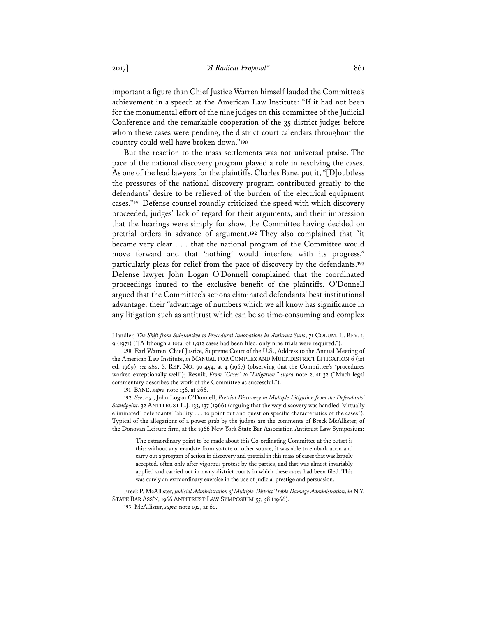important a figure than Chief Justice Warren himself lauded the Committee's achievement in a speech at the American Law Institute: "If it had not been for the monumental effort of the nine judges on this committee of the Judicial Conference and the remarkable cooperation of the 35 district judges before whom these cases were pending, the district court calendars throughout the country could well have broken down."**<sup>190</sup>**

But the reaction to the mass settlements was not universal praise. The pace of the national discovery program played a role in resolving the cases. As one of the lead lawyers for the plaintiffs, Charles Bane, put it, "[D]oubtless the pressures of the national discovery program contributed greatly to the defendants' desire to be relieved of the burden of the electrical equipment cases."**<sup>191</sup>** Defense counsel roundly criticized the speed with which discovery proceeded, judges' lack of regard for their arguments, and their impression that the hearings were simply for show, the Committee having decided on pretrial orders in advance of argument.**<sup>192</sup>** They also complained that "it became very clear . . . that the national program of the Committee would move forward and that 'nothing' would interfere with its progress," particularly pleas for relief from the pace of discovery by the defendants.**<sup>193</sup>** Defense lawyer John Logan O'Donnell complained that the coordinated proceedings inured to the exclusive benefit of the plaintiffs. O'Donnell argued that the Committee's actions eliminated defendants' best institutional advantage: their "advantage of numbers which we all know has significance in any litigation such as antitrust which can be so time-consuming and complex

**191** BANE, *supra* note 136, at 266.

**192** *See, e.g.*, John Logan O'Donnell, *Pretrial Discovery in Multiple Litigation from the Defendants' Standpoint*, 32 ANTITRUST L.J. 133, 137 (1966) (arguing that the way discovery was handled "virtually eliminated" defendants' "ability . . . to point out and question specific characteristics of the cases"). Typical of the allegations of a power grab by the judges are the comments of Breck McAllister, of the Donovan Leisure firm, at the 1966 New York State Bar Association Antitrust Law Symposium:

The extraordinary point to be made about this Co-ordinating Committee at the outset is this: without any mandate from statute or other source, it was able to embark upon and carry out a program of action in discovery and pretrial in this mass of cases that was largely accepted, often only after vigorous protest by the parties, and that was almost invariably applied and carried out in many district courts in which these cases had been filed. This was surely an extraordinary exercise in the use of judicial prestige and persuasion.

Breck P. McAllister, *Judicial Administration of Multiple-District Treble Damage Administration*, *in* N.Y. STATE BAR ASS'N, 1966 ANTITRUST LAW SYMPOSIUM 55, 58 (1966).

**193** McAllister, *supra* note 192, at 60.

Handler, *The Shift from Substantive to Procedural Innovations in Antitrust Suits*, 71 COLUM. L. REV. 1, 9 (1971) ("[A]lthough a total of 1,912 cases had been filed, only nine trials were required.").

**<sup>190</sup>** Earl Warren, Chief Justice, Supreme Court of the U.S., Address to the Annual Meeting of the American Law Institute, *in* MANUAL FOR COMPLEX AND MULTIDISTRICT LITIGATION 6 (1st ed. 1969); *see also*, S. REP. NO. 90-454, at 4 (1967) (observing that the Committee's "procedures worked exceptionally well"); Resnik, *From "Cases" to "Litigation*,*" supra* note 2, at 32 ("Much legal commentary describes the work of the Committee as successful.").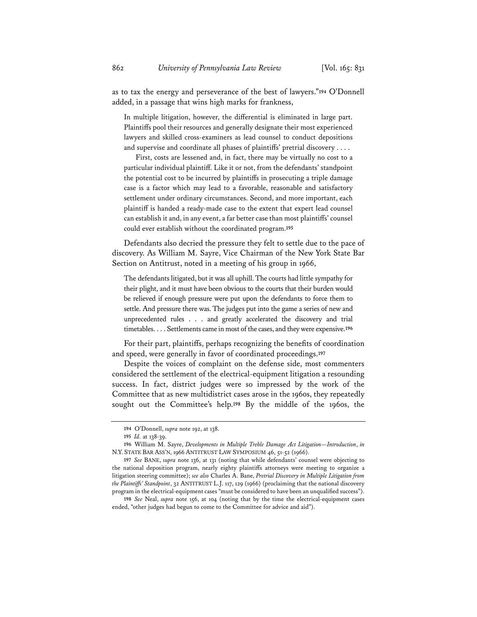as to tax the energy and perseverance of the best of lawyers."**<sup>194</sup>** O'Donnell added, in a passage that wins high marks for frankness,

In multiple litigation, however, the differential is eliminated in large part. Plaintiffs pool their resources and generally designate their most experienced lawyers and skilled cross-examiners as lead counsel to conduct depositions and supervise and coordinate all phases of plaintiffs' pretrial discovery . . . .

First, costs are lessened and, in fact, there may be virtually no cost to a particular individual plaintiff. Like it or not, from the defendants' standpoint the potential cost to be incurred by plaintiffs in prosecuting a triple damage case is a factor which may lead to a favorable, reasonable and satisfactory settlement under ordinary circumstances. Second, and more important, each plaintiff is handed a ready-made case to the extent that expert lead counsel can establish it and, in any event, a far better case than most plaintiffs' counsel could ever establish without the coordinated program.**<sup>195</sup>**

Defendants also decried the pressure they felt to settle due to the pace of discovery. As William M. Sayre, Vice Chairman of the New York State Bar Section on Antitrust, noted in a meeting of his group in 1966,

The defendants litigated, but it was all uphill. The courts had little sympathy for their plight, and it must have been obvious to the courts that their burden would be relieved if enough pressure were put upon the defendants to force them to settle. And pressure there was. The judges put into the game a series of new and unprecedented rules . . . and greatly accelerated the discovery and trial timetables. . . . Settlements came in most of the cases, and they were expensive.**<sup>196</sup>**

For their part, plaintiffs, perhaps recognizing the benefits of coordination and speed, were generally in favor of coordinated proceedings.**<sup>197</sup>**

Despite the voices of complaint on the defense side, most commenters considered the settlement of the electrical-equipment litigation a resounding success. In fact, district judges were so impressed by the work of the Committee that as new multidistrict cases arose in the 1960s, they repeatedly sought out the Committee's help.**<sup>198</sup>** By the middle of the 1960s, the

**198** *See* Neal, *supra* note 156, at 104 (noting that by the time the electrical-equipment cases ended, "other judges had begun to come to the Committee for advice and aid").

**<sup>194</sup>** O'Donnell, *supra* note 192, at 138.

**<sup>195</sup>** *Id.* at 138-39.

**<sup>196</sup>** William M. Sayre, *Developments in Multiple Treble Damage Act Litigation—Introduction*, *in* N.Y. STATE BAR ASS'N, 1966 ANTITRUST LAW SYMPOSIUM 46, 51-52 (1966).

**<sup>197</sup>** *See* BANE, *supra* note 136, at 131 (noting that while defendants' counsel were objecting to the national deposition program, nearly eighty plaintiffs attorneys were meeting to organize a litigation steering committee); *see also* Charles A. Bane, *Pretrial Discovery in Multiple Litigation from the Plaintiffs' Standpoint*, 32 ANTITRUST L.J. 117, 129 (1966) (proclaiming that the national discovery program in the electrical-equipment cases "must be considered to have been an unqualified success").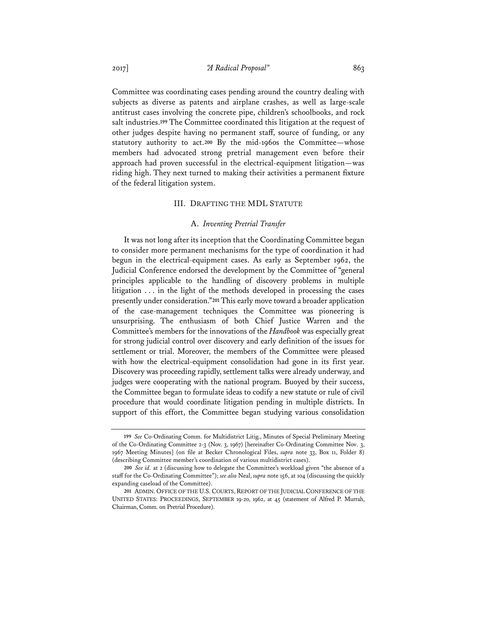Committee was coordinating cases pending around the country dealing with subjects as diverse as patents and airplane crashes, as well as large-scale antitrust cases involving the concrete pipe, children's schoolbooks, and rock salt industries.**<sup>199</sup>** The Committee coordinated this litigation at the request of other judges despite having no permanent staff, source of funding, or any statutory authority to act.**<sup>200</sup>** By the mid-1960s the Committee—whose members had advocated strong pretrial management even before their approach had proven successful in the electrical-equipment litigation—was riding high. They next turned to making their activities a permanent fixture of the federal litigation system.

### III. DRAFTING THE MDL STATUTE

### A. *Inventing Pretrial Transfer*

It was not long after its inception that the Coordinating Committee began to consider more permanent mechanisms for the type of coordination it had begun in the electrical-equipment cases. As early as September 1962, the Judicial Conference endorsed the development by the Committee of "general principles applicable to the handling of discovery problems in multiple litigation . . . in the light of the methods developed in processing the cases presently under consideration."**<sup>201</sup>** This early move toward a broader application of the case-management techniques the Committee was pioneering is unsurprising. The enthusiasm of both Chief Justice Warren and the Committee's members for the innovations of the *Handbook* was especially great for strong judicial control over discovery and early definition of the issues for settlement or trial. Moreover, the members of the Committee were pleased with how the electrical-equipment consolidation had gone in its first year. Discovery was proceeding rapidly, settlement talks were already underway, and judges were cooperating with the national program. Buoyed by their success, the Committee began to formulate ideas to codify a new statute or rule of civil procedure that would coordinate litigation pending in multiple districts. In support of this effort, the Committee began studying various consolidation

**<sup>199</sup>** *See* Co-Ordinating Comm. for Multidistrict Litig., Minutes of Special Preliminary Meeting of the Co-Ordinating Committee 2-3 (Nov. 3, 1967) [hereinafter Co-Ordinating Committee Nov. 3, 1967 Meeting Minutes] (on file at Becker Chronological Files, *supra* note 33, Box 11, Folder 8) (describing Committee member's coordination of various multidistrict cases).

**<sup>200</sup>** *See id.* at 2 (discussing how to delegate the Committee's workload given "the absence of a staff for the Co-Ordinating Committee"); *see also* Neal, *supra* note 156, at 104 (discussing the quickly expanding caseload of the Committee).

**<sup>201</sup>** ADMIN. OFFICE OF THE U.S. COURTS, REPORT OF THE JUDICIAL CONFERENCE OF THE UNITED STATES: PROCEEDINGS, SEPTEMBER 19-20, 1962, at 45 (statement of Alfred P. Murrah, Chairman, Comm. on Pretrial Procedure).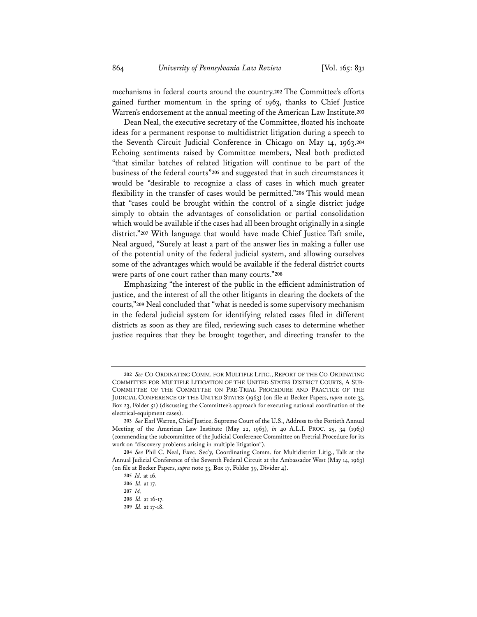mechanisms in federal courts around the country.**<sup>202</sup>** The Committee's efforts gained further momentum in the spring of 1963, thanks to Chief Justice Warren's endorsement at the annual meeting of the American Law Institute.**<sup>203</sup>**

Dean Neal, the executive secretary of the Committee, floated his inchoate ideas for a permanent response to multidistrict litigation during a speech to the Seventh Circuit Judicial Conference in Chicago on May 14, 1963.**<sup>204</sup>** Echoing sentiments raised by Committee members, Neal both predicted "that similar batches of related litigation will continue to be part of the business of the federal courts"**<sup>205</sup>** and suggested that in such circumstances it would be "desirable to recognize a class of cases in which much greater flexibility in the transfer of cases would be permitted."**<sup>206</sup>** This would mean that "cases could be brought within the control of a single district judge simply to obtain the advantages of consolidation or partial consolidation which would be available if the cases had all been brought originally in a single district."**<sup>207</sup>** With language that would have made Chief Justice Taft smile, Neal argued, "Surely at least a part of the answer lies in making a fuller use of the potential unity of the federal judicial system, and allowing ourselves some of the advantages which would be available if the federal district courts were parts of one court rather than many courts."**<sup>208</sup>**

Emphasizing "the interest of the public in the efficient administration of justice, and the interest of all the other litigants in clearing the dockets of the courts,"**<sup>209</sup>** Neal concluded that "what is needed is some supervisory mechanism in the federal judicial system for identifying related cases filed in different districts as soon as they are filed, reviewing such cases to determine whether justice requires that they be brought together, and directing transfer to the

**<sup>202</sup>** *See* CO-ORDINATING COMM. FOR MULTIPLE LITIG., REPORT OF THE CO-ORDINATING COMMITTEE FOR MULTIPLE LITIGATION OF THE UNITED STATES DISTRICT COURTS, A SUB-COMMITTEE OF THE COMMITTEE ON PRE-TRIAL PROCEDURE AND PRACTICE OF THE JUDICIAL CONFERENCE OF THE UNITED STATES (1963) (on file at Becker Papers, *supra* note 33, Box 23, Folder 51) (discussing the Committee's approach for executing national coordination of the electrical-equipment cases).

**<sup>203</sup>** *See* Earl Warren, Chief Justice, Supreme Court of the U.S., Address to the Fortieth Annual Meeting of the American Law Institute (May 22, 1963), *in* 40 A.L.I. PROC. 25, 34 (1963) (commending the subcommittee of the Judicial Conference Committee on Pretrial Procedure for its work on "discovery problems arising in multiple litigation").

**<sup>204</sup>** *See* Phil C. Neal, Exec. Sec'y, Coordinating Comm. for Multidistrict Litig., Talk at the Annual Judicial Conference of the Seventh Federal Circuit at the Ambassador West (May 14, 1963) (on file at Becker Papers, *supra* note 33, Box 17, Folder 39, Divider 4).

**<sup>205</sup>** *Id.* at 16.

**<sup>206</sup>** *Id.* at 17.

**<sup>207</sup>** *Id.*

**<sup>208</sup>** *Id.* at 16-17.

**<sup>209</sup>** *Id.* at 17-18.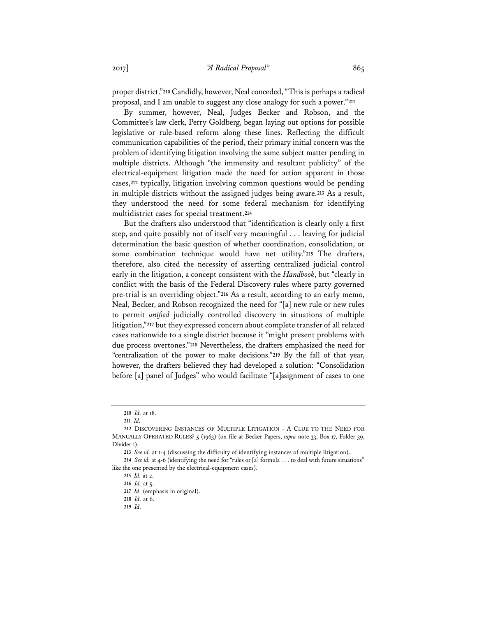proper district."**<sup>210</sup>** Candidly, however, Neal conceded, "This is perhaps a radical proposal, and I am unable to suggest any close analogy for such a power."**<sup>211</sup>**

By summer, however, Neal, Judges Becker and Robson, and the Committee's law clerk, Perry Goldberg, began laying out options for possible legislative or rule-based reform along these lines. Reflecting the difficult communication capabilities of the period, their primary initial concern was the problem of identifying litigation involving the same subject matter pending in multiple districts. Although "the immensity and resultant publicity" of the electrical-equipment litigation made the need for action apparent in those cases,**<sup>212</sup>** typically, litigation involving common questions would be pending in multiple districts without the assigned judges being aware.**<sup>213</sup>** As a result, they understood the need for some federal mechanism for identifying multidistrict cases for special treatment.**<sup>214</sup>**

But the drafters also understood that "identification is clearly only a first step, and quite possibly not of itself very meaningful . . . leaving for judicial determination the basic question of whether coordination, consolidation, or some combination technique would have net utility."**<sup>215</sup>** The drafters, therefore, also cited the necessity of asserting centralized judicial control early in the litigation, a concept consistent with the *Handbook*, but "clearly in conflict with the basis of the Federal Discovery rules where party governed pre-trial is an overriding object."**<sup>216</sup>** As a result, according to an early memo, Neal, Becker, and Robson recognized the need for "[a] new rule or new rules to permit *unified* judicially controlled discovery in situations of multiple litigation,"**<sup>217</sup>** but they expressed concern about complete transfer of all related cases nationwide to a single district because it "might present problems with due process overtones."**<sup>218</sup>** Nevertheless, the drafters emphasized the need for "centralization of the power to make decisions."**<sup>219</sup>** By the fall of that year, however, the drafters believed they had developed a solution: "Consolidation before [a] panel of Judges" who would facilitate "[a]ssignment of cases to one

**<sup>210</sup>** *Id.* at 18.

**<sup>211</sup>** *Id.* 

**<sup>212</sup>** DISCOVERING INSTANCES OF MULTIPLE LITIGATION - A CLUE TO THE NEED FOR MANUALLY OPERATED RULES? 5 (1963) (on file at Becker Papers, *supra* note 33, Box 17, Folder 39, Divider 1).

**<sup>213</sup>** *See id.* at 1-4 (discussing the difficulty of identifying instances of multiple litigation).

**<sup>214</sup>** *See id.* at 4-6 (identifying the need for "rules or [a] formula . . . to deal with future situations" like the one presented by the electrical-equipment cases).

**<sup>215</sup>** *Id.* at 2.

**<sup>216</sup>** *Id.* at 5.

**<sup>217</sup>** *Id.* (emphasis in original).

**<sup>218</sup>** *Id.* at 6. **219** *Id.*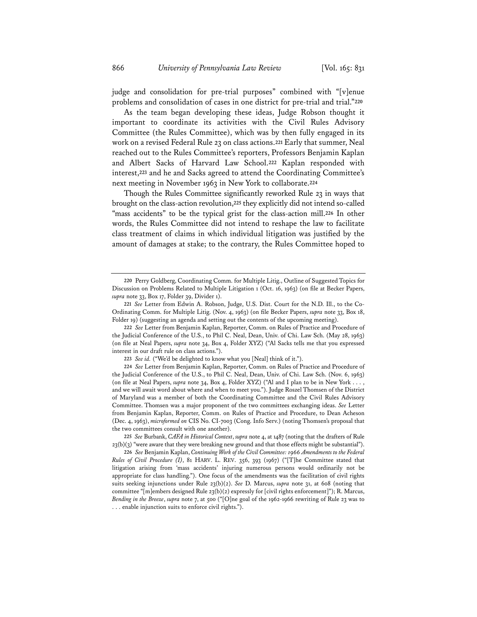judge and consolidation for pre-trial purposes" combined with "[v]enue problems and consolidation of cases in one district for pre-trial and trial."**<sup>220</sup>**

As the team began developing these ideas, Judge Robson thought it important to coordinate its activities with the Civil Rules Advisory Committee (the Rules Committee), which was by then fully engaged in its work on a revised Federal Rule 23 on class actions.**<sup>221</sup>** Early that summer, Neal reached out to the Rules Committee's reporters, Professors Benjamin Kaplan and Albert Sacks of Harvard Law School.**<sup>222</sup>** Kaplan responded with interest,**<sup>223</sup>** and he and Sacks agreed to attend the Coordinating Committee's next meeting in November 1963 in New York to collaborate.**<sup>224</sup>**

Though the Rules Committee significantly reworked Rule 23 in ways that brought on the class-action revolution,**<sup>225</sup>** they explicitly did not intend so-called "mass accidents" to be the typical grist for the class-action mill.**<sup>226</sup>** In other words, the Rules Committee did not intend to reshape the law to facilitate class treatment of claims in which individual litigation was justified by the amount of damages at stake; to the contrary, the Rules Committee hoped to

**<sup>220</sup>** Perry Goldberg, Coordinating Comm. for Multiple Litig., Outline of Suggested Topics for Discussion on Problems Related to Multiple Litigation 1 (Oct. 16, 1963) (on file at Becker Papers, *supra* note 33, Box 17, Folder 39, Divider 1).

**<sup>221</sup>** *See* Letter from Edwin A. Robson, Judge, U.S. Dist. Court for the N.D. Ill., to the Co-Ordinating Comm. for Multiple Litig. (Nov. 4, 1963) (on file Becker Papers, *supra* note 33, Box 18, Folder 19) (suggesting an agenda and setting out the contents of the upcoming meeting).

**<sup>222</sup>** *See* Letter from Benjamin Kaplan, Reporter, Comm. on Rules of Practice and Procedure of the Judicial Conference of the U.S., to Phil C. Neal, Dean, Univ. of Chi. Law Sch. (May 28, 1963) (on file at Neal Papers, *supra* note 34, Box 4, Folder XYZ) ("Al Sacks tells me that you expressed interest in our draft rule on class actions.").

**<sup>223</sup>** *See id.* ("We'd be delighted to know what you [Neal] think of it.").

**<sup>224</sup>** *See* Letter from Benjamin Kaplan, Reporter, Comm. on Rules of Practice and Procedure of the Judicial Conference of the U.S., to Phil C. Neal, Dean, Univ. of Chi. Law Sch. (Nov. 6, 1963) (on file at Neal Papers, *supra* note 34, Box 4, Folder XYZ) ("Al and I plan to be in New York . . . , and we will await word about where and when to meet you."). Judge Roszel Thomsen of the District of Maryland was a member of both the Coordinating Committee and the Civil Rules Advisory Committee. Thomsen was a major proponent of the two committees exchanging ideas. *See* Letter from Benjamin Kaplan, Reporter, Comm. on Rules of Practice and Procedure, to Dean Acheson (Dec. 4, 1963), *microformed on* CIS No. CI-7003 (Cong. Info Serv.) (noting Thomsen's proposal that the two committees consult with one another).

**<sup>225</sup>** *See* Burbank, *CAFA in Historical Context*, *supra* note 4, at 1487 (noting that the drafters of Rule  $23(b)(3)$  "were aware that they were breaking new ground and that those effects might be substantial").

**<sup>226</sup>** *See* Benjamin Kaplan, *Continuing Work of the Civil Committee: 1966 Amendments to the Federal Rules of Civil Procedure (I)*, 81 HARV. L. REV. 356, 393 (1967) ("[T]he Committee stated that litigation arising from 'mass accidents' injuring numerous persons would ordinarily not be appropriate for class handling."). One focus of the amendments was the facilitation of civil rights suits seeking injunctions under Rule 23(b)(2). *See* D. Marcus, *supra* note 31, at 608 (noting that committee "[m]embers designed Rule 23(b)(2) expressly for [civil rights enforcement]"); R. Marcus, *Bending in the Breeze*, *supra* note 7, at 500 ("[O]ne goal of the 1962-1966 rewriting of Rule 23 was to . . . enable injunction suits to enforce civil rights.").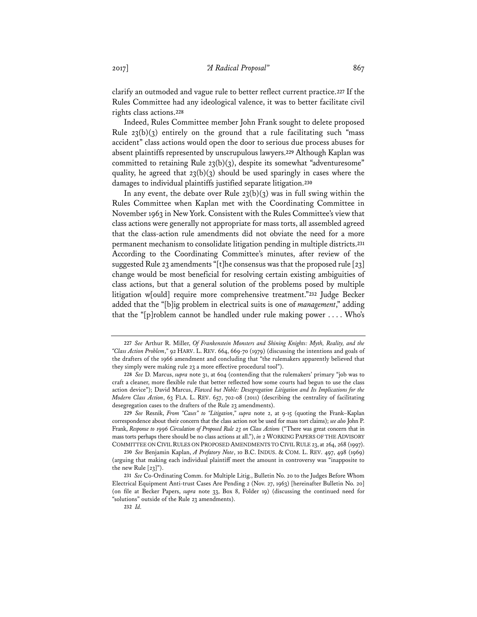clarify an outmoded and vague rule to better reflect current practice.**<sup>227</sup>** If the Rules Committee had any ideological valence, it was to better facilitate civil rights class actions.**<sup>228</sup>**

Indeed, Rules Committee member John Frank sought to delete proposed Rule  $23(b)(3)$  entirely on the ground that a rule facilitating such "mass" accident" class actions would open the door to serious due process abuses for absent plaintiffs represented by unscrupulous lawyers.**<sup>229</sup>** Although Kaplan was committed to retaining Rule 23(b)(3), despite its somewhat "adventuresome" quality, he agreed that  $23(b)(3)$  should be used sparingly in cases where the damages to individual plaintiffs justified separate litigation.**<sup>230</sup>**

In any event, the debate over Rule  $23(b)(3)$  was in full swing within the Rules Committee when Kaplan met with the Coordinating Committee in November 1963 in New York. Consistent with the Rules Committee's view that class actions were generally not appropriate for mass torts, all assembled agreed that the class-action rule amendments did not obviate the need for a more permanent mechanism to consolidate litigation pending in multiple districts.**<sup>231</sup>** According to the Coordinating Committee's minutes, after review of the suggested Rule 23 amendments "[t]he consensus was that the proposed rule [23] change would be most beneficial for resolving certain existing ambiguities of class actions, but that a general solution of the problems posed by multiple litigation w[ould] require more comprehensive treatment."**<sup>232</sup>** Judge Becker added that the "[b]ig problem in electrical suits is one of *management*," adding that the "[p]roblem cannot be handled under rule making power . . . . Who's

**<sup>227</sup>** *See* Arthur R. Miller, *Of Frankenstein Monsters and Shining Knights: Myth, Reality, and the "Class Action Problem*,*"* 92 HARV. L. REV. 664, 669-70 (1979) (discussing the intentions and goals of the drafters of the 1966 amendment and concluding that "the rulemakers apparently believed that they simply were making rule 23 a more effective procedural tool").

**<sup>228</sup>** *See* D. Marcus, *supra* note 31, at 604 (contending that the rulemakers' primary "job was to craft a cleaner, more flexible rule that better reflected how some courts had begun to use the class action device"); David Marcus, *Flawed but Noble: Desegregation Litigation and Its Implications for the Modern Class Action*, 63 FLA. L. REV. 657, 702-08 (2011) (describing the centrality of facilitating desegregation cases to the drafters of the Rule 23 amendments).

**<sup>229</sup>** *See* Resnik, *From "Cases" to "Litigation*,*" supra* note 2, at 9-15 (quoting the Frank–Kaplan correspondence about their concern that the class action not be used for mass tort claims); *see also* John P. Frank, *Response to 1996 Circulation of Proposed Rule 23 on Class Actions* ("There was great concern that in mass torts perhaps there should be no class actions at all."), *in* 2 WORKING PAPERS OF THE ADVISORY COMMITTEE ON CIVIL RULES ON PROPOSED AMENDMENTS TO CIVIL RULE 23, at 264, 268 (1997).

**<sup>230</sup>** *See* Benjamin Kaplan, *A Prefatory Note*, 10 B.C. INDUS. & COM. L. REV. 497, 498 (1969) (arguing that making each individual plaintiff meet the amount in controversy was "inapposite to the new Rule [23]").

**<sup>231</sup>** *See* Co-Ordinating Comm. for Multiple Litig., Bulletin No. 20 to the Judges Before Whom Electrical Equipment Anti-trust Cases Are Pending 2 (Nov. 27, 1963) [hereinafter Bulletin No. 20] (on file at Becker Papers, *supra* note 33, Box 8, Folder 19) (discussing the continued need for "solutions" outside of the Rule 23 amendments).

**<sup>232</sup>** *Id.*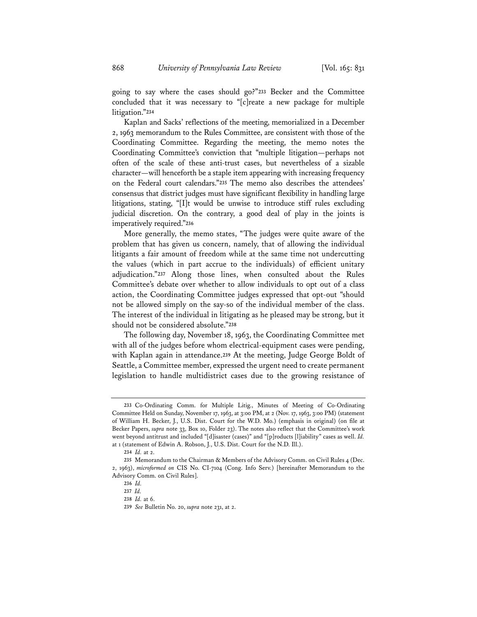going to say where the cases should go?"**<sup>233</sup>** Becker and the Committee concluded that it was necessary to "[c]reate a new package for multiple litigation."**<sup>234</sup>**

Kaplan and Sacks' reflections of the meeting, memorialized in a December 2, 1963 memorandum to the Rules Committee, are consistent with those of the Coordinating Committee. Regarding the meeting, the memo notes the Coordinating Committee's conviction that "multiple litigation—perhaps not often of the scale of these anti-trust cases, but nevertheless of a sizable character—will henceforth be a staple item appearing with increasing frequency on the Federal court calendars."**<sup>235</sup>** The memo also describes the attendees' consensus that district judges must have significant flexibility in handling large litigations, stating, "[I]t would be unwise to introduce stiff rules excluding judicial discretion. On the contrary, a good deal of play in the joints is imperatively required."**<sup>236</sup>**

More generally, the memo states, "The judges were quite aware of the problem that has given us concern, namely, that of allowing the individual litigants a fair amount of freedom while at the same time not undercutting the values (which in part accrue to the individuals) of efficient unitary adjudication."**<sup>237</sup>** Along those lines, when consulted about the Rules Committee's debate over whether to allow individuals to opt out of a class action, the Coordinating Committee judges expressed that opt-out "should not be allowed simply on the say-so of the individual member of the class. The interest of the individual in litigating as he pleased may be strong, but it should not be considered absolute."**<sup>238</sup>**

The following day, November 18, 1963, the Coordinating Committee met with all of the judges before whom electrical-equipment cases were pending, with Kaplan again in attendance.**<sup>239</sup>** At the meeting, Judge George Boldt of Seattle, a Committee member, expressed the urgent need to create permanent legislation to handle multidistrict cases due to the growing resistance of

**<sup>233</sup>** Co-Ordinating Comm. for Multiple Litig., Minutes of Meeting of Co-Ordinating Committee Held on Sunday, November 17, 1963, at 3:00 PM, at 2 (Nov. 17, 1963, 3:00 PM) (statement of William H. Becker, J., U.S. Dist. Court for the W.D. Mo.) (emphasis in original) (on file at Becker Papers, *supra* note 33, Box 10, Folder 23). The notes also reflect that the Committee's work went beyond antitrust and included "[d]isaster (cases)" and "[p]roducts [l]iability" cases as well. *Id.* at 1 (statement of Edwin A. Robson, J., U.S. Dist. Court for the N.D. Ill.).

**<sup>234</sup>** *Id.* at 2.

**<sup>235</sup>** Memorandum to the Chairman & Members of the Advisory Comm. on Civil Rules 4 (Dec. 2, 1963), *microformed on* CIS No. CI-7104 (Cong. Info Serv.) [hereinafter Memorandum to the Advisory Comm. on Civil Rules].

**<sup>236</sup>** *Id.*

**<sup>237</sup>** *Id.*

**<sup>238</sup>** *Id.* at 6.

**<sup>239</sup>** *See* Bulletin No. 20, *supra* note 231, at 2.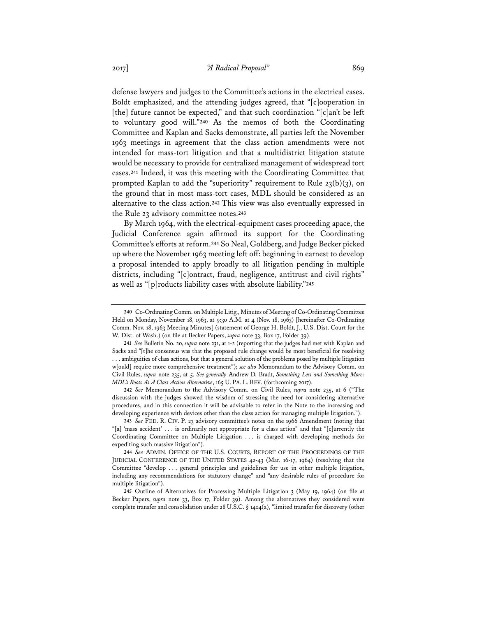defense lawyers and judges to the Committee's actions in the electrical cases. Boldt emphasized, and the attending judges agreed, that "[c]ooperation in [the] future cannot be expected," and that such coordination "[c]an't be left to voluntary good will."**<sup>240</sup>** As the memos of both the Coordinating Committee and Kaplan and Sacks demonstrate, all parties left the November 1963 meetings in agreement that the class action amendments were not intended for mass-tort litigation and that a multidistrict litigation statute would be necessary to provide for centralized management of widespread tort cases.**<sup>241</sup>** Indeed, it was this meeting with the Coordinating Committee that prompted Kaplan to add the "superiority" requirement to Rule  $23(b)(3)$ , on the ground that in most mass-tort cases, MDL should be considered as an alternative to the class action.**<sup>242</sup>** This view was also eventually expressed in the Rule 23 advisory committee notes.**<sup>243</sup>**

By March 1964, with the electrical-equipment cases proceeding apace, the Judicial Conference again affirmed its support for the Coordinating Committee's efforts at reform.**<sup>244</sup>** So Neal, Goldberg, and Judge Becker picked up where the November 1963 meeting left off: beginning in earnest to develop a proposal intended to apply broadly to all litigation pending in multiple districts, including "[c]ontract, fraud, negligence, antitrust and civil rights" as well as "[p]roducts liability cases with absolute liability."**<sup>245</sup>**

**242** *See* Memorandum to the Advisory Comm. on Civil Rules, *supra* note 235, at 6 ("The discussion with the judges showed the wisdom of stressing the need for considering alternative procedures, and in this connection it will be advisable to refer in the Note to the increasing and developing experience with devices other than the class action for managing multiple litigation.").

**243** *See* FED. R. CIV. P. 23 advisory committee's notes on the 1966 Amendment (noting that "[a] 'mass accident' . . . is ordinarily not appropriate for a class action" and that "[c]urrently the Coordinating Committee on Multiple Litigation . . . is charged with developing methods for expediting such massive litigation").

**244** *See* ADMIN. OFFICE OF THE U.S. COURTS, REPORT OF THE PROCEEDINGS OF THE JUDICIAL CONFERENCE OF THE UNITED STATES 42-43 (Mar. 16-17, 1964) (resolving that the Committee "develop . . . general principles and guidelines for use in other multiple litigation, including any recommendations for statutory change" and "any desirable rules of procedure for multiple litigation").

**245** Outline of Alternatives for Processing Multiple Litigation 3 (May 19, 1964) (on file at Becker Papers, *supra* note 33, Box 17, Folder 39). Among the alternatives they considered were complete transfer and consolidation under 28 U.S.C. § 1404(a), "limited transfer for discovery (other

**<sup>240</sup>** Co-Ordinating Comm. on Multiple Litig., Minutes of Meeting of Co-Ordinating Committee Held on Monday, November 18, 1963, at 9:30 A.M. at 4 (Nov. 18, 1963) [hereinafter Co-Ordinating Comm. Nov. 18, 1963 Meeting Minutes] (statement of George H. Boldt, J., U.S. Dist. Court for the W. Dist. of Wash.) (on file at Becker Papers, *supra* note 33, Box 17, Folder 39).

**<sup>241</sup>** *See* Bulletin No. 20, *supra* note 231, at 1-2 (reporting that the judges had met with Kaplan and Sacks and "[t]he consensus was that the proposed rule change would be most beneficial for resolving . . . ambiguities of class actions, but that a general solution of the problems posed by multiple litigation w[ould] require more comprehensive treatment"); *see also* Memorandum to the Advisory Comm. on Civil Rules, *supra* note 235, at 5. *See generally* Andrew D. Bradt, *Something Less and Something More: MDL's Roots As A Class Action Alternative*, 165 U. PA. L. REV. (forthcoming 2017).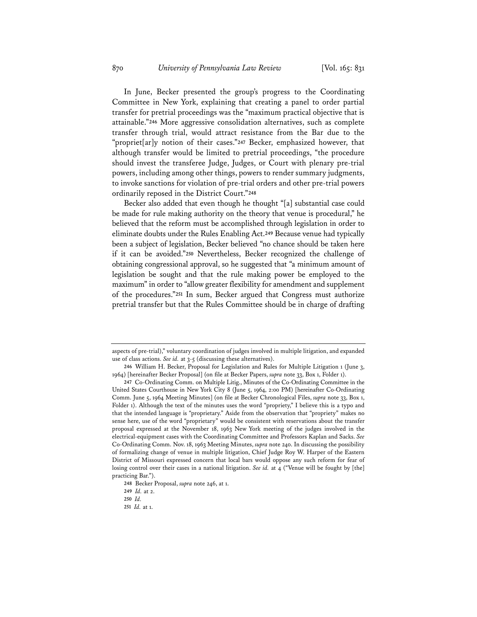In June, Becker presented the group's progress to the Coordinating Committee in New York, explaining that creating a panel to order partial transfer for pretrial proceedings was the "maximum practical objective that is attainable."**<sup>246</sup>** More aggressive consolidation alternatives, such as complete transfer through trial, would attract resistance from the Bar due to the "propriet[ar]y notion of their cases."**<sup>247</sup>** Becker, emphasized however, that although transfer would be limited to pretrial proceedings, "the procedure should invest the transferee Judge, Judges, or Court with plenary pre-trial powers, including among other things, powers to render summary judgments, to invoke sanctions for violation of pre-trial orders and other pre-trial powers ordinarily reposed in the District Court."**<sup>248</sup>**

Becker also added that even though he thought "[a] substantial case could be made for rule making authority on the theory that venue is procedural," he believed that the reform must be accomplished through legislation in order to eliminate doubts under the Rules Enabling Act.**<sup>249</sup>** Because venue had typically been a subject of legislation, Becker believed "no chance should be taken here if it can be avoided."**<sup>250</sup>** Nevertheless, Becker recognized the challenge of obtaining congressional approval, so he suggested that "a minimum amount of legislation be sought and that the rule making power be employed to the maximum" in order to "allow greater flexibility for amendment and supplement of the procedures."**<sup>251</sup>** In sum, Becker argued that Congress must authorize pretrial transfer but that the Rules Committee should be in charge of drafting

aspects of pre-trial)," voluntary coordination of judges involved in multiple litigation, and expanded use of class actions. *See id.* at 3-5 (discussing these alternatives).

**<sup>246</sup>** William H. Becker, Proposal for Legislation and Rules for Multiple Litigation 1 (June 3, 1964) [hereinafter Becker Proposal] (on file at Becker Papers, *supra* note 33, Box 1, Folder 1).

**<sup>247</sup>** Co-Ordinating Comm. on Multiple Litig., Minutes of the Co-Ordinating Committee in the United States Courthouse in New York City 8 (June 5, 1964, 2:00 PM) [hereinafter Co-Ordinating Comm. June 5, 1964 Meeting Minutes] (on file at Becker Chronological Files, *supra* note 33, Box 1, Folder 1). Although the text of the minutes uses the word "propriety," I believe this is a typo and that the intended language is "proprietary." Aside from the observation that "propriety" makes no sense here, use of the word "proprietary" would be consistent with reservations about the transfer proposal expressed at the November 18, 1963 New York meeting of the judges involved in the electrical-equipment cases with the Coordinating Committee and Professors Kaplan and Sacks. *See* Co-Ordinating Comm. Nov. 18, 1963 Meeting Minutes, *supra* note 240. In discussing the possibility of formalizing change of venue in multiple litigation, Chief Judge Roy W. Harper of the Eastern District of Missouri expressed concern that local bars would oppose any such reform for fear of losing control over their cases in a national litigation. *See id.* at 4 ("Venue will be fought by [the] practicing Bar.").

**<sup>248</sup>** Becker Proposal, *supra* note 246, at 1.

**<sup>249</sup>** *Id.* at 2.

**<sup>250</sup>** *Id.*

**<sup>251</sup>** *Id.* at 1.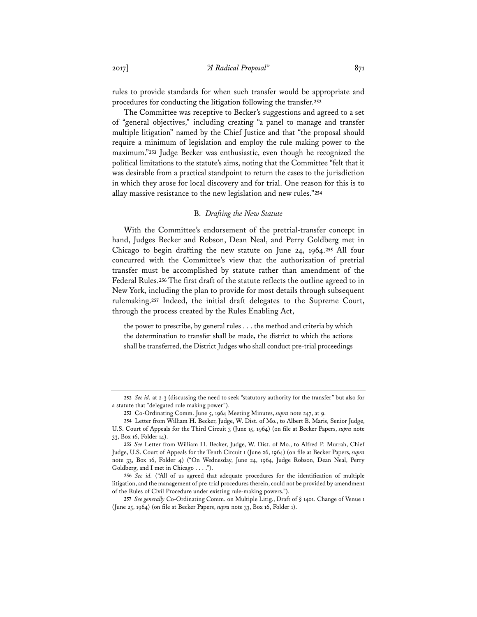rules to provide standards for when such transfer would be appropriate and procedures for conducting the litigation following the transfer.**<sup>252</sup>**

The Committee was receptive to Becker's suggestions and agreed to a set of "general objectives," including creating "a panel to manage and transfer multiple litigation" named by the Chief Justice and that "the proposal should require a minimum of legislation and employ the rule making power to the maximum."**<sup>253</sup>** Judge Becker was enthusiastic, even though he recognized the political limitations to the statute's aims, noting that the Committee "felt that it was desirable from a practical standpoint to return the cases to the jurisdiction in which they arose for local discovery and for trial. One reason for this is to allay massive resistance to the new legislation and new rules."**<sup>254</sup>**

### B. *Drafting the New Statute*

With the Committee's endorsement of the pretrial-transfer concept in hand, Judges Becker and Robson, Dean Neal, and Perry Goldberg met in Chicago to begin drafting the new statute on June 24, 1964.**<sup>255</sup>** All four concurred with the Committee's view that the authorization of pretrial transfer must be accomplished by statute rather than amendment of the Federal Rules.**<sup>256</sup>** The first draft of the statute reflects the outline agreed to in New York, including the plan to provide for most details through subsequent rulemaking.**<sup>257</sup>** Indeed, the initial draft delegates to the Supreme Court, through the process created by the Rules Enabling Act,

the power to prescribe, by general rules . . . the method and criteria by which the determination to transfer shall be made, the district to which the actions shall be transferred, the District Judges who shall conduct pre-trial proceedings

**<sup>252</sup>** *See id.* at 2-3 (discussing the need to seek "statutory authority for the transfer" but also for a statute that "delegated rule making power").

**<sup>253</sup>** Co-Ordinating Comm. June 5, 1964 Meeting Minutes, *supra* note 247, at 9.

**<sup>254</sup>** Letter from William H. Becker, Judge, W. Dist. of Mo., to Albert B. Maris, Senior Judge, U.S. Court of Appeals for the Third Circuit 3 (June 15, 1964) (on file at Becker Papers, *supra* note 33, Box 16, Folder 14).

**<sup>255</sup>** *See* Letter from William H. Becker, Judge, W. Dist. of Mo., to Alfred P. Murrah, Chief Judge, U.S. Court of Appeals for the Tenth Circuit 1 (June 26, 1964) (on file at Becker Papers, *supra* note 33, Box 16, Folder 4) ("On Wednesday, June 24, 1964, Judge Robson, Dean Neal, Perry Goldberg, and I met in Chicago . . . .").

**<sup>256</sup>** *See id.* ("All of us agreed that adequate procedures for the identification of multiple litigation, and the management of pre-trial procedures therein, could not be provided by amendment of the Rules of Civil Procedure under existing rule-making powers.").

**<sup>257</sup>** *See generally* Co-Ordinating Comm. on Multiple Litig., Draft of § 1401. Change of Venue 1 (June 25, 1964) (on file at Becker Papers, *supra* note 33, Box 16, Folder 1).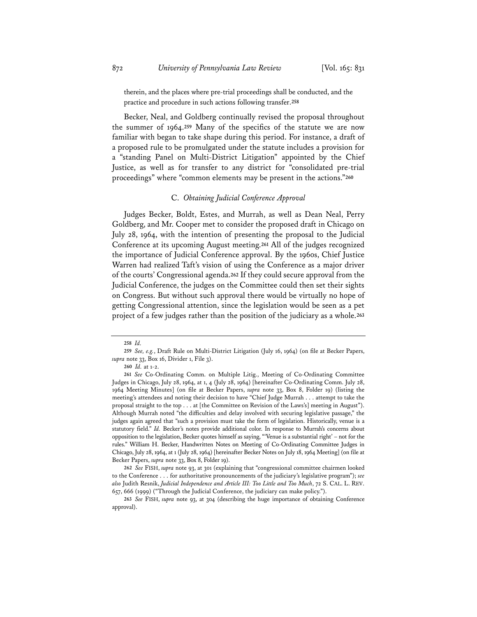therein, and the places where pre-trial proceedings shall be conducted, and the practice and procedure in such actions following transfer.**<sup>258</sup>**

Becker, Neal, and Goldberg continually revised the proposal throughout the summer of 1964.**<sup>259</sup>** Many of the specifics of the statute we are now familiar with began to take shape during this period. For instance, a draft of a proposed rule to be promulgated under the statute includes a provision for a "standing Panel on Multi-District Litigation" appointed by the Chief Justice, as well as for transfer to any district for "consolidated pre-trial proceedings" where "common elements may be present in the actions."**<sup>260</sup>**

# C. *Obtaining Judicial Conference Approval*

Judges Becker, Boldt, Estes, and Murrah, as well as Dean Neal, Perry Goldberg, and Mr. Cooper met to consider the proposed draft in Chicago on July 28, 1964, with the intention of presenting the proposal to the Judicial Conference at its upcoming August meeting.**<sup>261</sup>** All of the judges recognized the importance of Judicial Conference approval. By the 1960s, Chief Justice Warren had realized Taft's vision of using the Conference as a major driver of the courts' Congressional agenda.**<sup>262</sup>** If they could secure approval from the Judicial Conference, the judges on the Committee could then set their sights on Congress. But without such approval there would be virtually no hope of getting Congressional attention, since the legislation would be seen as a pet project of a few judges rather than the position of the judiciary as a whole.**<sup>263</sup>**

**<sup>258</sup>** *Id.*

**<sup>259</sup>** *See, e.g.*, Draft Rule on Multi-District Litigation (July 16, 1964) (on file at Becker Papers, *supra* note 33, Box 16, Divider 1, File 3).

**<sup>260</sup>** *Id.* at 1-2.

**<sup>261</sup>** *See* Co-Ordinating Comm. on Multiple Litig., Meeting of Co-Ordinating Committee Judges in Chicago, July 28, 1964, at 1, 4 (July 28, 1964) [hereinafter Co-Ordinating Comm. July 28, 1964 Meeting Minutes] (on file at Becker Papers, *supra* note 33, Box 8, Folder 19) (listing the meeting's attendees and noting their decision to have "Chief Judge Murrah . . . attempt to take the proposal straight to the top . . . at [the Committee on Revision of the Laws's] meeting in August"). Although Murrah noted "the difficulties and delay involved with securing legislative passage," the judges again agreed that "such a provision must take the form of legislation. Historically, venue is a statutory field." *Id.* Becker's notes provide additional color. In response to Murrah's concerns about opposition to the legislation, Becker quotes himself as saying, "'Venue is a substantial right' – not for the rules." William H. Becker, Handwritten Notes on Meeting of Co-Ordinating Committee Judges in Chicago, July 28, 1964, at 1 (July 28, 1964) [hereinafter Becker Notes on July 18, 1964 Meeting] (on file at Becker Papers, *supra* note 33, Box 8, Folder 19).

**<sup>262</sup>** *See* FISH, *supra* note 93, at 301 (explaining that "congressional committee chairmen looked to the Conference . . . for authoritative pronouncements of the judiciary's legislative program"); *see also* Judith Resnik, *Judicial Independence and Article III: Too Little and Too Much*, 72 S. CAL. L. REV. 657, 666 (1999) ("Through the Judicial Conference, the judiciary can make policy.").

**<sup>263</sup>** *See* FISH, *supra* note 93, at 304 (describing the huge importance of obtaining Conference approval).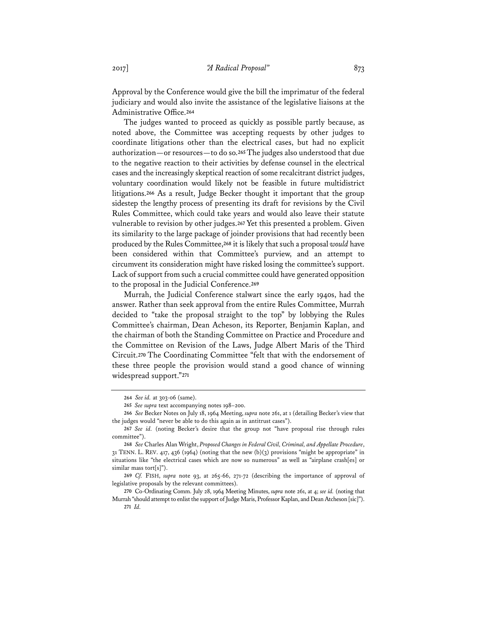Approval by the Conference would give the bill the imprimatur of the federal judiciary and would also invite the assistance of the legislative liaisons at the Administrative Office.**<sup>264</sup>**

The judges wanted to proceed as quickly as possible partly because, as noted above, the Committee was accepting requests by other judges to coordinate litigations other than the electrical cases, but had no explicit authorization—or resources—to do so.**<sup>265</sup>** The judges also understood that due to the negative reaction to their activities by defense counsel in the electrical cases and the increasingly skeptical reaction of some recalcitrant district judges, voluntary coordination would likely not be feasible in future multidistrict litigations.**<sup>266</sup>** As a result, Judge Becker thought it important that the group sidestep the lengthy process of presenting its draft for revisions by the Civil Rules Committee, which could take years and would also leave their statute vulnerable to revision by other judges.**<sup>267</sup>** Yet this presented a problem. Given its similarity to the large package of joinder provisions that had recently been produced by the Rules Committee,**<sup>268</sup>** it is likely that such a proposal *would* have been considered within that Committee's purview, and an attempt to circumvent its consideration might have risked losing the committee's support. Lack of support from such a crucial committee could have generated opposition to the proposal in the Judicial Conference.**<sup>269</sup>**

Murrah, the Judicial Conference stalwart since the early 1940s, had the answer. Rather than seek approval from the entire Rules Committee, Murrah decided to "take the proposal straight to the top" by lobbying the Rules Committee's chairman, Dean Acheson, its Reporter, Benjamin Kaplan, and the chairman of both the Standing Committee on Practice and Procedure and the Committee on Revision of the Laws, Judge Albert Maris of the Third Circuit.**<sup>270</sup>** The Coordinating Committee "felt that with the endorsement of these three people the provision would stand a good chance of winning widespread support."**<sup>271</sup>**

**<sup>264</sup>** *See id.* at 303-06 (same).

**<sup>265</sup>** *See supra* text accompanying notes 198–200.

**<sup>266</sup>** *See* Becker Notes on July 18, 1964 Meeting, *supra* note 261, at 1 (detailing Becker's view that the judges would "never be able to do this again as in antitrust cases").

**<sup>267</sup>** *See id.* (noting Becker's desire that the group not "have proposal rise through rules committee").

**<sup>268</sup>** *See* Charles Alan Wright, *Proposed Changes in Federal Civil, Criminal, and Appellate Procedure*, 31 TENN. L. REV. 417, 436 (1964) (noting that the new (b)(3) provisions "might be appropriate" in situations like "the electrical cases which are now so numerous" as well as "airplane crash[es] or similar mass tort[s]").

**<sup>269</sup>** *Cf.* FISH, *supra* note 93, at 265-66, 271-72 (describing the importance of approval of legislative proposals by the relevant committees).

**<sup>270</sup>** Co-Ordinating Comm. July 28, 1964 Meeting Minutes, *supra* note 261, at 4; *see id.* (noting that Murrah "should attempt to enlist the support of Judge Maris, Professor Kaplan, and Dean Atcheson [sic]"). **271** *Id.*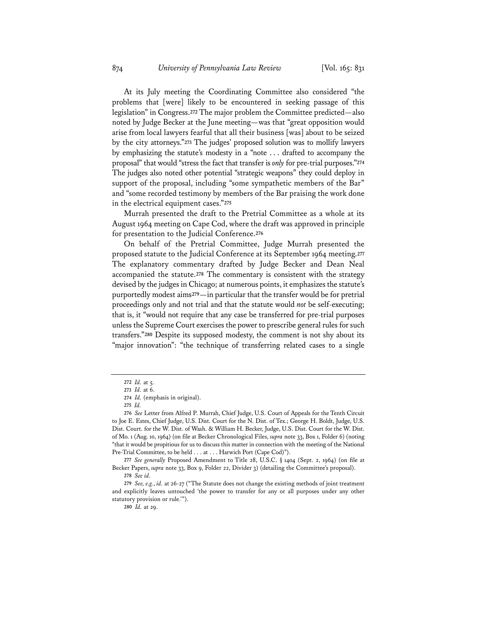At its July meeting the Coordinating Committee also considered "the problems that [were] likely to be encountered in seeking passage of this legislation" in Congress.**<sup>272</sup>** The major problem the Committee predicted—also noted by Judge Becker at the June meeting—was that "great opposition would arise from local lawyers fearful that all their business [was] about to be seized by the city attorneys."**<sup>273</sup>** The judges' proposed solution was to mollify lawyers by emphasizing the statute's modesty in a "note . . . drafted to accompany the proposal" that would "stress the fact that transfer is *only* for pre-trial purposes."**<sup>274</sup>** The judges also noted other potential "strategic weapons" they could deploy in support of the proposal, including "some sympathetic members of the Bar" and "some recorded testimony by members of the Bar praising the work done in the electrical equipment cases."**<sup>275</sup>**

Murrah presented the draft to the Pretrial Committee as a whole at its August 1964 meeting on Cape Cod, where the draft was approved in principle for presentation to the Judicial Conference.**<sup>276</sup>**

On behalf of the Pretrial Committee, Judge Murrah presented the proposed statute to the Judicial Conference at its September 1964 meeting.**<sup>277</sup>** The explanatory commentary drafted by Judge Becker and Dean Neal accompanied the statute.**<sup>278</sup>** The commentary is consistent with the strategy devised by the judges in Chicago; at numerous points, it emphasizes the statute's purportedly modest aims**<sup>279</sup>**—in particular that the transfer would be for pretrial proceedings only and not trial and that the statute would *not* be self-executing; that is, it "would not require that any case be transferred for pre-trial purposes unless the Supreme Court exercises the power to prescribe general rules for such transfers."**<sup>280</sup>** Despite its supposed modesty, the comment is not shy about its "major innovation": "the technique of transferring related cases to a single

**<sup>272</sup>** *Id.* at 5.

**<sup>273</sup>** *Id.* at 6.

**<sup>274</sup>** *Id.* (emphasis in original).

**<sup>275</sup>** *Id.*

**<sup>276</sup>** *See* Letter from Alfred P. Murrah, Chief Judge, U.S. Court of Appeals for the Tenth Circuit to Joe E. Estes, Chief Judge, U.S. Dist. Court for the N. Dist. of Tex.; George H. Boldt, Judge, U.S. Dist. Court. for the W. Dist. of Wash. & William H. Becker, Judge, U.S. Dist. Court for the W. Dist. of Mo. 1 (Aug. 10, 1964) (on file at Becker Chronological Files, *supra* note 33, Box 1, Folder 6) (noting "that it would be propitious for us to discuss this matter in connection with the meeting of the National Pre-Trial Committee, to be held . . . at . . . Harwich Port (Cape Cod)").

**<sup>277</sup>** *See generally* Proposed Amendment to Title 28, U.S.C. § 1404 (Sept. 2, 1964) (on file at Becker Papers, *supra* note 33, Box 9, Folder 22, Divider 3) (detailing the Committee's proposal).

**<sup>278</sup>** *See id.*

**<sup>279</sup>** *See, e.g.*, *id.* at 26-27 ("The Statute does not change the existing methods of joint treatment and explicitly leaves untouched 'the power to transfer for any or all purposes under any other statutory provision or rule.'").

**<sup>280</sup>** *Id.* at 29.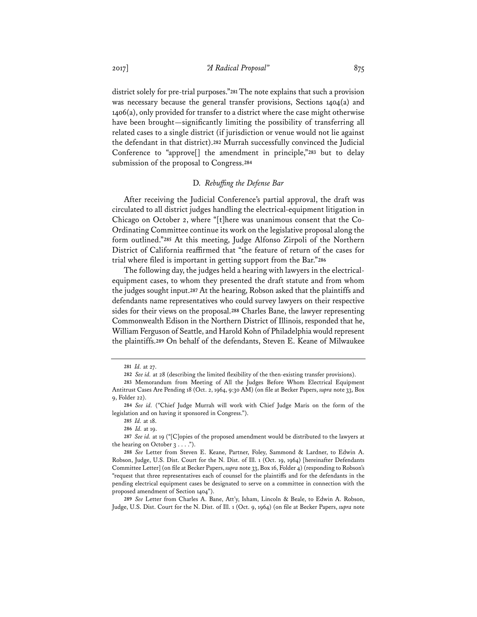district solely for pre-trial purposes."**<sup>281</sup>** The note explains that such a provision was necessary because the general transfer provisions, Sections 1404(a) and 1406(a), only provided for transfer to a district where the case might otherwise have been brought—significantly limiting the possibility of transferring all related cases to a single district (if jurisdiction or venue would not lie against the defendant in that district).**<sup>282</sup>** Murrah successfully convinced the Judicial Conference to "approve[] the amendment in principle,"**<sup>283</sup>** but to delay submission of the proposal to Congress.**<sup>284</sup>**

# D. *Rebuffing the Defense Bar*

After receiving the Judicial Conference's partial approval, the draft was circulated to all district judges handling the electrical-equipment litigation in Chicago on October 2, where "[t]here was unanimous consent that the Co-Ordinating Committee continue its work on the legislative proposal along the form outlined."**<sup>285</sup>** At this meeting, Judge Alfonso Zirpoli of the Northern District of California reaffirmed that "the feature of return of the cases for trial where filed is important in getting support from the Bar."**<sup>286</sup>**

The following day, the judges held a hearing with lawyers in the electricalequipment cases, to whom they presented the draft statute and from whom the judges sought input.**<sup>287</sup>** At the hearing, Robson asked that the plaintiffs and defendants name representatives who could survey lawyers on their respective sides for their views on the proposal.**<sup>288</sup>** Charles Bane, the lawyer representing Commonwealth Edison in the Northern District of Illinois, responded that he, William Ferguson of Seattle, and Harold Kohn of Philadelphia would represent the plaintiffs.**<sup>289</sup>** On behalf of the defendants, Steven E. Keane of Milwaukee

**<sup>281</sup>** *Id.* at 27.

**<sup>282</sup>** *See id.* at 28 (describing the limited flexibility of the then-existing transfer provisions).

**<sup>283</sup>** Memorandum from Meeting of All the Judges Before Whom Electrical Equipment Antitrust Cases Are Pending 18 (Oct. 2, 1964, 9:30 AM) (on file at Becker Papers, *supra* note 33, Box 9, Folder 22).

**<sup>284</sup>** *See id.* ("Chief Judge Murrah will work with Chief Judge Maris on the form of the legislation and on having it sponsored in Congress.").

**<sup>285</sup>** *Id.* at 18.

**<sup>286</sup>** *Id.* at 19.

**<sup>287</sup>** *See id.* at 19 ("[C]opies of the proposed amendment would be distributed to the lawyers at the hearing on October  $3 \ldots$ .").

**<sup>288</sup>** *See* Letter from Steven E. Keane, Partner, Foley, Sammond & Lardner, to Edwin A. Robson, Judge, U.S. Dist. Court for the N. Dist. of Ill. 1 (Oct. 19, 1964) [hereinafter Defendants Committee Letter] (on file at Becker Papers, *supra* note 33, Box 16, Folder 4) (responding to Robson's "request that three representatives each of counsel for the plaintiffs and for the defendants in the pending electrical equipment cases be designated to serve on a committee in connection with the proposed amendment of Section 1404").

**<sup>289</sup>** *See* Letter from Charles A. Bane, Att'y, Isham, Lincoln & Beale, to Edwin A. Robson, Judge, U.S. Dist. Court for the N. Dist. of Ill. 1 (Oct. 9, 1964) (on file at Becker Papers, *supra* note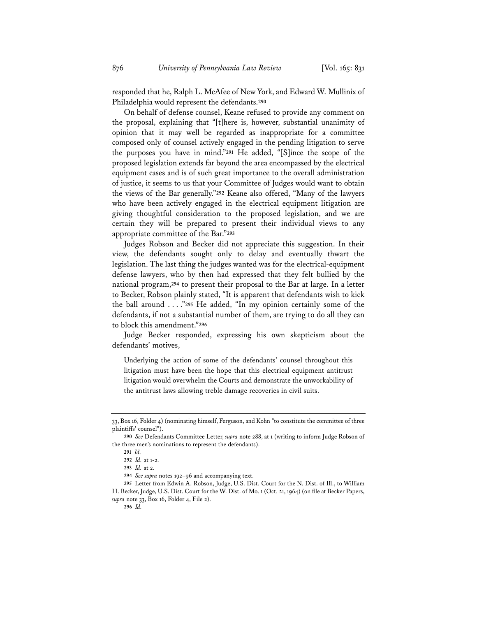responded that he, Ralph L. McAfee of New York, and Edward W. Mullinix of Philadelphia would represent the defendants.**<sup>290</sup>**

On behalf of defense counsel, Keane refused to provide any comment on the proposal, explaining that "[t]here is, however, substantial unanimity of opinion that it may well be regarded as inappropriate for a committee composed only of counsel actively engaged in the pending litigation to serve the purposes you have in mind."**<sup>291</sup>** He added, "[S]ince the scope of the proposed legislation extends far beyond the area encompassed by the electrical equipment cases and is of such great importance to the overall administration of justice, it seems to us that your Committee of Judges would want to obtain the views of the Bar generally."**<sup>292</sup>** Keane also offered, "Many of the lawyers who have been actively engaged in the electrical equipment litigation are giving thoughtful consideration to the proposed legislation, and we are certain they will be prepared to present their individual views to any appropriate committee of the Bar."**<sup>293</sup>**

Judges Robson and Becker did not appreciate this suggestion. In their view, the defendants sought only to delay and eventually thwart the legislation. The last thing the judges wanted was for the electrical-equipment defense lawyers, who by then had expressed that they felt bullied by the national program,**<sup>294</sup>** to present their proposal to the Bar at large. In a letter to Becker, Robson plainly stated, "It is apparent that defendants wish to kick the ball around . . . ."**<sup>295</sup>** He added, "In my opinion certainly some of the defendants, if not a substantial number of them, are trying to do all they can to block this amendment."**<sup>296</sup>**

Judge Becker responded, expressing his own skepticism about the defendants' motives,

Underlying the action of some of the defendants' counsel throughout this litigation must have been the hope that this electrical equipment antitrust litigation would overwhelm the Courts and demonstrate the unworkability of the antitrust laws allowing treble damage recoveries in civil suits.

<sup>33,</sup> Box 16, Folder 4) (nominating himself, Ferguson, and Kohn "to constitute the committee of three plaintiffs' counsel").

**<sup>290</sup>** *See* Defendants Committee Letter, *supra* note 288, at 1 (writing to inform Judge Robson of the three men's nominations to represent the defendants).

**<sup>291</sup>** *Id.*

**<sup>292</sup>** *Id.* at 1-2.

**<sup>293</sup>** *Id.* at 2.

**<sup>294</sup>** *See supra* notes 192–96 and accompanying text.

**<sup>295</sup>** Letter from Edwin A. Robson, Judge, U.S. Dist. Court for the N. Dist. of Ill., to William H. Becker, Judge, U.S. Dist. Court for the W. Dist. of Mo. 1 (Oct. 21, 1964) (on file at Becker Papers, *supra* note 33, Box 16, Folder 4, File 2).

**<sup>296</sup>** *Id.*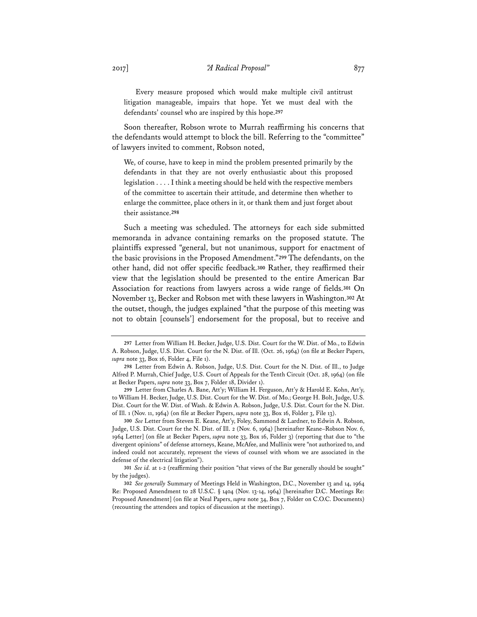Every measure proposed which would make multiple civil antitrust litigation manageable, impairs that hope. Yet we must deal with the defendants' counsel who are inspired by this hope.**<sup>297</sup>**

Soon thereafter, Robson wrote to Murrah reaffirming his concerns that the defendants would attempt to block the bill. Referring to the "committee" of lawyers invited to comment, Robson noted,

We, of course, have to keep in mind the problem presented primarily by the defendants in that they are not overly enthusiastic about this proposed legislation . . . . I think a meeting should be held with the respective members of the committee to ascertain their attitude, and determine then whether to enlarge the committee, place others in it, or thank them and just forget about their assistance.**<sup>298</sup>**

Such a meeting was scheduled. The attorneys for each side submitted memoranda in advance containing remarks on the proposed statute. The plaintiffs expressed "general, but not unanimous, support for enactment of the basic provisions in the Proposed Amendment."**<sup>299</sup>** The defendants, on the other hand, did not offer specific feedback.**<sup>300</sup>** Rather, they reaffirmed their view that the legislation should be presented to the entire American Bar Association for reactions from lawyers across a wide range of fields.**<sup>301</sup>** On November 13, Becker and Robson met with these lawyers in Washington.**<sup>302</sup>** At the outset, though, the judges explained "that the purpose of this meeting was not to obtain [counsels'] endorsement for the proposal, but to receive and

**300** *See* Letter from Steven E. Keane, Att'y, Foley, Sammond & Lardner, to Edwin A. Robson, Judge, U.S. Dist. Court for the N. Dist. of Ill. 2 (Nov. 6, 1964) [hereinafter Keane–Robson Nov. 6, 1964 Letter] (on file at Becker Papers, *supra* note 33, Box 16, Folder 3) (reporting that due to "the divergent opinions" of defense attorneys, Keane, McAfee, and Mullinix were "not authorized to, and indeed could not accurately, represent the views of counsel with whom we are associated in the defense of the electrical litigation").

**301** *See id.* at 1-2 (reaffirming their position "that views of the Bar generally should be sought" by the judges).

**302** *See generally* Summary of Meetings Held in Washington, D.C., November 13 and 14, 1964 Re: Proposed Amendment to 28 U.S.C. § 1404 (Nov. 13-14, 1964) [hereinafter D.C. Meetings Re: Proposed Amendment] (on file at Neal Papers, *supra* note 34, Box 7, Folder on C.O.C. Documents) (recounting the attendees and topics of discussion at the meetings).

**<sup>297</sup>** Letter from William H. Becker, Judge, U.S. Dist. Court for the W. Dist. of Mo., to Edwin A. Robson, Judge, U.S. Dist. Court for the N. Dist. of Ill. (Oct. 26, 1964) (on file at Becker Papers, *supra* note 33, Box 16, Folder 4, File 1).

**<sup>298</sup>** Letter from Edwin A. Robson, Judge, U.S. Dist. Court for the N. Dist. of Ill., to Judge Alfred P. Murrah, Chief Judge, U.S. Court of Appeals for the Tenth Circuit (Oct. 28, 1964) (on file at Becker Papers, *supra* note 33, Box 7, Folder 18, Divider 1).

**<sup>299</sup>** Letter from Charles A. Bane, Att'y; William H. Ferguson, Att'y & Harold E. Kohn, Att'y, to William H. Becker, Judge, U.S. Dist. Court for the W. Dist. of Mo.; George H. Bolt, Judge, U.S. Dist. Court for the W. Dist. of Wash. & Edwin A. Robson, Judge, U.S. Dist. Court for the N. Dist. of Ill. 1 (Nov. 11, 1964) (on file at Becker Papers, *supra* note 33, Box 16, Folder 3, File 13).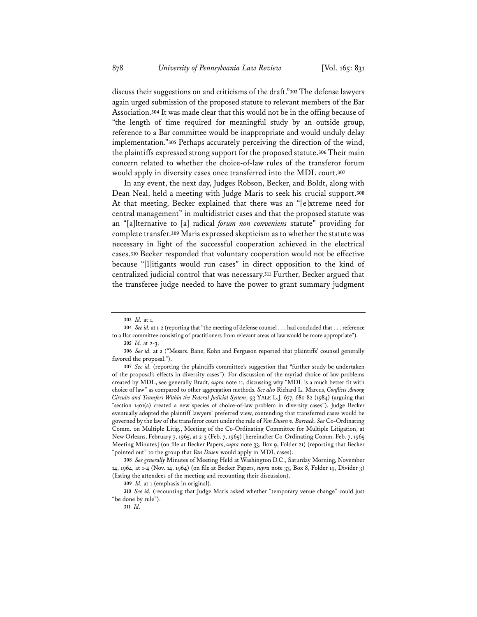discuss their suggestions on and criticisms of the draft."**<sup>303</sup>** The defense lawyers again urged submission of the proposed statute to relevant members of the Bar Association.**<sup>304</sup>** It was made clear that this would not be in the offing because of "the length of time required for meaningful study by an outside group, reference to a Bar committee would be inappropriate and would unduly delay implementation."**<sup>305</sup>** Perhaps accurately perceiving the direction of the wind, the plaintiffs expressed strong support for the proposed statute.**<sup>306</sup>** Their main concern related to whether the choice-of-law rules of the transferor forum would apply in diversity cases once transferred into the MDL court.**<sup>307</sup>**

In any event, the next day, Judges Robson, Becker, and Boldt, along with Dean Neal, held a meeting with Judge Maris to seek his crucial support.**<sup>308</sup>** At that meeting, Becker explained that there was an "[e]xtreme need for central management" in multidistrict cases and that the proposed statute was an "[a]lternative to [a] radical *forum non conveniens* statute" providing for complete transfer.**<sup>309</sup>** Maris expressed skepticism as to whether the statute was necessary in light of the successful cooperation achieved in the electrical cases.**<sup>310</sup>** Becker responded that voluntary cooperation would not be effective because "[l]itigants would run cases" in direct opposition to the kind of centralized judicial control that was necessary.**<sup>311</sup>** Further, Becker argued that the transferee judge needed to have the power to grant summary judgment

**<sup>303</sup>** *Id.* at 1.

**<sup>304</sup>** *Seeid.* at 1-2 (reporting that "the meeting of defense counsel . . . had concluded that . . . reference to a Bar committee consisting of practitioners from relevant areas of law would be more appropriate").

**<sup>305</sup>** *Id.* at 2-3.

**<sup>306</sup>** *See id.* at 2 ("Messrs. Bane, Kohn and Ferguson reported that plaintiffs' counsel generally favored the proposal.").

**<sup>307</sup>** *See id.* (reporting the plaintiffs committee's suggestion that "further study be undertaken of the proposal's effects in diversity cases"). For discussion of the myriad choice-of-law problems created by MDL, see generally Bradt, *supra* note 11, discussing why "MDL is a much better fit with choice of law" as compared to other aggregation methods. *See also* Richard L. Marcus, *Conflicts Among Circuits and Transfers Within the Federal Judicial System*, 93 YALE L.J. 677, 680-82 (1984) (arguing that "section 1401(a) created a new species of choice-of-law problem in diversity cases"). Judge Becker eventually adopted the plaintiff lawyers' preferred view, contending that transferred cases would be governed by the law of the transferor court under the rule of *Van Dusen v. Barrack*. *See* Co-Ordinating Comm. on Multiple Litig., Meeting of the Co-Ordinating Committee for Multiple Litigation, at New Orleans, February 7, 1965, at 2-3 (Feb. 7, 1965) [hereinafter Co-Ordinating Comm. Feb. 7, 1965 Meeting Minutes] (on file at Becker Papers, *supra* note 33, Box 9, Folder 21) (reporting that Becker "pointed out" to the group that *Van Dusen* would apply in MDL cases).

**<sup>308</sup>** *See generally* Minutes of Meeting Held at Washington D.C., Saturday Morning, November 14, 1964, at 1-4 (Nov. 14, 1964) (on file at Becker Papers, *supra* note 33, Box 8, Folder 19, Divider 3) (listing the attendees of the meeting and recounting their discussion).

**<sup>309</sup>** *Id.* at 1 (emphasis in original).

**<sup>310</sup>** *See id.* (recounting that Judge Maris asked whether "temporary venue change" could just "be done by rule").

**<sup>311</sup>** *Id.*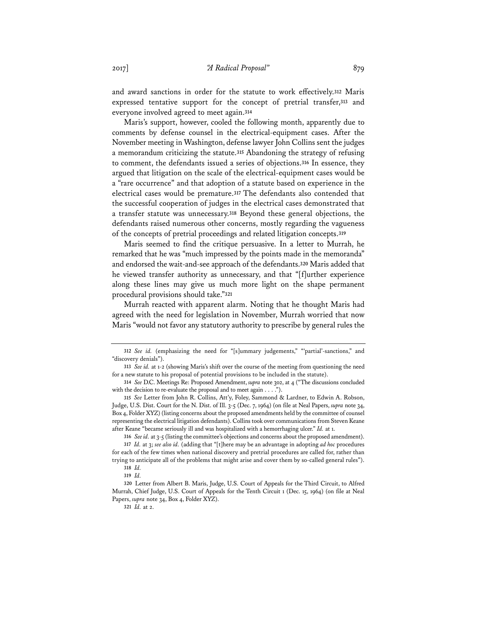and award sanctions in order for the statute to work effectively.**<sup>312</sup>** Maris expressed tentative support for the concept of pretrial transfer,**<sup>313</sup>** and everyone involved agreed to meet again.**<sup>314</sup>**

Maris's support, however, cooled the following month, apparently due to comments by defense counsel in the electrical-equipment cases. After the November meeting in Washington, defense lawyer John Collins sent the judges a memorandum criticizing the statute.**<sup>315</sup>** Abandoning the strategy of refusing to comment, the defendants issued a series of objections.**<sup>316</sup>** In essence, they argued that litigation on the scale of the electrical-equipment cases would be a "rare occurrence" and that adoption of a statute based on experience in the electrical cases would be premature.**<sup>317</sup>** The defendants also contended that the successful cooperation of judges in the electrical cases demonstrated that a transfer statute was unnecessary.**<sup>318</sup>** Beyond these general objections, the defendants raised numerous other concerns, mostly regarding the vagueness of the concepts of pretrial proceedings and related litigation concepts.**<sup>319</sup>**

Maris seemed to find the critique persuasive. In a letter to Murrah, he remarked that he was "much impressed by the points made in the memoranda" and endorsed the wait-and-see approach of the defendants.**<sup>320</sup>** Maris added that he viewed transfer authority as unnecessary, and that "[f]urther experience along these lines may give us much more light on the shape permanent procedural provisions should take."**<sup>321</sup>**

Murrah reacted with apparent alarm. Noting that he thought Maris had agreed with the need for legislation in November, Murrah worried that now Maris "would not favor any statutory authority to prescribe by general rules the

**<sup>312</sup>** *See id.* (emphasizing the need for "[s]ummary judgements," "'partial'-sanctions," and "discovery denials").

**<sup>313</sup>** *See id.* at 1-2 (showing Maris's shift over the course of the meeting from questioning the need for a new statute to his proposal of potential provisions to be included in the statute).

**<sup>314</sup>** *See* D.C. Meetings Re: Proposed Amendment, *supra* note 302, at 4 ("The discussions concluded with the decision to re-evaluate the proposal and to meet again . . . .").

**<sup>315</sup>** *See* Letter from John R. Collins, Att'y, Foley, Sammond & Lardner, to Edwin A. Robson, Judge, U.S. Dist. Court for the N. Dist. of Ill. 3-5 (Dec. 7, 1964) (on file at Neal Papers, *supra* note 34, Box 4, Folder XYZ) (listing concerns about the proposed amendments held by the committee of counsel representing the electrical litigation defendants). Collins took over communications from Steven Keane after Keane "became seriously ill and was hospitalized with a hemorrhaging ulcer." *Id.* at 1.

**<sup>316</sup>** *Seeid.* at 3-5 (listing the committee's objections and concerns about the proposed amendment).

**<sup>317</sup>** *Id.* at 3; *see also id.* (adding that "[t]here may be an advantage in adopting *ad hoc* procedures for each of the few times when national discovery and pretrial procedures are called for, rather than trying to anticipate all of the problems that might arise and cover them by so-called general rules"). **318** *Id.*

**<sup>319</sup>** *Id.* 

**<sup>320</sup>** Letter from Albert B. Maris, Judge, U.S. Court of Appeals for the Third Circuit, to Alfred Murrah, Chief Judge, U.S. Court of Appeals for the Tenth Circuit 1 (Dec. 15, 1964) (on file at Neal Papers, *supra* note 34, Box 4, Folder XYZ).

**<sup>321</sup>** *Id.* at 2.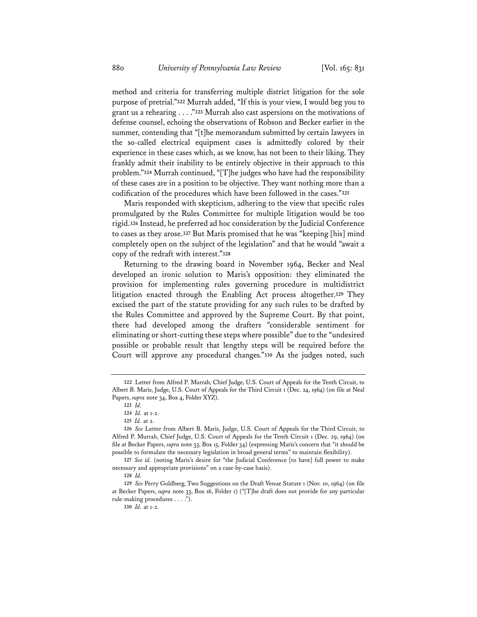method and criteria for transferring multiple district litigation for the sole purpose of pretrial."**<sup>322</sup>** Murrah added, "If this is your view, I would beg you to grant us a rehearing . . . ."**<sup>323</sup>** Murrah also cast aspersions on the motivations of defense counsel, echoing the observations of Robson and Becker earlier in the summer, contending that "[t]he memorandum submitted by certain lawyers in the so-called electrical equipment cases is admittedly colored by their experience in these cases which, as we know, has not been to their liking. They frankly admit their inability to be entirely objective in their approach to this problem."**<sup>324</sup>** Murrah continued, "[T]he judges who have had the responsibility of these cases are in a position to be objective. They want nothing more than a codification of the procedures which have been followed in the cases."**<sup>325</sup>**

Maris responded with skepticism, adhering to the view that specific rules promulgated by the Rules Committee for multiple litigation would be too rigid.**<sup>326</sup>** Instead, he preferred ad hoc consideration by the Judicial Conference to cases as they arose.**<sup>327</sup>** But Maris promised that he was "keeping [his] mind completely open on the subject of the legislation" and that he would "await a copy of the redraft with interest."**<sup>328</sup>**

Returning to the drawing board in November 1964, Becker and Neal developed an ironic solution to Maris's opposition: they eliminated the provision for implementing rules governing procedure in multidistrict litigation enacted through the Enabling Act process altogether.**<sup>329</sup>** They excised the part of the statute providing for any such rules to be drafted by the Rules Committee and approved by the Supreme Court. By that point, there had developed among the drafters "considerable sentiment for eliminating or short-cutting these steps where possible" due to the "undesired possible or probable result that lengthy steps will be required before the Court will approve any procedural changes."**<sup>330</sup>** As the judges noted, such

**<sup>322</sup>** Letter from Alfred P. Murrah, Chief Judge, U.S. Court of Appeals for the Tenth Circuit, to Albert B. Maris, Judge, U.S. Court of Appeals for the Third Circuit 1 (Dec. 24, 1964) (on file at Neal Papers, *supra* note 34, Box 4, Folder XYZ).

**<sup>323</sup>** *Id.* 

**<sup>324</sup>** *Id.* at 1-2.

**<sup>325</sup>** *Id.* at 2.

**<sup>326</sup>** *See* Letter from Albert B. Maris, Judge, U.S. Court of Appeals for the Third Circuit, to Alfred P. Murrah, Chief Judge, U.S. Court of Appeals for the Tenth Circuit 1 (Dec. 29, 1964) (on file at Becker Papers, *supra* note 33, Box 15, Folder 34) (expressing Maris's concern that "it should be possible to formulate the necessary legislation in broad general terms" to maintain flexibility).

**<sup>327</sup>** *See id.* (noting Maris's desire for "the Judicial Conference [to have] full power to make necessary and appropriate provisions" on a case-by-case basis).

**<sup>328</sup>** *Id.*

**<sup>329</sup>** *See* Perry Goldberg, Two Suggestions on the Draft Venue Statute 1 (Nov. 10, 1964) (on file at Becker Papers, *supra* note 33, Box 16, Folder 1) ("[T]he draft does not provide for any particular rule-making procedures . . . .").

**<sup>330</sup>** *Id.* at 1-2.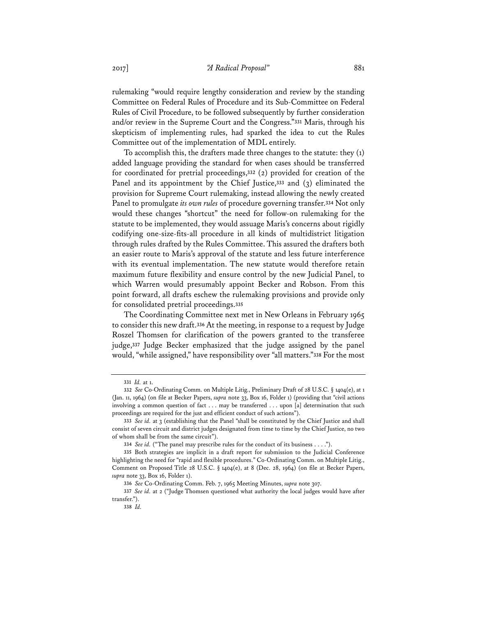rulemaking "would require lengthy consideration and review by the standing Committee on Federal Rules of Procedure and its Sub-Committee on Federal Rules of Civil Procedure, to be followed subsequently by further consideration and/or review in the Supreme Court and the Congress."**<sup>331</sup>** Maris, through his skepticism of implementing rules, had sparked the idea to cut the Rules Committee out of the implementation of MDL entirely.

To accomplish this, the drafters made three changes to the statute: they (1) added language providing the standard for when cases should be transferred for coordinated for pretrial proceedings,**<sup>332</sup>** (2) provided for creation of the Panel and its appointment by the Chief Justice,**<sup>333</sup>** and (3) eliminated the provision for Supreme Court rulemaking, instead allowing the newly created Panel to promulgate *its own rules* of procedure governing transfer.**<sup>334</sup>** Not only would these changes "shortcut" the need for follow-on rulemaking for the statute to be implemented, they would assuage Maris's concerns about rigidly codifying one-size-fits-all procedure in all kinds of multidistrict litigation through rules drafted by the Rules Committee. This assured the drafters both an easier route to Maris's approval of the statute and less future interference with its eventual implementation. The new statute would therefore retain maximum future flexibility and ensure control by the new Judicial Panel, to which Warren would presumably appoint Becker and Robson. From this point forward, all drafts eschew the rulemaking provisions and provide only for consolidated pretrial proceedings.**<sup>335</sup>**

The Coordinating Committee next met in New Orleans in February 1965 to consider this new draft.**<sup>336</sup>** At the meeting, in response to a request by Judge Roszel Thomsen for clarification of the powers granted to the transferee judge,**<sup>337</sup>** Judge Becker emphasized that the judge assigned by the panel would, "while assigned," have responsibility over "all matters."**<sup>338</sup>** For the most

**<sup>331</sup>** *Id.* at 1.

**<sup>332</sup>** *See* Co-Ordinating Comm. on Multiple Litig., Preliminary Draft of 28 U.S.C. § 1404(e), at 1 (Jan. 11, 1964) (on file at Becker Papers, *supra* note 33, Box 16, Folder 1) (providing that "civil actions involving a common question of fact . . . may be transferred . . . upon [a] determination that such proceedings are required for the just and efficient conduct of such actions").

**<sup>333</sup>** *See id.* at 3 (establishing that the Panel "shall be constituted by the Chief Justice and shall consist of seven circuit and district judges designated from time to time by the Chief Justice, no two of whom shall be from the same circuit").

**<sup>334</sup>** *See id.* ("The panel may prescribe rules for the conduct of its business . . . .").

**<sup>335</sup>** Both strategies are implicit in a draft report for submission to the Judicial Conference highlighting the need for "rapid and flexible procedures." Co-Ordinating Comm. on Multiple Litig., Comment on Proposed Title 28 U.S.C.  $\S$  1404(e), at 8 (Dec. 28, 1964) (on file at Becker Papers, *supra* note 33, Box 16, Folder 1).

**<sup>336</sup>** *See* Co-Ordinating Comm. Feb. 7, 1965 Meeting Minutes, *supra* note 307.

**<sup>337</sup>** *See id.* at 2 ("Judge Thomsen questioned what authority the local judges would have after transfer.").

**<sup>338</sup>** *Id.*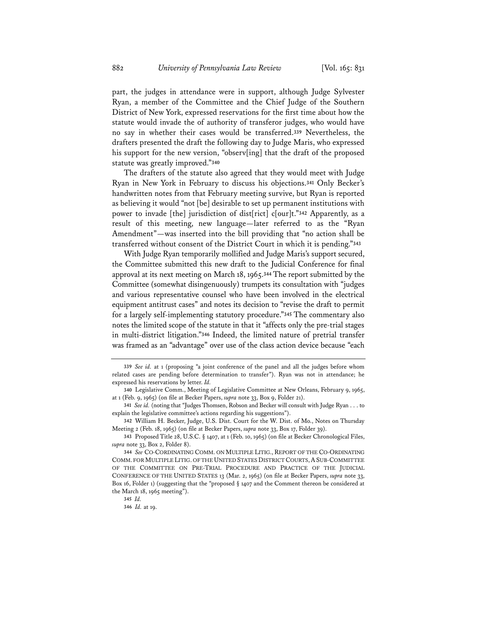part, the judges in attendance were in support, although Judge Sylvester Ryan, a member of the Committee and the Chief Judge of the Southern District of New York, expressed reservations for the first time about how the statute would invade the of authority of transferor judges, who would have no say in whether their cases would be transferred.**<sup>339</sup>** Nevertheless, the drafters presented the draft the following day to Judge Maris, who expressed his support for the new version, "observ[ing] that the draft of the proposed statute was greatly improved."**<sup>340</sup>**

The drafters of the statute also agreed that they would meet with Judge Ryan in New York in February to discuss his objections.**<sup>341</sup>** Only Becker's handwritten notes from that February meeting survive, but Ryan is reported as believing it would "not [be] desirable to set up permanent institutions with power to invade [the] jurisdiction of dist[rict] c[our]t."**<sup>342</sup>** Apparently, as a result of this meeting, new language—later referred to as the "Ryan Amendment"—was inserted into the bill providing that "no action shall be transferred without consent of the District Court in which it is pending."**<sup>343</sup>**

With Judge Ryan temporarily mollified and Judge Maris's support secured, the Committee submitted this new draft to the Judicial Conference for final approval at its next meeting on March 18, 1965.**<sup>344</sup>** The report submitted by the Committee (somewhat disingenuously) trumpets its consultation with "judges and various representative counsel who have been involved in the electrical equipment antitrust cases" and notes its decision to "revise the draft to permit for a largely self-implementing statutory procedure."**<sup>345</sup>** The commentary also notes the limited scope of the statute in that it "affects only the pre-trial stages in multi-district litigation."**<sup>346</sup>** Indeed, the limited nature of pretrial transfer was framed as an "advantage" over use of the class action device because "each

**<sup>339</sup>** *See id.* at 1 (proposing "a joint conference of the panel and all the judges before whom related cases are pending before determination to transfer"). Ryan was not in attendance; he expressed his reservations by letter. *Id.*

**<sup>340</sup>** Legislative Comm., Meeting of Legislative Committee at New Orleans, February 9, 1965, at 1 (Feb. 9, 1965) (on file at Becker Papers, *supra* note 33, Box 9, Folder 21).

**<sup>341</sup>** *See id.* (noting that "Judges Thomsen, Robson and Becker will consult with Judge Ryan . . . to explain the legislative committee's actions regarding his suggestions").

**<sup>342</sup>** William H. Becker, Judge, U.S. Dist. Court for the W. Dist. of Mo., Notes on Thursday Meeting 2 (Feb. 18, 1965) (on file at Becker Papers, *supra* note 33, Box 17, Folder 39).

**<sup>343</sup>** Proposed Title 28, U.S.C. § 1407, at 1 (Feb. 10, 1965) (on file at Becker Chronological Files, *supra* note 33, Box 2, Folder 8).

**<sup>344</sup>** *See* CO-CORDINATING COMM. ON MULTIPLE LITIG., REPORT OF THE CO-ORDINATING COMM. FOR MULTIPLE LITIG. OF THE UNITED STATES DISTRICT COURTS, A SUB-COMMITTEE OF THE COMMITTEE ON PRE-TRIAL PROCEDURE AND PRACTICE OF THE JUDICIAL CONFERENCE OF THE UNITED STATES 13 (Mar. 2, 1965) (on file at Becker Papers, *supra* note 33, Box 16, Folder 1) (suggesting that the "proposed § 1407 and the Comment thereon be considered at the March 18, 1965 meeting").

**<sup>345</sup>** *Id.*

**<sup>346</sup>** *Id.* at 19.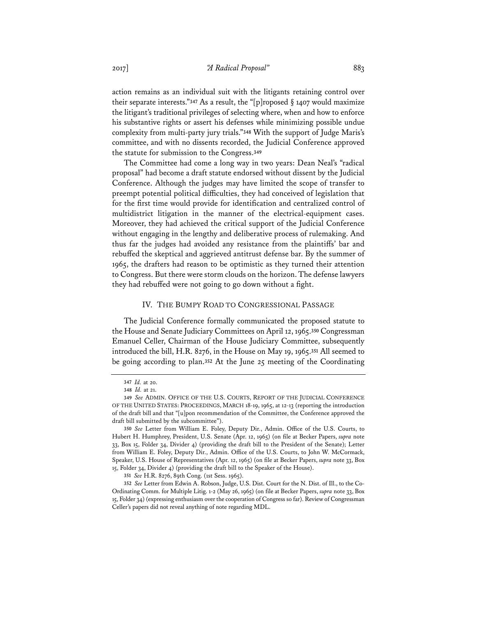action remains as an individual suit with the litigants retaining control over their separate interests."**<sup>347</sup>** As a result, the "[p]roposed § 1407 would maximize the litigant's traditional privileges of selecting where, when and how to enforce his substantive rights or assert his defenses while minimizing possible undue complexity from multi-party jury trials."**<sup>348</sup>** With the support of Judge Maris's committee, and with no dissents recorded, the Judicial Conference approved the statute for submission to the Congress.**<sup>349</sup>**

The Committee had come a long way in two years: Dean Neal's "radical proposal" had become a draft statute endorsed without dissent by the Judicial Conference. Although the judges may have limited the scope of transfer to preempt potential political difficulties, they had conceived of legislation that for the first time would provide for identification and centralized control of multidistrict litigation in the manner of the electrical-equipment cases. Moreover, they had achieved the critical support of the Judicial Conference without engaging in the lengthy and deliberative process of rulemaking. And thus far the judges had avoided any resistance from the plaintiffs' bar and rebuffed the skeptical and aggrieved antitrust defense bar. By the summer of 1965, the drafters had reason to be optimistic as they turned their attention to Congress. But there were storm clouds on the horizon. The defense lawyers they had rebuffed were not going to go down without a fight.

# IV. THE BUMPY ROAD TO CONGRESSIONAL PASSAGE

The Judicial Conference formally communicated the proposed statute to the House and Senate Judiciary Committees on April 12, 1965.**<sup>350</sup>** Congressman Emanuel Celler, Chairman of the House Judiciary Committee, subsequently introduced the bill, H.R. 8276, in the House on May 19, 1965.**<sup>351</sup>** All seemed to be going according to plan.**<sup>352</sup>** At the June 25 meeting of the Coordinating

**<sup>347</sup>** *Id.* at 20.

**<sup>348</sup>** *Id.* at 21.

**<sup>349</sup>** *See* ADMIN. OFFICE OF THE U.S. COURTS, REPORT OF THE JUDICIAL CONFERENCE OF THE UNITED STATES: PROCEEDINGS, MARCH 18-19, 1965, at 12-13 (reporting the introduction of the draft bill and that "[u]pon recommendation of the Committee, the Conference approved the draft bill submitted by the subcommittee").

**<sup>350</sup>** *See* Letter from William E. Foley, Deputy Dir., Admin. Office of the U.S. Courts, to Hubert H. Humphrey, President, U.S. Senate (Apr. 12, 1965) (on file at Becker Papers, *supra* note 33, Box 15, Folder 34, Divider 4) (providing the draft bill to the President of the Senate); Letter from William E. Foley, Deputy Dir., Admin. Office of the U.S. Courts, to John W. McCormack, Speaker, U.S. House of Representatives (Apr. 12, 1965) (on file at Becker Papers, *supra* note 33, Box 15, Folder 34, Divider 4) (providing the draft bill to the Speaker of the House).

**<sup>351</sup>** *See* H.R. 8276, 89th Cong. (1st Sess. 1965).

**<sup>352</sup>** *See* Letter from Edwin A. Robson, Judge, U.S. Dist. Court for the N. Dist. of Ill., to the Co-Ordinating Comm. for Multiple Litig. 1-2 (May 26, 1965) (on file at Becker Papers, *supra* note 33, Box 15, Folder 34) (expressing enthusiasm over the cooperation of Congress so far). Review of Congressman Celler's papers did not reveal anything of note regarding MDL.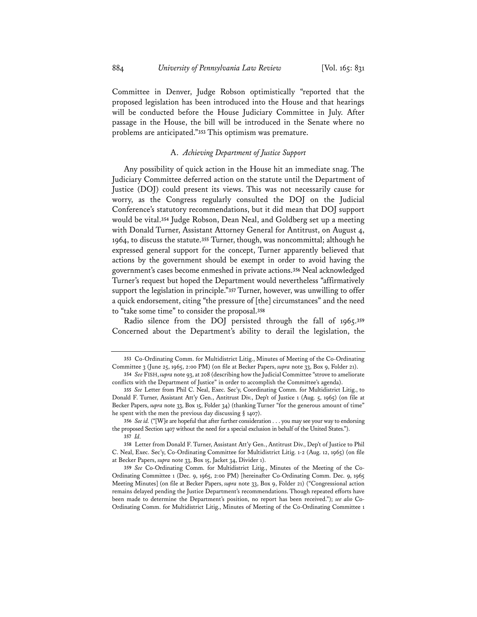884 *University of Pennsylvania Law Review* [Vol. 165: 831

Committee in Denver, Judge Robson optimistically "reported that the proposed legislation has been introduced into the House and that hearings will be conducted before the House Judiciary Committee in July. After passage in the House, the bill will be introduced in the Senate where no problems are anticipated."**<sup>353</sup>** This optimism was premature.

## A. *Achieving Department of Justice Support*

Any possibility of quick action in the House hit an immediate snag. The Judiciary Committee deferred action on the statute until the Department of Justice (DOJ) could present its views. This was not necessarily cause for worry, as the Congress regularly consulted the DOJ on the Judicial Conference's statutory recommendations, but it did mean that DOJ support would be vital.**<sup>354</sup>** Judge Robson, Dean Neal, and Goldberg set up a meeting with Donald Turner, Assistant Attorney General for Antitrust, on August 4, 1964, to discuss the statute.**<sup>355</sup>** Turner, though, was noncommittal; although he expressed general support for the concept, Turner apparently believed that actions by the government should be exempt in order to avoid having the government's cases become enmeshed in private actions.**<sup>356</sup>** Neal acknowledged Turner's request but hoped the Department would nevertheless "affirmatively support the legislation in principle."**<sup>357</sup>** Turner, however, was unwilling to offer a quick endorsement, citing "the pressure of [the] circumstances" and the need to "take some time" to consider the proposal.**<sup>358</sup>**

Radio silence from the DOJ persisted through the fall of 1965.**<sup>359</sup>** Concerned about the Department's ability to derail the legislation, the

**<sup>353</sup>** Co-Ordinating Comm. for Multidistrict Litig., Minutes of Meeting of the Co-Ordinating Committee 3 (June 25, 1965, 2:00 PM) (on file at Becker Papers, *supra* note 33, Box 9, Folder 21).

**<sup>354</sup>** *See* FISH, *supra* note 93, at 208 (describing how the Judicial Committee "strove to ameliorate conflicts with the Department of Justice" in order to accomplish the Committee's agenda).

**<sup>355</sup>** *See* Letter from Phil C. Neal, Exec. Sec'y, Coordinating Comm. for Multidistrict Litig., to Donald F. Turner, Assistant Att'y Gen., Antitrust Div., Dep't of Justice 1 (Aug. 5, 1965) (on file at Becker Papers, *supra* note 33, Box 15, Folder 34) (thanking Turner "for the generous amount of time" he spent with the men the previous day discussing § 1407).

**<sup>356</sup>** *See id.* ("[W]e are hopeful that after further consideration . . . you may see your way to endorsing the proposed Section 1407 without the need for a special exclusion in behalf of the United States."). **357** *Id.*

**<sup>358</sup>** Letter from Donald F. Turner, Assistant Att'y Gen., Antitrust Div., Dep't of Justice to Phil C. Neal, Exec. Sec'y, Co-Ordinating Committee for Multidistrict Litig. 1-2 (Aug. 12, 1965) (on file at Becker Papers, *supra* note 33, Box 15, Jacket 34, Divider 1).

**<sup>359</sup>** *See* Co-Ordinating Comm. for Multidistrict Litig., Minutes of the Meeting of the Co-Ordinating Committee 1 (Dec. 9, 1965, 2:00 PM) [hereinafter Co-Ordinating Comm. Dec. 9, 1965 Meeting Minutes] (on file at Becker Papers, *supra* note 33, Box 9, Folder 21) ("Congressional action remains delayed pending the Justice Department's recommendations. Though repeated efforts have been made to determine the Department's position, no report has been received."); *see also* Co-Ordinating Comm. for Multidistrict Litig., Minutes of Meeting of the Co-Ordinating Committee 1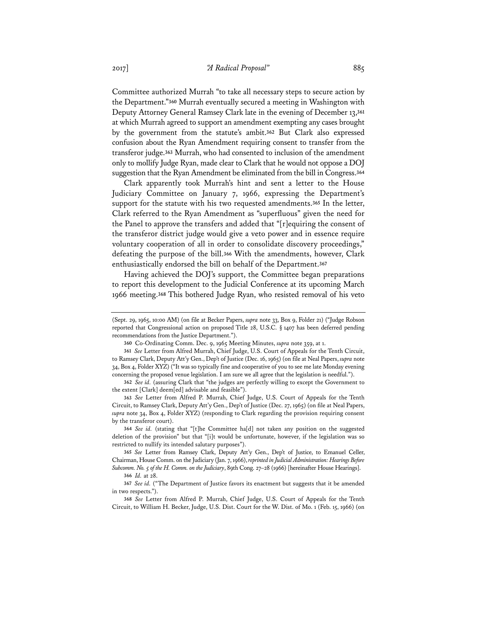Committee authorized Murrah "to take all necessary steps to secure action by the Department."**<sup>360</sup>** Murrah eventually secured a meeting in Washington with Deputy Attorney General Ramsey Clark late in the evening of December 13,**<sup>361</sup>** at which Murrah agreed to support an amendment exempting any cases brought by the government from the statute's ambit.**<sup>362</sup>** But Clark also expressed confusion about the Ryan Amendment requiring consent to transfer from the transferor judge.**<sup>363</sup>** Murrah, who had consented to inclusion of the amendment only to mollify Judge Ryan, made clear to Clark that he would not oppose a DOJ suggestion that the Ryan Amendment be eliminated from the bill in Congress.**<sup>364</sup>**

Clark apparently took Murrah's hint and sent a letter to the House Judiciary Committee on January 7, 1966, expressing the Department's support for the statute with his two requested amendments.**<sup>365</sup>** In the letter, Clark referred to the Ryan Amendment as "superfluous" given the need for the Panel to approve the transfers and added that "[r]equiring the consent of the transferor district judge would give a veto power and in essence require voluntary cooperation of all in order to consolidate discovery proceedings," defeating the purpose of the bill.**<sup>366</sup>** With the amendments, however, Clark enthusiastically endorsed the bill on behalf of the Department.**<sup>367</sup>**

Having achieved the DOJ's support, the Committee began preparations to report this development to the Judicial Conference at its upcoming March 1966 meeting.**<sup>368</sup>** This bothered Judge Ryan, who resisted removal of his veto

**364** *See id.* (stating that "[t]he Committee ha[d] not taken any position on the suggested deletion of the provision" but that "[i]t would be unfortunate, however, if the legislation was so restricted to nullify its intended salutary purposes").

**365** *See* Letter from Ramsey Clark, Deputy Att'y Gen., Dep't of Justice, to Emanuel Celler, Chairman, House Comm. on the Judiciary (Jan. 7, 1966), *reprinted in Judicial Administration: Hearings Before Subcomm. No. 5 of the H. Comm. on the Judiciary*, 89th Cong. 27–28 (1966) [hereinafter House Hearings].

<sup>(</sup>Sept. 29, 1965, 10:00 AM) (on file at Becker Papers, *supra* note 33, Box 9, Folder 21) ("Judge Robson reported that Congressional action on proposed Title 28, U.S.C. § 1407 has been deferred pending recommendations from the Justice Department.").

**<sup>360</sup>** Co-Ordinating Comm. Dec. 9, 1965 Meeting Minutes, *supra* note 359, at 1.

**<sup>361</sup>** *See* Letter from Alfred Murrah, Chief Judge, U.S. Court of Appeals for the Tenth Circuit, to Ramsey Clark, Deputy Att'y Gen., Dep't of Justice (Dec. 16, 1965) (on file at Neal Papers, *supra* note 34, Box 4, Folder XYZ) ("It was so typically fine and cooperative of you to see me late Monday evening concerning the proposed venue legislation. I am sure we all agree that the legislation is needful.").

**<sup>362</sup>** *See id.* (assuring Clark that "the judges are perfectly willing to except the Government to the extent [Clark] deem[ed] advisable and feasible").

**<sup>363</sup>** *See* Letter from Alfred P. Murrah, Chief Judge, U.S. Court of Appeals for the Tenth Circuit, to Ramsey Clark, Deputy Att'y Gen., Dep't of Justice (Dec. 27, 1965) (on file at Neal Papers, *supra* note 34, Box 4, Folder XYZ) (responding to Clark regarding the provision requiring consent by the transferor court).

**<sup>366</sup>** *Id.* at 28.

**<sup>367</sup>** *See id.* ("The Department of Justice favors its enactment but suggests that it be amended in two respects.").

**<sup>368</sup>** *See* Letter from Alfred P. Murrah, Chief Judge, U.S. Court of Appeals for the Tenth Circuit, to William H. Becker, Judge, U.S. Dist. Court for the W. Dist. of Mo. 1 (Feb. 15, 1966) (on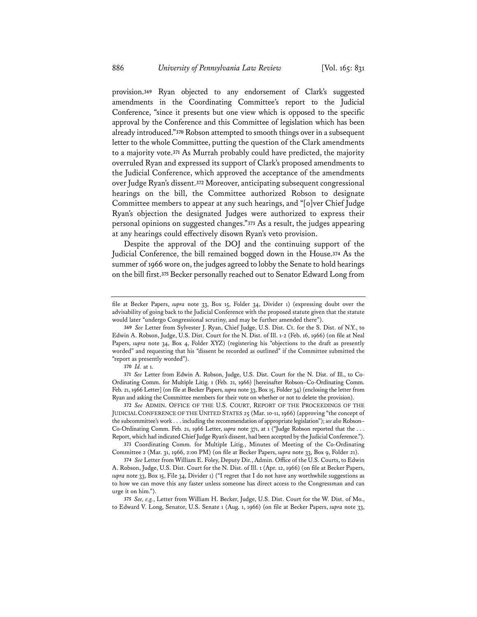provision.**<sup>369</sup>** Ryan objected to any endorsement of Clark's suggested amendments in the Coordinating Committee's report to the Judicial Conference, "since it presents but one view which is opposed to the specific approval by the Conference and this Committee of legislation which has been already introduced."**<sup>370</sup>** Robson attempted to smooth things over in a subsequent letter to the whole Committee, putting the question of the Clark amendments to a majority vote.**<sup>371</sup>** As Murrah probably could have predicted, the majority overruled Ryan and expressed its support of Clark's proposed amendments to the Judicial Conference, which approved the acceptance of the amendments over Judge Ryan's dissent.**<sup>372</sup>** Moreover, anticipating subsequent congressional hearings on the bill, the Committee authorized Robson to designate Committee members to appear at any such hearings, and "[o]ver Chief Judge Ryan's objection the designated Judges were authorized to express their personal opinions on suggested changes."**<sup>373</sup>** As a result, the judges appearing at any hearings could effectively disown Ryan's veto provision.

Despite the approval of the DOJ and the continuing support of the Judicial Conference, the bill remained bogged down in the House.**<sup>374</sup>** As the summer of 1966 wore on, the judges agreed to lobby the Senate to hold hearings on the bill first.**<sup>375</sup>** Becker personally reached out to Senator Edward Long from

file at Becker Papers, *supra* note 33, Box 15, Folder 34, Divider 1) (expressing doubt over the advisability of going back to the Judicial Conference with the proposed statute given that the statute would later "undergo Congressional scrutiny, and may be further amended there").

**<sup>369</sup>** *See* Letter from Sylvester J. Ryan, Chief Judge, U.S. Dist. Ct. for the S. Dist. of N.Y., to Edwin A. Robson, Judge, U.S. Dist. Court for the N. Dist. of Ill. 1-2 (Feb. 16, 1966) (on file at Neal Papers, *supra* note 34, Box 4, Folder XYZ) (registering his "objections to the draft as presently worded" and requesting that his "dissent be recorded as outlined" if the Committee submitted the "report as presently worded").

**<sup>370</sup>** *Id.* at 1.

**<sup>371</sup>** *See* Letter from Edwin A. Robson, Judge, U.S. Dist. Court for the N. Dist. of Ill., to Co-Ordinating Comm. for Multiple Litig. 1 (Feb. 21, 1966) [hereinafter Robson–Co-Ordinating Comm. Feb. 21, 1966 Letter] (on file at Becker Papers, *supra* note 33, Box 15, Folder 34) (enclosing the letter from Ryan and asking the Committee members for their vote on whether or not to delete the provision).

**<sup>372</sup>** *See* ADMIN. OFFICE OF THE U.S. COURT, REPORT OF THE PROCEEDINGS OF THE JUDICIAL CONFERENCE OF THE UNITED STATES 25 (Mar. 10-11, 1966) (approving "the concept of the subcommittee's work . . . including the recommendation of appropriate legislation"); *see also* Robson– Co-Ordinating Comm. Feb. 21, 1966 Letter, *supra* note 371, at 1 ("Judge Robson reported that the . . . Report, which had indicated Chief Judge Ryan's dissent, had been accepted by the Judicial Conference.").

**<sup>373</sup>** Coordinating Comm. for Multiple Litig., Minutes of Meeting of the Co-Ordinating Committee 2 (Mar. 31, 1966, 2:00 PM) (on file at Becker Papers, *supra* note 33, Box 9, Folder 21).

**<sup>374</sup>** *See* Letter from William E. Foley, Deputy Dir., Admin. Office of the U.S. Courts, to Edwin A. Robson, Judge, U.S. Dist. Court for the N. Dist. of Ill. 1 (Apr. 12, 1966) (on file at Becker Papers, *supra* note 33, Box 15, File 34, Divider 1) ("I regret that I do not have any worthwhile suggestions as to how we can move this any faster unless someone has direct access to the Congressman and can urge it on him.").

**<sup>375</sup>** *See, e.g.*, Letter from William H. Becker, Judge, U.S. Dist. Court for the W. Dist. of Mo., to Edward V. Long, Senator, U.S. Senate 1 (Aug. 1, 1966) (on file at Becker Papers, *supra* note 33,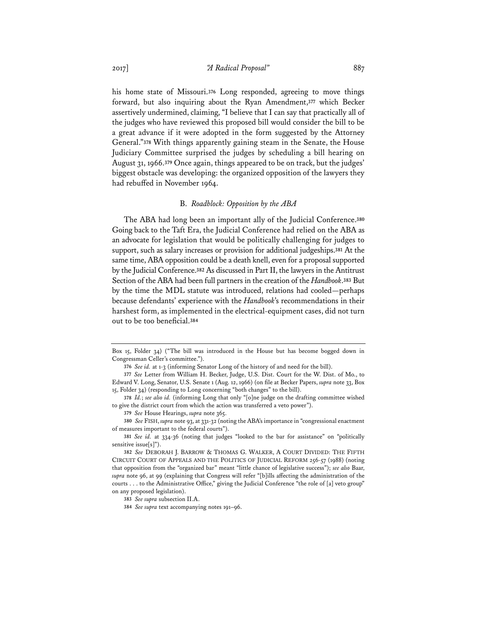his home state of Missouri.**<sup>376</sup>** Long responded, agreeing to move things forward, but also inquiring about the Ryan Amendment,**<sup>377</sup>** which Becker assertively undermined, claiming, "I believe that I can say that practically all of the judges who have reviewed this proposed bill would consider the bill to be a great advance if it were adopted in the form suggested by the Attorney General."**<sup>378</sup>** With things apparently gaining steam in the Senate, the House Judiciary Committee surprised the judges by scheduling a bill hearing on August 31, 1966.**<sup>379</sup>** Once again, things appeared to be on track, but the judges' biggest obstacle was developing: the organized opposition of the lawyers they had rebuffed in November 1964.

#### B. *Roadblock: Opposition by the ABA*

The ABA had long been an important ally of the Judicial Conference.**<sup>380</sup>** Going back to the Taft Era, the Judicial Conference had relied on the ABA as an advocate for legislation that would be politically challenging for judges to support, such as salary increases or provision for additional judgeships.**<sup>381</sup>** At the same time, ABA opposition could be a death knell, even for a proposal supported by the Judicial Conference.**<sup>382</sup>** As discussed in Part II, the lawyers in the Antitrust Section of the ABA had been full partners in the creation of the *Handbook*.**<sup>383</sup>** But by the time the MDL statute was introduced, relations had cooled—perhaps because defendants' experience with the *Handbook*'s recommendations in their harshest form, as implemented in the electrical-equipment cases, did not turn out to be too beneficial.**<sup>384</sup>**

**380** *See* FISH, *supra* note 93, at 331-32 (noting the ABA's importance in "congressional enactment of measures important to the federal courts").

Box 15, Folder 34) ("The bill was introduced in the House but has become bogged down in Congressman Celler's committee.").

**<sup>376</sup>** *See id.* at 1-3 (informing Senator Long of the history of and need for the bill).

**<sup>377</sup>** *See* Letter from William H. Becker, Judge, U.S. Dist. Court for the W. Dist. of Mo., to Edward V. Long, Senator, U.S. Senate 1 (Aug. 12, 1966) (on file at Becker Papers, *supra* note 33, Box 15, Folder 34) (responding to Long concerning "both changes" to the bill).

**<sup>378</sup>** *Id.*; *see also id.* (informing Long that only "[o]ne judge on the drafting committee wished to give the district court from which the action was transferred a veto power").

**<sup>379</sup>** *See* House Hearings, *supra* note 365.

**<sup>381</sup>** *See id.* at 334-36 (noting that judges "looked to the bar for assistance" on "politically sensitive issue[s]").

**<sup>382</sup>** *See* DEBORAH J. BARROW & THOMAS G. WALKER, A COURT DIVIDED: THE FIFTH CIRCUIT COURT OF APPEALS AND THE POLITICS OF JUDICIAL REFORM 256-57 (1988) (noting that opposition from the "organized bar" meant "little chance of legislative success"); *see also* Baar, *supra* note 96, at 99 (explaining that Congress will refer "[b]ills affecting the administration of the courts . . . to the Administrative Office," giving the Judicial Conference "the role of [a] veto group" on any proposed legislation).

**<sup>383</sup>** *See supra* subsection II.A.

**<sup>384</sup>** *See supra* text accompanying notes 191–96.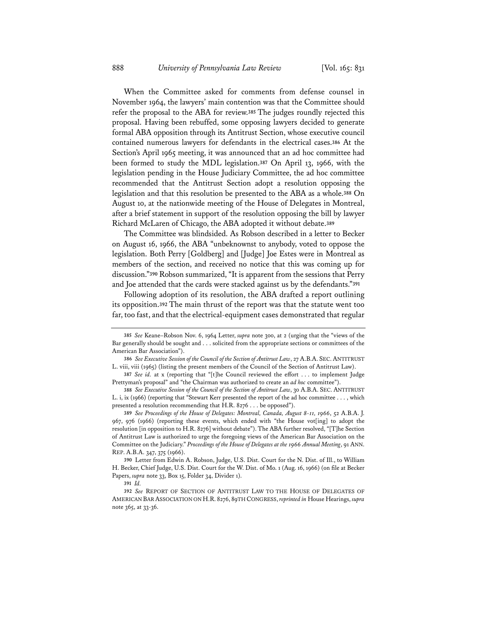When the Committee asked for comments from defense counsel in November 1964, the lawyers' main contention was that the Committee should refer the proposal to the ABA for review.**<sup>385</sup>** The judges roundly rejected this proposal. Having been rebuffed, some opposing lawyers decided to generate formal ABA opposition through its Antitrust Section, whose executive council contained numerous lawyers for defendants in the electrical cases.**<sup>386</sup>** At the Section's April 1965 meeting, it was announced that an ad hoc committee had been formed to study the MDL legislation.**<sup>387</sup>** On April 13, 1966, with the legislation pending in the House Judiciary Committee, the ad hoc committee recommended that the Antitrust Section adopt a resolution opposing the legislation and that this resolution be presented to the ABA as a whole.**<sup>388</sup>** On August 10, at the nationwide meeting of the House of Delegates in Montreal, after a brief statement in support of the resolution opposing the bill by lawyer Richard McLaren of Chicago, the ABA adopted it without debate.**<sup>389</sup>**

The Committee was blindsided. As Robson described in a letter to Becker on August 16, 1966, the ABA "unbeknownst to anybody, voted to oppose the legislation. Both Perry [Goldberg] and [Judge] Joe Estes were in Montreal as members of the section, and received no notice that this was coming up for discussion."**<sup>390</sup>** Robson summarized, "It is apparent from the sessions that Perry and Joe attended that the cards were stacked against us by the defendants."**<sup>391</sup>**

Following adoption of its resolution, the ABA drafted a report outlining its opposition.**<sup>392</sup>** The main thrust of the report was that the statute went too far, too fast, and that the electrical-equipment cases demonstrated that regular

**<sup>385</sup>** *See* Keane–Robson Nov. 6, 1964 Letter, *supra* note 300, at 2 (urging that the "views of the Bar generally should be sought and . . . solicited from the appropriate sections or committees of the American Bar Association").

**<sup>386</sup>** *See Executive Session of the Council of the Section of Antitrust Law*, 27 A.B.A. SEC.ANTITRUST L. viii, viii (1965) (listing the present members of the Council of the Section of Antitrust Law).

**<sup>387</sup>** *See id.* at x (reporting that "[t]he Council reviewed the effort . . . to implement Judge Prettyman's proposal" and "the Chairman was authorized to create an *ad hoc* committee").

**<sup>388</sup>** *See Executive Session of the Council of the Section of Antitrust Law*, 30 A.B.A. SEC. ANTITRUST L. i, ix (1966) (reporting that "Stewart Kerr presented the report of the ad hoc committee . . . , which presented a resolution recommending that H.R. 8276 . . . be opposed").

**<sup>389</sup>** *See Proceedings of the House of Delegates: Montreal, Canada, August 8-11, 1966*, 52 A.B.A. J. 967, 976 (1966) (reporting these events, which ended with "the House vot[ing] to adopt the resolution [in opposition to H.R. 8276] without debate"). The ABA further resolved, "[T]he Section of Antitrust Law is authorized to urge the foregoing views of the American Bar Association on the Committee on the Judiciary." *Proceedings of the House of Delegates at the 1966 Annual Meeting*, 91 ANN. REP. A.B.A. 347, 375 (1966).

**<sup>390</sup>** Letter from Edwin A. Robson, Judge, U.S. Dist. Court for the N. Dist. of Ill., to William H. Becker, Chief Judge, U.S. Dist. Court for the W. Dist. of Mo. 1 (Aug. 16, 1966) (on file at Becker Papers, *supra* note 33, Box 15, Folder 34, Divider 1).

**<sup>391</sup>** *Id.* 

**<sup>392</sup>** *See* REPORT OF SECTION OF ANTITRUST LAW TO THE HOUSE OF DELEGATES OF AMERICAN BAR ASSOCIATION ON H.R. 8276, 89TH CONGRESS, *reprinted in* House Hearings, *supra* note 365, at 33-36.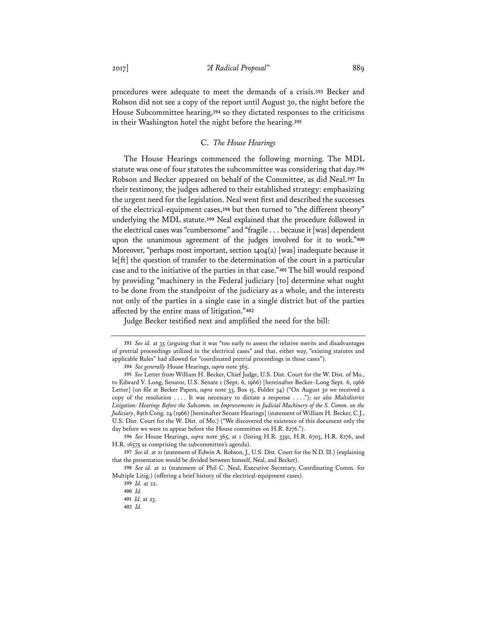procedures were adequate to meet the demands of a crisis.**<sup>393</sup>** Becker and Robson did not see a copy of the report until August 30, the night before the House Subcommittee hearing,**<sup>394</sup>** so they dictated responses to the criticisms in their Washington hotel the night before the hearing.**<sup>395</sup>**

## C. *The House Hearings*

The House Hearings commenced the following morning. The MDL statute was one of four statutes the subcommittee was considering that day.**<sup>396</sup>** Robson and Becker appeared on behalf of the Committee, as did Neal.**<sup>397</sup>** In their testimony, the judges adhered to their established strategy: emphasizing the urgent need for the legislation. Neal went first and described the successes of the electrical-equipment cases,**<sup>398</sup>** but then turned to "the different theory" underlying the MDL statute.**<sup>399</sup>** Neal explained that the procedure followed in the electrical cases was "cumbersome" and "fragile . . . because it [was] dependent upon the unanimous agreement of the judges involved for it to work."**<sup>400</sup>** Moreover, "perhaps most important, section 1404(a) [was] inadequate because it le[ft] the question of transfer to the determination of the court in a particular case and to the initiative of the parties in that case."**<sup>401</sup>** The bill would respond by providing "machinery in the Federal judiciary [to] determine what ought to be done from the standpoint of the judiciary as a whole, and the interests not only of the parties in a single case in a single district but of the parties affected by the entire mass of litigation."**<sup>402</sup>**

Judge Becker testified next and amplified the need for the bill:

**394** *See generally* House Hearings, *supra* note 365.

**<sup>393</sup>** *See id.* at 35 (arguing that it was "too early to assess the relative merits and disadvantages of pretrial proceedings utilized in the electrical cases" and that, either way, "existing statutes and applicable Rules" had allowed for "coordinated pretrial proceedings in those cases").

**<sup>395</sup>** *See* Letter from William H. Becker, Chief Judge, U.S. Dist. Court for the W. Dist. of Mo., to Edward V. Long, Senator, U.S. Senate 1 (Sept. 6, 1966) [hereinafter Becker–Long Sept. 6, 1966 Letter] (on file at Becker Papers, *supra* note 33, Box 15, Folder 34) ("On August 30 we received a copy of the resolution . . . . It was necessary to dictate a response . . . ."); *see also Multidistrict Litigation: Hearings Before the Subcomm. on Improvements in Judicial Machinery of the S. Comm. on the Judiciary*, 89th Cong. 24 (1966) [hereinafter Senate Hearings] (statement of William H. Becker, C.J., U.S. Dist. Court for the W. Dist. of Mo.) ("We discovered the existence of this document only the day before we were to appear before the House committee on H.R. 8276.").

**<sup>396</sup>** *See* House Hearings, *supra* note 365, at 1 (listing H.R. 3391, H.R. 6703, H.R. 8276, and H.R. 16575 as comprising the subcommittee's agenda).

**<sup>397</sup>** *See id.* at 21 (statement of Edwin A. Robson, J., U.S. Dist. Court for the N.D. Ill.) (explaining that the presentation would be divided between himself, Neal, and Becker).

**<sup>398</sup>** *See id.* at 21 (statement of Phil C. Neal, Executive Secretary, Coordinating Comm. for Multiple Litig.) (offering a brief history of the electrical-equipment cases).

**<sup>399</sup>** *Id.* at 22.

**<sup>400</sup>** *Id.*

**<sup>401</sup>** *Id.* at 23.

**<sup>402</sup>** *Id.*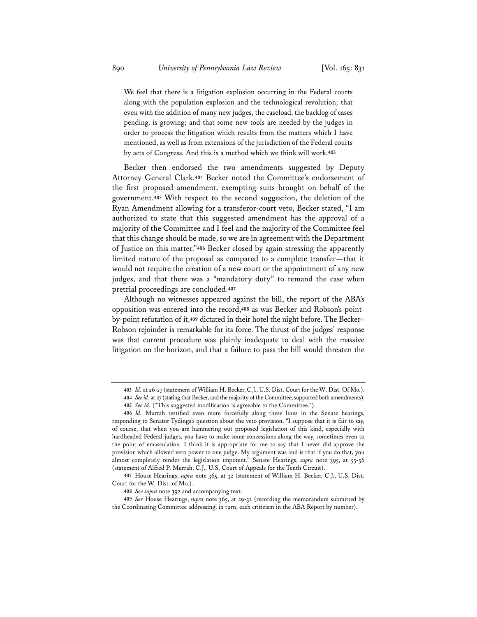We feel that there is a litigation explosion occurring in the Federal courts along with the population explosion and the technological revolution; that even with the addition of many new judges, the caseload, the backlog of cases pending, is growing; and that some new tools are needed by the judges in order to process the litigation which results from the matters which I have mentioned, as well as from extensions of the jurisdiction of the Federal courts by acts of Congress. And this is a method which we think will work.**<sup>403</sup>**

Becker then endorsed the two amendments suggested by Deputy Attorney General Clark.**<sup>404</sup>** Becker noted the Committee's endorsement of the first proposed amendment, exempting suits brought on behalf of the government.**<sup>405</sup>** With respect to the second suggestion, the deletion of the Ryan Amendment allowing for a transferor-court veto, Becker stated, "I am authorized to state that this suggested amendment has the approval of a majority of the Committee and I feel and the majority of the Committee feel that this change should be made, so we are in agreement with the Department of Justice on this matter."**<sup>406</sup>** Becker closed by again stressing the apparently limited nature of the proposal as compared to a complete transfer—that it would not require the creation of a new court or the appointment of any new judges, and that there was a "mandatory duty" to remand the case when pretrial proceedings are concluded.**<sup>407</sup>**

Although no witnesses appeared against the bill, the report of the ABA's opposition was entered into the record,**408** as was Becker and Robson's pointby-point refutation of it,**<sup>409</sup>** dictated in their hotel the night before. The Becker– Robson rejoinder is remarkable for its force. The thrust of the judges' response was that current procedure was plainly inadequate to deal with the massive litigation on the horizon, and that a failure to pass the bill would threaten the

**<sup>403</sup>** *Id.* at 26-27 (statement of William H. Becker, C.J., U.S. Dist. Court for the W. Dist. Of Mo.). **404** *Seeid.* at 27 (stating that Becker, and the majority of the Committee, supported both amendments).

**<sup>405</sup>** *See id.* ("This suggested modification is agreeable to the Committee.").

**<sup>406</sup>** *Id.* Murrah testified even more forcefully along these lines in the Senate hearings, responding to Senator Tydings's question about the veto provision, "I suppose that it is fair to say, of course, that when you are hammering out proposed legislation of this kind, especially with hardheaded Federal judges, you have to make some concessions along the way, sometimes even to the point of emasculation. I think it is appropriate for me to say that I never did approve the provision which allowed veto power to one judge. My argument was and is that if you do that, you almost completely render the legislation impotent." Senate Hearings, *supra* note 395, at 55-56 (statement of Alfred P. Murrah, C.J., U.S. Court of Appeals for the Tenth Circuit).

**<sup>407</sup>** House Hearings, *supra* note 365, at 32 (statement of William H. Becker, C.J., U.S. Dist. Court for the W. Dist. of Mo.).

**<sup>408</sup>** *See supra* note 392 and accompanying text.

**<sup>409</sup>** *See* House Hearings, *supra* note 365, at 29-32 (recording the memorandum submitted by the Coordinating Committee addressing, in turn, each criticism in the ABA Report by number).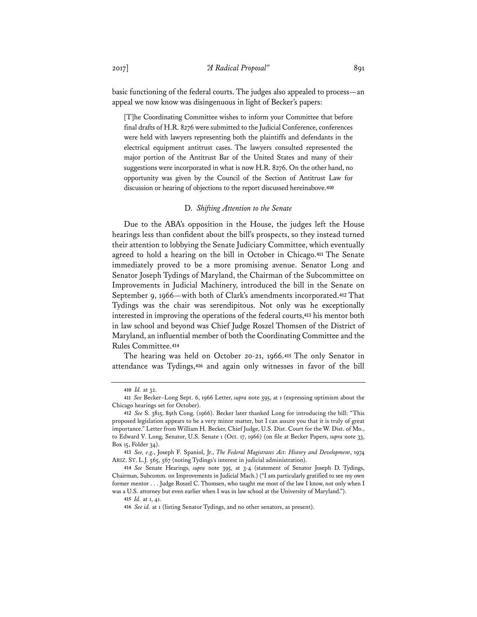basic functioning of the federal courts. The judges also appealed to process—an appeal we now know was disingenuous in light of Becker's papers:

[T]he Coordinating Committee wishes to inform your Committee that before final drafts of H.R. 8276 were submitted to the Judicial Conference, conferences were held with lawyers representing both the plaintiffs and defendants in the electrical equipment antitrust cases. The lawyers consulted represented the major portion of the Antitrust Bar of the United States and many of their suggestions were incorporated in what is now H.R. 8276. On the other hand, no opportunity was given by the Council of the Section of Antitrust Law for discussion or hearing of objections to the report discussed hereinabove.**<sup>410</sup>**

### D. *Shifting Attention to the Senate*

Due to the ABA's opposition in the House, the judges left the House hearings less than confident about the bill's prospects, so they instead turned their attention to lobbying the Senate Judiciary Committee, which eventually agreed to hold a hearing on the bill in October in Chicago.**<sup>411</sup>** The Senate immediately proved to be a more promising avenue. Senator Long and Senator Joseph Tydings of Maryland, the Chairman of the Subcommittee on Improvements in Judicial Machinery, introduced the bill in the Senate on September 9, 1966—with both of Clark's amendments incorporated.**<sup>412</sup>** That Tydings was the chair was serendipitous. Not only was he exceptionally interested in improving the operations of the federal courts,**<sup>413</sup>** his mentor both in law school and beyond was Chief Judge Roszel Thomsen of the District of Maryland, an influential member of both the Coordinating Committee and the Rules Committee.**<sup>414</sup>**

The hearing was held on October 20-21, 1966.**<sup>415</sup>** The only Senator in attendance was Tydings,**<sup>416</sup>** and again only witnesses in favor of the bill

**<sup>410</sup>** *Id.* at 32.

**<sup>411</sup>** *See* Becker–Long Sept. 6, 1966 Letter, *supra* note 395, at 1 (expressing optimism about the Chicago hearings set for October).

**<sup>412</sup>** *See* S. 3815, 89th Cong. (1966). Becker later thanked Long for introducing the bill: "This proposed legislation appears to be a very minor matter, but I can assure you that it is truly of great importance." Letter from William H. Becker, Chief Judge, U.S. Dist. Court for the W. Dist. of Mo., to Edward V. Long, Senator, U.S. Senate 1 (Oct. 17, 1966) (on file at Becker Papers, *supra* note 33, Box 15, Folder 34).

**<sup>413</sup>** *See, e.g.*, Joseph F. Spaniol, Jr., *The Federal Magistrates Act: History and Development*, 1974 ARIZ. ST. L.J. 565, 567 (noting Tydings's interest in judicial administration).

**<sup>414</sup>** *See* Senate Hearings, *supra* note 395, at 3-4 (statement of Senator Joseph D. Tydings, Chairman, Subcomm. on Improvements in Judicial Mach.) ("I am particularly gratified to see my own former mentor . . . Judge Roszel C. Thomsen, who taught me most of the law I know, not only when I was a U.S. attorney but even earlier when I was in law school at the University of Maryland.").

**<sup>415</sup>** *Id.* at 1, 41.

**<sup>416</sup>** *See id.* at 1 (listing Senator Tydings, and no other senators, as present).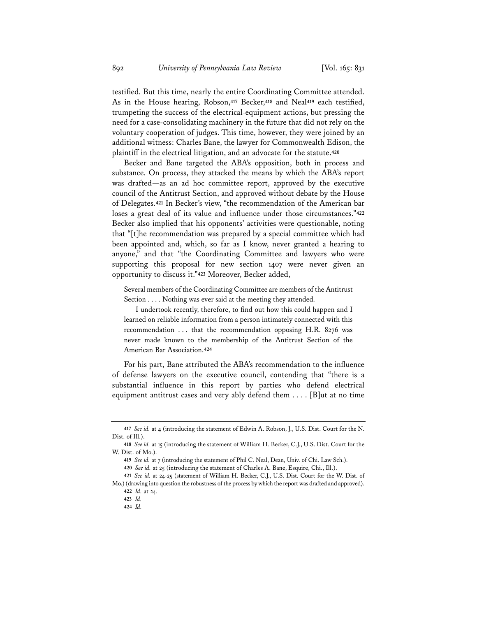testified. But this time, nearly the entire Coordinating Committee attended. As in the House hearing, Robson,**<sup>417</sup>** Becker,**<sup>418</sup>** and Neal**<sup>419</sup>** each testified, trumpeting the success of the electrical-equipment actions, but pressing the need for a case-consolidating machinery in the future that did not rely on the voluntary cooperation of judges. This time, however, they were joined by an additional witness: Charles Bane, the lawyer for Commonwealth Edison, the plaintiff in the electrical litigation, and an advocate for the statute.**<sup>420</sup>**

Becker and Bane targeted the ABA's opposition, both in process and substance. On process, they attacked the means by which the ABA's report was drafted—as an ad hoc committee report, approved by the executive council of the Antitrust Section, and approved without debate by the House of Delegates.**<sup>421</sup>** In Becker's view, "the recommendation of the American bar loses a great deal of its value and influence under those circumstances."**<sup>422</sup>** Becker also implied that his opponents' activities were questionable, noting that "[t]he recommendation was prepared by a special committee which had been appointed and, which, so far as I know, never granted a hearing to anyone," and that "the Coordinating Committee and lawyers who were supporting this proposal for new section 1407 were never given an opportunity to discuss it."**<sup>423</sup>** Moreover, Becker added,

Several members of the Coordinating Committee are members of the Antitrust Section . . . . Nothing was ever said at the meeting they attended.

I undertook recently, therefore, to find out how this could happen and I learned on reliable information from a person intimately connected with this recommendation . . . that the recommendation opposing H.R. 8276 was never made known to the membership of the Antitrust Section of the American Bar Association.**<sup>424</sup>**

For his part, Bane attributed the ABA's recommendation to the influence of defense lawyers on the executive council, contending that "there is a substantial influence in this report by parties who defend electrical equipment antitrust cases and very ably defend them . . . . [B]ut at no time

**<sup>417</sup>** *See id.* at 4 (introducing the statement of Edwin A. Robson, J., U.S. Dist. Court for the N. Dist. of Ill.).

**<sup>418</sup>** *See id.* at 15 (introducing the statement of William H. Becker, C.J., U.S. Dist. Court for the W. Dist. of Mo.).

**<sup>419</sup>** *See id.* at 7 (introducing the statement of Phil C. Neal, Dean, Univ. of Chi. Law Sch.).

**<sup>420</sup>** *See id.* at 25 (introducing the statement of Charles A. Bane, Esquire, Chi., Ill.).

**<sup>421</sup>** *See id.* at 24-25 (statement of William H. Becker, C.J., U.S. Dist. Court for the W. Dist. of Mo.) (drawing into question the robustness of the process by which the report was drafted and approved).

**<sup>422</sup>** *Id.* at 24.

**<sup>423</sup>** *Id.*

**<sup>424</sup>** *Id.*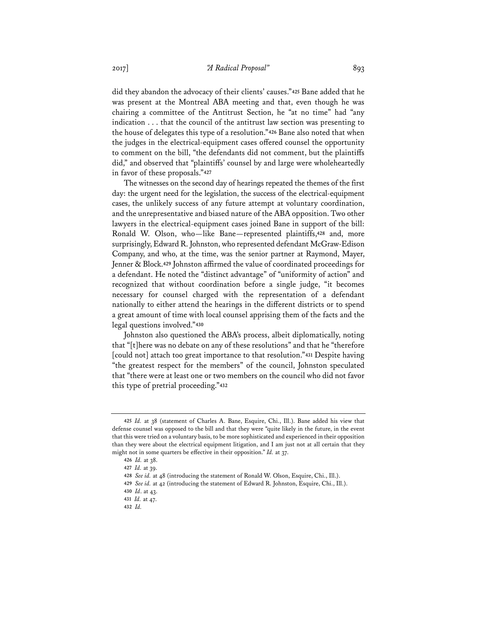did they abandon the advocacy of their clients' causes."**<sup>425</sup>** Bane added that he was present at the Montreal ABA meeting and that, even though he was chairing a committee of the Antitrust Section, he "at no time" had "any indication . . . that the council of the antitrust law section was presenting to the house of delegates this type of a resolution."**<sup>426</sup>** Bane also noted that when the judges in the electrical-equipment cases offered counsel the opportunity to comment on the bill, "the defendants did not comment, but the plaintiffs did," and observed that "plaintiffs' counsel by and large were wholeheartedly in favor of these proposals."**<sup>427</sup>**

The witnesses on the second day of hearings repeated the themes of the first day: the urgent need for the legislation, the success of the electrical-equipment cases, the unlikely success of any future attempt at voluntary coordination, and the unrepresentative and biased nature of the ABA opposition. Two other lawyers in the electrical-equipment cases joined Bane in support of the bill: Ronald W. Olson, who—like Bane—represented plaintiffs,**<sup>428</sup>** and, more surprisingly, Edward R. Johnston, who represented defendant McGraw-Edison Company, and who, at the time, was the senior partner at Raymond, Mayer, Jenner & Block.**<sup>429</sup>** Johnston affirmed the value of coordinated proceedings for a defendant. He noted the "distinct advantage" of "uniformity of action" and recognized that without coordination before a single judge, "it becomes necessary for counsel charged with the representation of a defendant nationally to either attend the hearings in the different districts or to spend a great amount of time with local counsel apprising them of the facts and the legal questions involved."**<sup>430</sup>**

Johnston also questioned the ABA's process, albeit diplomatically, noting that "[t]here was no debate on any of these resolutions" and that he "therefore [could not] attach too great importance to that resolution."**<sup>431</sup>** Despite having "the greatest respect for the members" of the council, Johnston speculated that "there were at least one or two members on the council who did not favor this type of pretrial proceeding."**<sup>432</sup>**

**<sup>425</sup>** *Id.* at 38 (statement of Charles A. Bane, Esquire, Chi., Ill.). Bane added his view that defense counsel was opposed to the bill and that they were "quite likely in the future, in the event that this were tried on a voluntary basis, to be more sophisticated and experienced in their opposition than they were about the electrical equipment litigation, and I am just not at all certain that they might not in some quarters be effective in their opposition." *Id.* at 37.

**<sup>426</sup>** *Id.* at 38.

**<sup>427</sup>** *Id.* at 39.

**<sup>428</sup>** *See id.* at 48 (introducing the statement of Ronald W. Olson, Esquire, Chi., Ill.).

**<sup>429</sup>** *See id.* at 42 (introducing the statement of Edward R. Johnston, Esquire, Chi., Ill.).

**<sup>430</sup>** *Id*. at 43.

**<sup>431</sup>** *Id.* at 47.

**<sup>432</sup>** *Id.*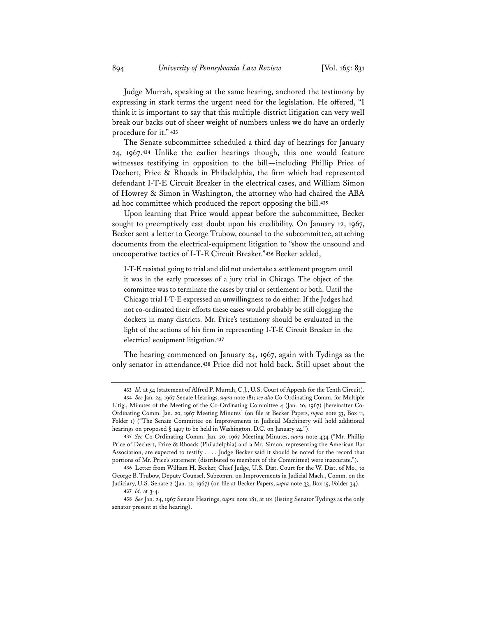Judge Murrah, speaking at the same hearing, anchored the testimony by expressing in stark terms the urgent need for the legislation. He offered, "I think it is important to say that this multiple-district litigation can very well break our backs out of sheer weight of numbers unless we do have an orderly procedure for it."**<sup>433</sup>**

The Senate subcommittee scheduled a third day of hearings for January 24, 1967.**<sup>434</sup>** Unlike the earlier hearings though, this one would feature witnesses testifying in opposition to the bill—including Phillip Price of Dechert, Price & Rhoads in Philadelphia, the firm which had represented defendant I-T-E Circuit Breaker in the electrical cases, and William Simon of Howrey & Simon in Washington, the attorney who had chaired the ABA ad hoc committee which produced the report opposing the bill.**<sup>435</sup>**

Upon learning that Price would appear before the subcommittee, Becker sought to preemptively cast doubt upon his credibility. On January 12, 1967, Becker sent a letter to George Trubow, counsel to the subcommittee, attaching documents from the electrical-equipment litigation to "show the unsound and uncooperative tactics of I-T-E Circuit Breaker."**<sup>436</sup>** Becker added,

I-T-E resisted going to trial and did not undertake a settlement program until it was in the early processes of a jury trial in Chicago. The object of the committee was to terminate the cases by trial or settlement or both. Until the Chicago trial I-T-E expressed an unwillingness to do either. If the Judges had not co-ordinated their efforts these cases would probably be still clogging the dockets in many districts. Mr. Price's testimony should be evaluated in the light of the actions of his firm in representing I-T-E Circuit Breaker in the electrical equipment litigation.**<sup>437</sup>**

The hearing commenced on January 24, 1967, again with Tydings as the only senator in attendance.**<sup>438</sup>** Price did not hold back. Still upset about the

**<sup>433</sup>** *Id.* at 54 (statement of Alfred P. Murrah, C.J., U.S. Court of Appeals for the Tenth Circuit).

**<sup>434</sup>** *See* Jan. 24, 1967 Senate Hearings, *supra* note 181; *see also* Co-Ordinating Comm. for Multiple Litig., Minutes of the Meeting of the Co-Ordinating Committee 4 (Jan. 20, 1967) [hereinafter Co-Ordinating Comm. Jan. 20, 1967 Meeting Minutes] (on file at Becker Papers, *supra* note 33, Box 11, Folder 1) ("The Senate Committee on Improvements in Judicial Machinery will hold additional hearings on proposed § 1407 to be held in Washington, D.C. on January 24.").

**<sup>435</sup>** *See* Co-Ordinating Comm. Jan. 20, 1967 Meeting Minutes, *supra* note 434 ("Mr. Phillip Price of Dechert, Price & Rhoads (Philadelphia) and a Mr. Simon, representing the American Bar Association, are expected to testify . . . . Judge Becker said it should be noted for the record that portions of Mr. Price's statement (distributed to members of the Committee) were inaccurate.").

**<sup>436</sup>** Letter from William H. Becker, Chief Judge, U.S. Dist. Court for the W. Dist. of Mo., to George B. Trubow, Deputy Counsel, Subcomm. on Improvements in Judicial Mach., Comm. on the Judiciary, U.S. Senate 2 (Jan. 12, 1967) (on file at Becker Papers, *supra* note 33, Box 15, Folder 34). **437** *Id.* at 3-4.

**<sup>438</sup>** *See* Jan. 24, 1967 Senate Hearings, *supra* note 181, at 101 (listing Senator Tydings as the only senator present at the hearing).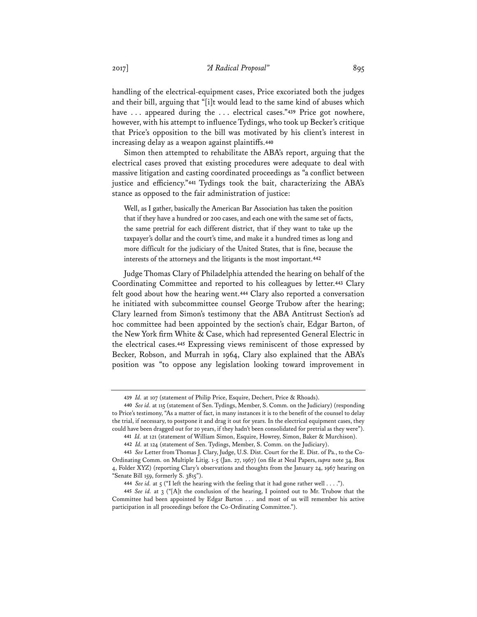handling of the electrical-equipment cases, Price excoriated both the judges and their bill, arguing that "[i]t would lead to the same kind of abuses which have . . . appeared during the . . . electrical cases."**<sup>439</sup>** Price got nowhere, however, with his attempt to influence Tydings, who took up Becker's critique that Price's opposition to the bill was motivated by his client's interest in increasing delay as a weapon against plaintiffs.**<sup>440</sup>**

Simon then attempted to rehabilitate the ABA's report, arguing that the electrical cases proved that existing procedures were adequate to deal with massive litigation and casting coordinated proceedings as "a conflict between justice and efficiency."**<sup>441</sup>** Tydings took the bait, characterizing the ABA's stance as opposed to the fair administration of justice:

Well, as I gather, basically the American Bar Association has taken the position that if they have a hundred or 200 cases, and each one with the same set of facts, the same pretrial for each different district, that if they want to take up the taxpayer's dollar and the court's time, and make it a hundred times as long and more difficult for the judiciary of the United States, that is fine, because the interests of the attorneys and the litigants is the most important.**<sup>442</sup>**

Judge Thomas Clary of Philadelphia attended the hearing on behalf of the Coordinating Committee and reported to his colleagues by letter.**<sup>443</sup>** Clary felt good about how the hearing went.**<sup>444</sup>** Clary also reported a conversation he initiated with subcommittee counsel George Trubow after the hearing; Clary learned from Simon's testimony that the ABA Antitrust Section's ad hoc committee had been appointed by the section's chair, Edgar Barton, of the New York firm White & Case, which had represented General Electric in the electrical cases.**<sup>445</sup>** Expressing views reminiscent of those expressed by Becker, Robson, and Murrah in 1964, Clary also explained that the ABA's position was "to oppose any legislation looking toward improvement in

**<sup>439</sup>** *Id.* at 107 (statement of Philip Price, Esquire, Dechert, Price & Rhoads).

**<sup>440</sup>** *See id.* at 115 (statement of Sen. Tydings, Member, S. Comm. on the Judiciary) (responding to Price's testimony, "As a matter of fact, in many instances it is to the benefit of the counsel to delay the trial, if necessary, to postpone it and drag it out for years. In the electrical equipment cases, they could have been dragged out for 20 years, if they hadn't been consolidated for pretrial as they were").

**<sup>441</sup>** *Id.* at 121 (statement of William Simon, Esquire, Howrey, Simon, Baker & Murchison).

**<sup>442</sup>** *Id.* at 124 (statement of Sen. Tydings, Member, S. Comm. on the Judiciary).

**<sup>443</sup>** *See* Letter from Thomas J. Clary, Judge, U.S. Dist. Court for the E. Dist. of Pa., to the Co-Ordinating Comm. on Multiple Litig. 1-5 (Jan. 27, 1967) (on file at Neal Papers, *supra* note 34, Box 4, Folder XYZ) (reporting Clary's observations and thoughts from the January 24, 1967 hearing on "Senate Bill 159, formerly S. 3815").

**<sup>444</sup>** *See id.* at 5 ("I left the hearing with the feeling that it had gone rather well . . . .").

**<sup>445</sup>** *See id.* at 3 ("[A]t the conclusion of the hearing, I pointed out to Mr. Trubow that the Committee had been appointed by Edgar Barton . . . and most of us will remember his active participation in all proceedings before the Co-Ordinating Committee.").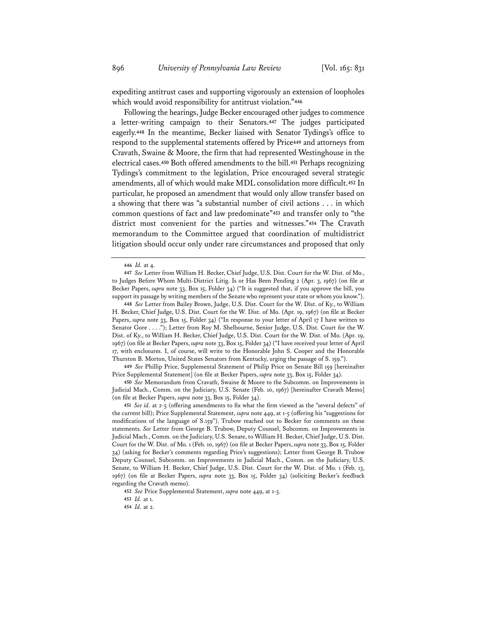expediting antitrust cases and supporting vigorously an extension of loopholes which would avoid responsibility for antitrust violation."**<sup>446</sup>**

Following the hearings, Judge Becker encouraged other judges to commence a letter-writing campaign to their Senators.**<sup>447</sup>** The judges participated eagerly.**<sup>448</sup>** In the meantime, Becker liaised with Senator Tydings's office to respond to the supplemental statements offered by Price**<sup>449</sup>** and attorneys from Cravath, Swaine & Moore, the firm that had represented Westinghouse in the electrical cases.**<sup>450</sup>** Both offered amendments to the bill.**<sup>451</sup>** Perhaps recognizing Tydings's commitment to the legislation, Price encouraged several strategic amendments, all of which would make MDL consolidation more difficult.**<sup>452</sup>** In particular, he proposed an amendment that would only allow transfer based on a showing that there was "a substantial number of civil actions . . . in which common questions of fact and law predominate"**<sup>453</sup>** and transfer only to "the district most convenient for the parties and witnesses."**<sup>454</sup>** The Cravath memorandum to the Committee argued that coordination of multidistrict litigation should occur only under rare circumstances and proposed that only

**449** *See* Phillip Price, Supplemental Statement of Philip Price on Senate Bill 159 [hereinafter Price Supplemental Statement] (on file at Becker Papers, *supra* note 33, Box 15, Folder 34).

**450** *See* Memorandum from Cravath, Swaine & Moore to the Subcomm. on Improvements in Judicial Mach., Comm. on the Judiciary, U.S. Senate (Feb. 10, 1967) [hereinafter Cravath Memo] (on file at Becker Papers, *supra* note 33, Box 15, Folder 34).

**452** *See* Price Supplemental Statement, *supra* note 449, at 1-5.

**<sup>446</sup>** *Id.* at 4.

**<sup>447</sup>** *See* Letter from William H. Becker, Chief Judge, U.S. Dist. Court for the W. Dist. of Mo., to Judges Before Whom Multi-District Litig. Is or Has Been Pending 2 (Apr. 3, 1967) (on file at Becker Papers, *supra* note 33, Box 15, Folder 34) ("It is suggested that, if you approve the bill, you support its passage by writing members of the Senate who represent your state or whom you know.").

**<sup>448</sup>** *See* Letter from Bailey Brown, Judge, U.S. Dist. Court for the W. Dist. of Ky., to William H. Becker, Chief Judge, U.S. Dist. Court for the W. Dist. of Mo. (Apr. 19, 1967) (on file at Becker Papers, *supra* note 33, Box 15, Folder 34) ("In response to your letter of April 17 I have written to Senator Gore . . . ."); Letter from Roy M. Shelbourne, Senior Judge, U.S. Dist. Court for the W. Dist. of Ky., to William H. Becker, Chief Judge, U.S. Dist. Court for the W. Dist. of Mo. (Apr. 19, 1967) (on file at Becker Papers, *supra* note 33, Box 15, Folder 34) ("I have received your letter of April 17, with enclosures. I, of course, will write to the Honorable John S. Cooper and the Honorable Thurston B. Morton, United States Senators from Kentucky, urging the passage of S. 159.").

**<sup>451</sup>** *See id.* at 2-5 (offering amendments to fix what the firm viewed as the "several defects" of the current bill); Price Supplemental Statement, *supra* note 449, at 1-5 (offering his "suggestions for modifications of the language of S.159"). Trubow reached out to Becker for comments on these statements. *See* Letter from George B. Trubow, Deputy Counsel, Subcomm. on Improvements in Judicial Mach., Comm. on the Judiciary, U.S. Senate, to William H. Becker, Chief Judge, U.S. Dist. Court for the W. Dist. of Mo. 1 (Feb. 10, 1967) (on file at Becker Papers, *supra* note 33, Box 15, Folder 34) (asking for Becker's comments regarding Price's suggestions); Letter from George B. Trubow Deputy Counsel, Subcomm. on Improvements in Judicial Mach., Comm. on the Judiciary, U.S. Senate, to William H. Becker, Chief Judge, U.S. Dist. Court for the W. Dist. of Mo. 1 (Feb. 13, 1967) (on file at Becker Papers, *supra* note 33, Box 15, Folder 34) (soliciting Becker's feedback regarding the Cravath memo).

**<sup>453</sup>** *Id.* at 1.

**<sup>454</sup>** *Id.* at 2.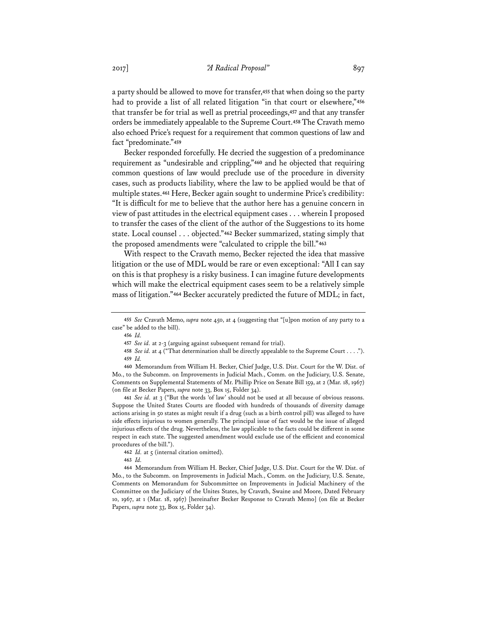a party should be allowed to move for transfer,**<sup>455</sup>** that when doing so the party had to provide a list of all related litigation "in that court or elsewhere,"**<sup>456</sup>** that transfer be for trial as well as pretrial proceedings,**<sup>457</sup>** and that any transfer orders be immediately appealable to the Supreme Court.**<sup>458</sup>** The Cravath memo also echoed Price's request for a requirement that common questions of law and fact "predominate."**<sup>459</sup>**

Becker responded forcefully. He decried the suggestion of a predominance requirement as "undesirable and crippling,"**<sup>460</sup>** and he objected that requiring common questions of law would preclude use of the procedure in diversity cases, such as products liability, where the law to be applied would be that of multiple states.**<sup>461</sup>** Here, Becker again sought to undermine Price's credibility: "It is difficult for me to believe that the author here has a genuine concern in view of past attitudes in the electrical equipment cases . . . wherein I proposed to transfer the cases of the client of the author of the Suggestions to its home state. Local counsel . . . objected."**<sup>462</sup>** Becker summarized, stating simply that the proposed amendments were "calculated to cripple the bill."**<sup>463</sup>**

With respect to the Cravath memo, Becker rejected the idea that massive litigation or the use of MDL would be rare or even exceptional: "All I can say on this is that prophesy is a risky business. I can imagine future developments which will make the electrical equipment cases seem to be a relatively simple mass of litigation."**<sup>464</sup>** Becker accurately predicted the future of MDL; in fact,

**461** *See id.* at 3 ("But the words 'of law' should not be used at all because of obvious reasons. Suppose the United States Courts are flooded with hundreds of thousands of diversity damage actions arising in 50 states as might result if a drug (such as a birth control pill) was alleged to have side effects injurious to women generally. The principal issue of fact would be the issue of alleged injurious effects of the drug. Nevertheless, the law applicable to the facts could be different in some respect in each state. The suggested amendment would exclude use of the efficient and economical procedures of the bill.").

**464** Memorandum from William H. Becker, Chief Judge, U.S. Dist. Court for the W. Dist. of Mo., to the Subcomm. on Improvements in Judicial Mach., Comm. on the Judiciary, U.S. Senate, Comments on Memorandum for Subcommittee on Improvements in Judicial Machinery of the Committee on the Judiciary of the Unites States, by Cravath, Swaine and Moore, Dated February 10, 1967, at 1 (Mar. 18, 1967) [hereinafter Becker Response to Cravath Memo] (on file at Becker Papers, *supra* note 33, Box 15, Folder 34).

**<sup>455</sup>** *See* Cravath Memo, *supra* note 450, at 4 (suggesting that "[u]pon motion of any party to a case" be added to the bill).

**<sup>456</sup>** *Id.*

**<sup>457</sup>** *See id.* at 2-3 (arguing against subsequent remand for trial).

**<sup>458</sup>** *See id.* at 4 ("That determination shall be directly appealable to the Supreme Court . . . ."). **459** *Id.* 

**<sup>460</sup>** Memorandum from William H. Becker, Chief Judge, U.S. Dist. Court for the W. Dist. of Mo., to the Subcomm. on Improvements in Judicial Mach., Comm. on the Judiciary, U.S. Senate, Comments on Supplemental Statements of Mr. Phillip Price on Senate Bill 159, at 2 (Mar. 18, 1967) (on file at Becker Papers, *supra* note 33, Box 15, Folder 34).

**<sup>462</sup>** *Id.* at 5 (internal citation omitted).

**<sup>463</sup>** *Id.*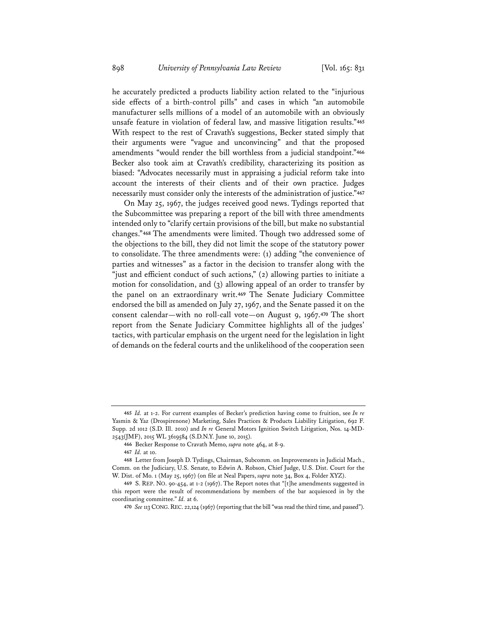he accurately predicted a products liability action related to the "injurious side effects of a birth-control pills" and cases in which "an automobile manufacturer sells millions of a model of an automobile with an obviously unsafe feature in violation of federal law, and massive litigation results."**<sup>465</sup>** With respect to the rest of Cravath's suggestions, Becker stated simply that their arguments were "vague and unconvincing" and that the proposed amendments "would render the bill worthless from a judicial standpoint."**<sup>466</sup>** Becker also took aim at Cravath's credibility, characterizing its position as biased: "Advocates necessarily must in appraising a judicial reform take into account the interests of their clients and of their own practice. Judges necessarily must consider only the interests of the administration of justice."**<sup>467</sup>**

On May 25, 1967, the judges received good news. Tydings reported that the Subcommittee was preparing a report of the bill with three amendments intended only to "clarify certain provisions of the bill, but make no substantial changes."**<sup>468</sup>** The amendments were limited. Though two addressed some of the objections to the bill, they did not limit the scope of the statutory power to consolidate. The three amendments were: (1) adding "the convenience of parties and witnesses" as a factor in the decision to transfer along with the "just and efficient conduct of such actions," (2) allowing parties to initiate a motion for consolidation, and (3) allowing appeal of an order to transfer by the panel on an extraordinary writ.**<sup>469</sup>** The Senate Judiciary Committee endorsed the bill as amended on July 27, 1967, and the Senate passed it on the consent calendar—with no roll-call vote—on August 9, 1967.**<sup>470</sup>** The short report from the Senate Judiciary Committee highlights all of the judges' tactics, with particular emphasis on the urgent need for the legislation in light of demands on the federal courts and the unlikelihood of the cooperation seen

**<sup>465</sup>** *Id.* at 1-2. For current examples of Becker's prediction having come to fruition, see *In re* Yasmin & Yaz (Drospirenone) Marketing, Sales Practices & Products Liability Litigation, 692 F. Supp. 2d 1012 (S.D. Ill. 2010) and *In re* General Motors Ignition Switch Litigation, Nos. 14-MD-2543(JMF), 2015 WL 3619584 (S.D.N.Y. June 10, 2015).

**<sup>466</sup>** Becker Response to Cravath Memo, *supra* note 464, at 8-9.

**<sup>467</sup>** *Id.* at 10.

**<sup>468</sup>** Letter from Joseph D. Tydings, Chairman, Subcomm. on Improvements in Judicial Mach., Comm. on the Judiciary, U.S. Senate, to Edwin A. Robson, Chief Judge, U.S. Dist. Court for the W. Dist. of Mo. 1 (May 25, 1967) (on file at Neal Papers, *supra* note 34, Box 4, Folder XYZ).

**<sup>469</sup>** S. REP. NO. 90-454, at 1-2 (1967). The Report notes that "[t]he amendments suggested in this report were the result of recommendations by members of the bar acquiesced in by the coordinating committee." *Id.* at 6.

**<sup>470</sup>** *See* 113 CONG.REC. 22,124 (1967) (reporting that the bill "was read the third time, and passed").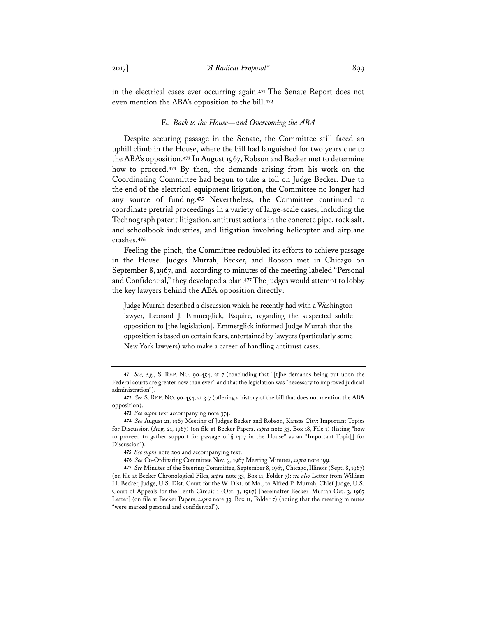in the electrical cases ever occurring again.**<sup>471</sup>** The Senate Report does not even mention the ABA's opposition to the bill.**<sup>472</sup>**

### E. *Back to the House—and Overcoming the ABA*

Despite securing passage in the Senate, the Committee still faced an uphill climb in the House, where the bill had languished for two years due to the ABA's opposition.**<sup>473</sup>** In August 1967, Robson and Becker met to determine how to proceed.**<sup>474</sup>** By then, the demands arising from his work on the Coordinating Committee had begun to take a toll on Judge Becker. Due to the end of the electrical-equipment litigation, the Committee no longer had any source of funding.**<sup>475</sup>** Nevertheless, the Committee continued to coordinate pretrial proceedings in a variety of large-scale cases, including the Technograph patent litigation, antitrust actions in the concrete pipe, rock salt, and schoolbook industries, and litigation involving helicopter and airplane crashes.**<sup>476</sup>**

Feeling the pinch, the Committee redoubled its efforts to achieve passage in the House. Judges Murrah, Becker, and Robson met in Chicago on September 8, 1967, and, according to minutes of the meeting labeled "Personal and Confidential," they developed a plan.**<sup>477</sup>** The judges would attempt to lobby the key lawyers behind the ABA opposition directly:

Judge Murrah described a discussion which he recently had with a Washington lawyer, Leonard J. Emmerglick, Esquire, regarding the suspected subtle opposition to [the legislation]. Emmerglick informed Judge Murrah that the opposition is based on certain fears, entertained by lawyers (particularly some New York lawyers) who make a career of handling antitrust cases.

**<sup>471</sup>** *See, e.g.*, S. REP. NO. 90-454, at 7 (concluding that "[t]he demands being put upon the Federal courts are greater now than ever" and that the legislation was "necessary to improved judicial administration").

**<sup>472</sup>** *See* S. REP. NO. 90-454, at 3-7 (offering a history of the bill that does not mention the ABA opposition).

**<sup>473</sup>** *See supra* text accompanying note 374.

**<sup>474</sup>** *See* August 21, 1967 Meeting of Judges Becker and Robson, Kansas City: Important Topics for Discussion (Aug. 21, 1967) (on file at Becker Papers, *supra* note 33, Box 18, File 1) (listing "how to proceed to gather support for passage of § 1407 in the House" as an "Important Topic[] for Discussion").

**<sup>475</sup>** *See supra* note 200 and accompanying text.

**<sup>476</sup>** *See* Co-Ordinating Committee Nov. 3, 1967 Meeting Minutes, *supra* note 199.

**<sup>477</sup>** *See* Minutes of the Steering Committee, September 8, 1967, Chicago, Illinois (Sept. 8, 1967) (on file at Becker Chronological Files, *supra* note 33, Box 11, Folder 7); *see also* Letter from William H. Becker, Judge, U.S. Dist. Court for the W. Dist. of Mo., to Alfred P. Murrah, Chief Judge, U.S. Court of Appeals for the Tenth Circuit 1 (Oct. 3, 1967) [hereinafter Becker–Murrah Oct. 3, 1967 Letter] (on file at Becker Papers, *supra* note 33, Box 11, Folder 7) (noting that the meeting minutes "were marked personal and confidential").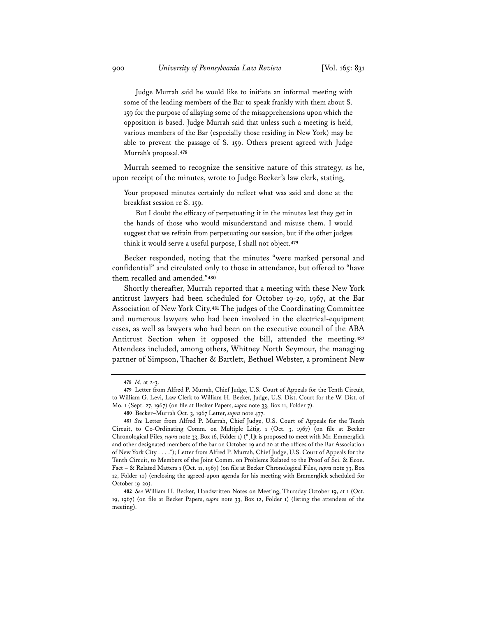Judge Murrah said he would like to initiate an informal meeting with some of the leading members of the Bar to speak frankly with them about S. 159 for the purpose of allaying some of the misapprehensions upon which the opposition is based. Judge Murrah said that unless such a meeting is held, various members of the Bar (especially those residing in New York) may be able to prevent the passage of S. 159. Others present agreed with Judge Murrah's proposal.**<sup>478</sup>**

Murrah seemed to recognize the sensitive nature of this strategy, as he, upon receipt of the minutes, wrote to Judge Becker's law clerk, stating,

Your proposed minutes certainly do reflect what was said and done at the breakfast session re S. 159.

But I doubt the efficacy of perpetuating it in the minutes lest they get in the hands of those who would misunderstand and misuse them. I would suggest that we refrain from perpetuating our session, but if the other judges think it would serve a useful purpose, I shall not object.**<sup>479</sup>**

Becker responded, noting that the minutes "were marked personal and confidential" and circulated only to those in attendance, but offered to "have them recalled and amended."**<sup>480</sup>**

Shortly thereafter, Murrah reported that a meeting with these New York antitrust lawyers had been scheduled for October 19-20, 1967, at the Bar Association of New York City.**<sup>481</sup>** The judges of the Coordinating Committee and numerous lawyers who had been involved in the electrical-equipment cases, as well as lawyers who had been on the executive council of the ABA Antitrust Section when it opposed the bill, attended the meeting.**<sup>482</sup>** Attendees included, among others, Whitney North Seymour, the managing partner of Simpson, Thacher & Bartlett, Bethuel Webster, a prominent New

**<sup>478</sup>** *Id.* at 2-3.

**<sup>479</sup>** Letter from Alfred P. Murrah, Chief Judge, U.S. Court of Appeals for the Tenth Circuit, to William G. Levi, Law Clerk to William H. Becker, Judge, U.S. Dist. Court for the W. Dist. of Mo. 1 (Sept. 27, 1967) (on file at Becker Papers, *supra* note 33, Box 11, Folder 7).

**<sup>480</sup>** Becker–Murrah Oct. 3, 1967 Letter, *supra* note 477.

**<sup>481</sup>** *See* Letter from Alfred P. Murrah, Chief Judge, U.S. Court of Appeals for the Tenth Circuit, to Co-Ordinating Comm. on Multiple Litig. 1 (Oct. 3, 1967) (on file at Becker Chronological Files, *supra* note 33, Box 16, Folder 1) ("[I]t is proposed to meet with Mr. Emmerglick and other designated members of the bar on October 19 and 20 at the offices of the Bar Association of New York City . . . ."); Letter from Alfred P. Murrah, Chief Judge, U.S. Court of Appeals for the Tenth Circuit, to Members of the Joint Comm. on Problems Related to the Proof of Sci. & Econ. Fact – & Related Matters 1 (Oct. 11, 1967) (on file at Becker Chronological Files, *supra* note 33, Box 12, Folder 10) (enclosing the agreed-upon agenda for his meeting with Emmerglick scheduled for October 19-20).

**<sup>482</sup>** *See* William H. Becker, Handwritten Notes on Meeting, Thursday October 19, at 1 (Oct. 19, 1967) (on file at Becker Papers, *supra* note 33, Box 12, Folder 1) (listing the attendees of the meeting).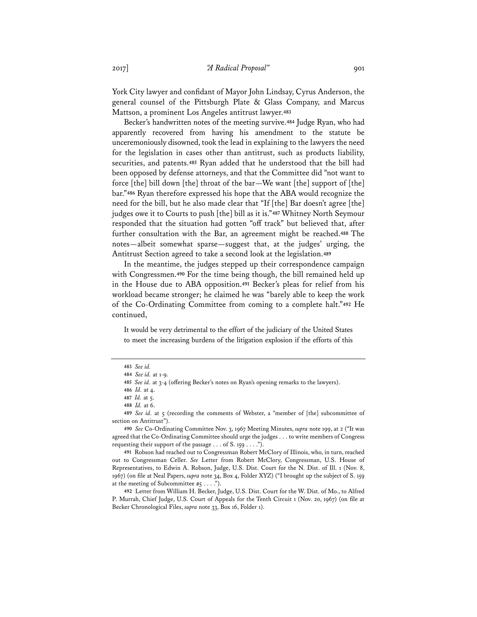York City lawyer and confidant of Mayor John Lindsay, Cyrus Anderson, the general counsel of the Pittsburgh Plate & Glass Company, and Marcus Mattson, a prominent Los Angeles antitrust lawyer.**<sup>483</sup>**

Becker's handwritten notes of the meeting survive.**<sup>484</sup>** Judge Ryan, who had apparently recovered from having his amendment to the statute be unceremoniously disowned, took the lead in explaining to the lawyers the need for the legislation in cases other than antitrust, such as products liability, securities, and patents.**<sup>485</sup>** Ryan added that he understood that the bill had been opposed by defense attorneys, and that the Committee did "not want to force [the] bill down [the] throat of the bar—We want [the] support of [the] bar."**<sup>486</sup>** Ryan therefore expressed his hope that the ABA would recognize the need for the bill, but he also made clear that "If [the] Bar doesn't agree [the] judges owe it to Courts to push [the] bill as it is."**<sup>487</sup>** Whitney North Seymour responded that the situation had gotten "off track" but believed that, after further consultation with the Bar, an agreement might be reached.**<sup>488</sup>** The notes—albeit somewhat sparse—suggest that, at the judges' urging, the Antitrust Section agreed to take a second look at the legislation.**<sup>489</sup>**

In the meantime, the judges stepped up their correspondence campaign with Congressmen.**<sup>490</sup>** For the time being though, the bill remained held up in the House due to ABA opposition.**<sup>491</sup>** Becker's pleas for relief from his workload became stronger; he claimed he was "barely able to keep the work of the Co-Ordinating Committee from coming to a complete halt."**<sup>492</sup>** He continued,

It would be very detrimental to the effort of the judiciary of the United States to meet the increasing burdens of the litigation explosion if the efforts of this

**492** Letter from William H. Becker, Judge, U.S. Dist. Court for the W. Dist. of Mo., to Alfred P. Murrah, Chief Judge, U.S. Court of Appeals for the Tenth Circuit 1 (Nov. 20, 1967) (on file at Becker Chronological Files, *supra* note 33, Box 16, Folder 1).

**<sup>483</sup>** *See id.*

**<sup>484</sup>** *See id.* at 1-9.

**<sup>485</sup>** *See id.* at 3-4 (offering Becker's notes on Ryan's opening remarks to the lawyers).

**<sup>486</sup>** *Id.* at 4.

**<sup>487</sup>** *Id.* at 5.

**<sup>488</sup>** *Id.* at 6.

**<sup>489</sup>** *See id.* at 5 (recording the comments of Webster, a "member of [the] subcommittee of section on Antitrust").

**<sup>490</sup>** *See* Co-Ordinating Committee Nov. 3, 1967 Meeting Minutes, *supra* note 199, at 2 ("It was agreed that the Co-Ordinating Committee should urge the judges . . . to write members of Congress requesting their support of the passage . . . of S. 159 . . . .").

**<sup>491</sup>** Robson had reached out to Congressman Robert McClory of Illinois, who, in turn, reached out to Congressman Celler. *See* Letter from Robert McClory, Congressman, U.S. House of Representatives, to Edwin A. Robson, Judge, U.S. Dist. Court for the N. Dist. of Ill. 1 (Nov. 8, 1967) (on file at Neal Papers, *supra* note 34, Box 4, Folder XYZ) ("I brought up the subject of S. 159 at the meeting of Subcommittee  $#5 \ldots$ .").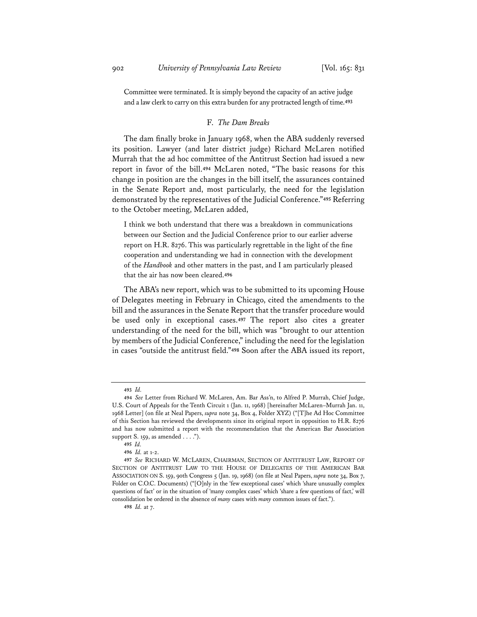Committee were terminated. It is simply beyond the capacity of an active judge and a law clerk to carry on this extra burden for any protracted length of time.**<sup>493</sup>**

### F. *The Dam Breaks*

The dam finally broke in January 1968, when the ABA suddenly reversed its position. Lawyer (and later district judge) Richard McLaren notified Murrah that the ad hoc committee of the Antitrust Section had issued a new report in favor of the bill.**<sup>494</sup>** McLaren noted, "The basic reasons for this change in position are the changes in the bill itself, the assurances contained in the Senate Report and, most particularly, the need for the legislation demonstrated by the representatives of the Judicial Conference."**<sup>495</sup>** Referring to the October meeting, McLaren added,

I think we both understand that there was a breakdown in communications between our Section and the Judicial Conference prior to our earlier adverse report on H.R. 8276. This was particularly regrettable in the light of the fine cooperation and understanding we had in connection with the development of the *Handbook* and other matters in the past, and I am particularly pleased that the air has now been cleared.**<sup>496</sup>**

The ABA's new report, which was to be submitted to its upcoming House of Delegates meeting in February in Chicago, cited the amendments to the bill and the assurances in the Senate Report that the transfer procedure would be used only in exceptional cases.**<sup>497</sup>** The report also cites a greater understanding of the need for the bill, which was "brought to our attention by members of the Judicial Conference," including the need for the legislation in cases "outside the antitrust field."**<sup>498</sup>** Soon after the ABA issued its report,

**<sup>493</sup>** *Id.*

**<sup>494</sup>** *See* Letter from Richard W. McLaren, Am. Bar Ass'n, to Alfred P. Murrah, Chief Judge, U.S. Court of Appeals for the Tenth Circuit 1 (Jan. 11, 1968) [hereinafter McLaren–Murrah Jan. 11, 1968 Letter] (on file at Neal Papers, *supra* note 34, Box 4, Folder XYZ) ("[T]he Ad Hoc Committee of this Section has reviewed the developments since its original report in opposition to H.R. 8276 and has now submitted a report with the recommendation that the American Bar Association support S. 159, as amended . . . .").

**<sup>495</sup>** *Id.*

**<sup>496</sup>** *Id.* at 1-2.

**<sup>497</sup>** *See* RICHARD W. MCLAREN, CHAIRMAN, SECTION OF ANTITRUST LAW, REPORT OF SECTION OF ANTITRUST LAW TO THE HOUSE OF DELEGATES OF THE AMERICAN BAR ASSOCIATION ON S. 159, 90th Congress 5 (Jan. 19, 1968) (on file at Neal Papers, *supra* note 34, Box 7, Folder on C.O.C. Documents) ("[O]nly in the 'few exceptional cases' which 'share unusually complex questions of fact' or in the situation of 'many complex cases' which 'share a few questions of fact,' will consolidation be ordered in the absence of *many* cases with *many* common issues of fact.").

**<sup>498</sup>** *Id.* at 7.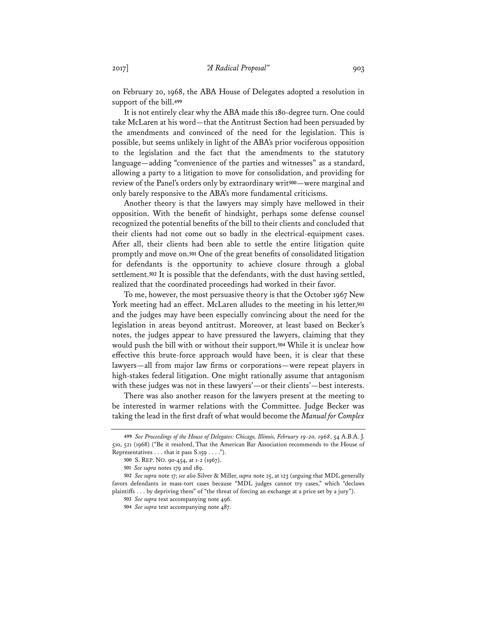on February 20, 1968, the ABA House of Delegates adopted a resolution in support of the bill.**<sup>499</sup>**

It is not entirely clear why the ABA made this 180-degree turn. One could take McLaren at his word—that the Antitrust Section had been persuaded by the amendments and convinced of the need for the legislation. This is possible, but seems unlikely in light of the ABA's prior vociferous opposition to the legislation and the fact that the amendments to the statutory language—adding "convenience of the parties and witnesses" as a standard, allowing a party to a litigation to move for consolidation, and providing for review of the Panel's orders only by extraordinary writ**<sup>500</sup>**—were marginal and only barely responsive to the ABA's more fundamental criticisms.

Another theory is that the lawyers may simply have mellowed in their opposition. With the benefit of hindsight, perhaps some defense counsel recognized the potential benefits of the bill to their clients and concluded that their clients had not come out so badly in the electrical-equipment cases. After all, their clients had been able to settle the entire litigation quite promptly and move on.**<sup>501</sup>** One of the great benefits of consolidated litigation for defendants is the opportunity to achieve closure through a global settlement.**<sup>502</sup>** It is possible that the defendants, with the dust having settled, realized that the coordinated proceedings had worked in their favor.

To me, however, the most persuasive theory is that the October 1967 New York meeting had an effect. McLaren alludes to the meeting in his letter,**<sup>503</sup>** and the judges may have been especially convincing about the need for the legislation in areas beyond antitrust. Moreover, at least based on Becker's notes, the judges appear to have pressured the lawyers, claiming that they would push the bill with or without their support.**<sup>504</sup>** While it is unclear how effective this brute-force approach would have been, it is clear that these lawyers—all from major law firms or corporations—were repeat players in high-stakes federal litigation. One might rationally assume that antagonism with these judges was not in these lawyers'—or their clients'—best interests.

There was also another reason for the lawyers present at the meeting to be interested in warmer relations with the Committee. Judge Becker was taking the lead in the first draft of what would become the *Manual for Complex* 

**<sup>499</sup>** *See Proceedings of the House of Delegates: Chicago, Illinois, February 19-20, 1968*, 54 A.B.A. J. 510, 521 (1968) ("Be it resolved, That the American Bar Association recommends to the House of Representatives . . . that it pass S.159 . . . .").

**<sup>500</sup>** S. REP. NO. 90-454, at 1-2 (1967).

**<sup>501</sup>** *See supra* notes 179 and 189.

**<sup>502</sup>** *See supra* note 17; *see also* Silver & Miller, *supra* note 25, at 123 (arguing that MDL generally favors defendants in mass-tort cases because "MDL judges cannot try cases," which "declaws plaintiffs . . . by depriving them" of "the threat of forcing an exchange at a price set by a jury").

**<sup>503</sup>** *See supra* text accompanying note 496.

**<sup>504</sup>** *See supra* text accompanying note 487.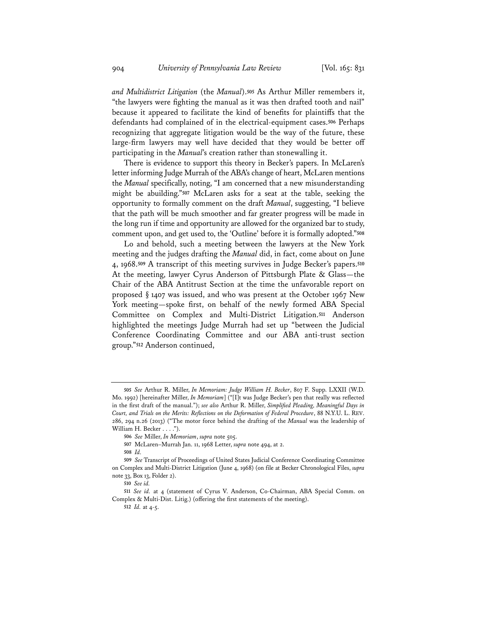*and Multidistrict Litigation* (the *Manual*).**<sup>505</sup>** As Arthur Miller remembers it, "the lawyers were fighting the manual as it was then drafted tooth and nail" because it appeared to facilitate the kind of benefits for plaintiffs that the defendants had complained of in the electrical-equipment cases.**<sup>506</sup>** Perhaps recognizing that aggregate litigation would be the way of the future, these large-firm lawyers may well have decided that they would be better off participating in the *Manual*'s creation rather than stonewalling it.

There is evidence to support this theory in Becker's papers. In McLaren's letter informing Judge Murrah of the ABA's change of heart, McLaren mentions the *Manual* specifically, noting, "I am concerned that a new misunderstanding might be abuilding."**<sup>507</sup>** McLaren asks for a seat at the table, seeking the opportunity to formally comment on the draft *Manual*, suggesting, "I believe that the path will be much smoother and far greater progress will be made in the long run if time and opportunity are allowed for the organized bar to study, comment upon, and get used to, the 'Outline' before it is formally adopted."**<sup>508</sup>**

Lo and behold, such a meeting between the lawyers at the New York meeting and the judges drafting the *Manual* did, in fact, come about on June 4, 1968.**<sup>509</sup>** A transcript of this meeting survives in Judge Becker's papers.**<sup>510</sup>** At the meeting, lawyer Cyrus Anderson of Pittsburgh Plate & Glass—the Chair of the ABA Antitrust Section at the time the unfavorable report on proposed § 1407 was issued, and who was present at the October 1967 New York meeting—spoke first, on behalf of the newly formed ABA Special Committee on Complex and Multi-District Litigation.**<sup>511</sup>** Anderson highlighted the meetings Judge Murrah had set up "between the Judicial Conference Coordinating Committee and our ABA anti-trust section group."**<sup>512</sup>** Anderson continued,

**<sup>505</sup>** *See* Arthur R. Miller, *In Memoriam: Judge William H. Becker*, 807 F. Supp. LXXII (W.D. Mo. 1992) [hereinafter Miller, *In Memoriam*] ("[I]t was Judge Becker's pen that really was reflected in the first draft of the manual."); *see also* Arthur R. Miller, *Simplified Pleading, Meaningful Days in Court, and Trials on the Merits: Reflections on the Deformation of Federal Procedure*, 88 N.Y.U. L. REV. 286, 294 n.26 (2013) ("The motor force behind the drafting of the *Manual* was the leadership of William H. Becker . . . .").

**<sup>506</sup>** *See* Miller, *In Memoriam*, *supra* note 505.

**<sup>507</sup>** McLaren–Murrah Jan. 11, 1968 Letter, *supra* note 494, at 2.

**<sup>508</sup>** *Id.*

**<sup>509</sup>** *See* Transcript of Proceedings of United States Judicial Conference Coordinating Committee on Complex and Multi-District Litigation (June 4, 1968) (on file at Becker Chronological Files, *supra* note 33, Box 13, Folder 2).

**<sup>510</sup>** *See id.*

**<sup>511</sup>** *See id.* at 4 (statement of Cyrus V. Anderson, Co-Chairman, ABA Special Comm. on Complex & Multi-Dist. Litig.) (offering the first statements of the meeting).

**<sup>512</sup>** *Id.* at 4-5.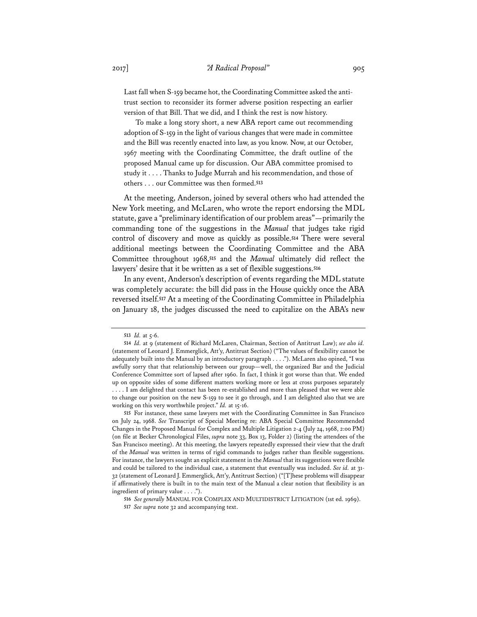Last fall when S-159 became hot, the Coordinating Committee asked the antitrust section to reconsider its former adverse position respecting an earlier version of that Bill. That we did, and I think the rest is now history.

To make a long story short, a new ABA report came out recommending adoption of S-159 in the light of various changes that were made in committee and the Bill was recently enacted into law, as you know. Now, at our October, 1967 meeting with the Coordinating Committee, the draft outline of the proposed Manual came up for discussion. Our ABA committee promised to study it . . . . Thanks to Judge Murrah and his recommendation, and those of others . . . our Committee was then formed.**<sup>513</sup>**

At the meeting, Anderson, joined by several others who had attended the New York meeting, and McLaren, who wrote the report endorsing the MDL statute, gave a "preliminary identification of our problem areas"—primarily the commanding tone of the suggestions in the *Manual* that judges take rigid control of discovery and move as quickly as possible.**<sup>514</sup>** There were several additional meetings between the Coordinating Committee and the ABA Committee throughout 1968,**<sup>515</sup>** and the *Manual* ultimately did reflect the lawyers' desire that it be written as a set of flexible suggestions.**<sup>516</sup>**

In any event, Anderson's description of events regarding the MDL statute was completely accurate: the bill did pass in the House quickly once the ABA reversed itself.**<sup>517</sup>** At a meeting of the Coordinating Committee in Philadelphia on January 18, the judges discussed the need to capitalize on the ABA's new

**<sup>513</sup>** *Id.* at 5-6.

**<sup>514</sup>** *Id.* at 9 (statement of Richard McLaren, Chairman, Section of Antitrust Law); *see also id.* (statement of Leonard J. Emmerglick, Att'y, Antitrust Section) ("The values of flexibility cannot be adequately built into the Manual by an introductory paragraph . . . ."). McLaren also opined, "I was awfully sorry that that relationship between our group—well, the organized Bar and the Judicial Conference Committee sort of lapsed after 1960. In fact, I think it got worse than that. We ended up on opposite sides of some different matters working more or less at cross purposes separately . . . . I am delighted that contact has been re-established and more than pleased that we were able to change our position on the new S-159 to see it go through, and I am delighted also that we are working on this very worthwhile project." *Id.* at 15-16.

**<sup>515</sup>** For instance, these same lawyers met with the Coordinating Committee in San Francisco on July 24, 1968. *See* Transcript of Special Meeting re: ABA Special Committee Recommended Changes in the Proposed Manual for Complex and Multiple Litigation 2-4 (July 24, 1968, 2:00 PM) (on file at Becker Chronological Files, *supra* note 33, Box 13, Folder 2) (listing the attendees of the San Francisco meeting). At this meeting, the lawyers repeatedly expressed their view that the draft of the *Manual* was written in terms of rigid commands to judges rather than flexible suggestions. For instance, the lawyers sought an explicit statement in the *Manual* that its suggestions were flexible and could be tailored to the individual case, a statement that eventually was included. *See id.* at 31- 32 (statement of Leonard J. Emmerglick, Att'y, Antitrust Section) ("[T]hese problems will disappear if affirmatively there is built in to the main text of the Manual a clear notion that flexibility is an ingredient of primary value . . . .").

**<sup>516</sup>** *See generally* MANUAL FOR COMPLEX AND MULTIDISTRICT LITIGATION (1st ed. 1969).

**<sup>517</sup>** *See supra* note 32 and accompanying text.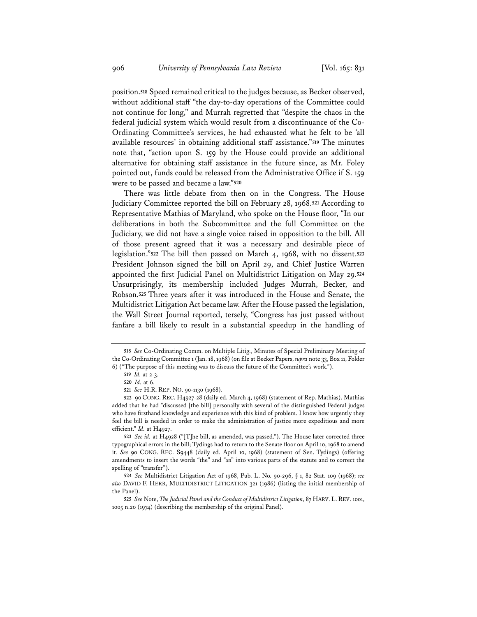position.**<sup>518</sup>** Speed remained critical to the judges because, as Becker observed, without additional staff "the day-to-day operations of the Committee could not continue for long," and Murrah regretted that "despite the chaos in the federal judicial system which would result from a discontinuance of the Co-Ordinating Committee's services, he had exhausted what he felt to be 'all available resources' in obtaining additional staff assistance."**<sup>519</sup>** The minutes note that, "action upon S. 159 by the House could provide an additional alternative for obtaining staff assistance in the future since, as Mr. Foley pointed out, funds could be released from the Administrative Office if S. 159 were to be passed and became a law."**<sup>520</sup>**

There was little debate from then on in the Congress. The House Judiciary Committee reported the bill on February 28, 1968.**<sup>521</sup>** According to Representative Mathias of Maryland, who spoke on the House floor, "In our deliberations in both the Subcommittee and the full Committee on the Judiciary, we did not have a single voice raised in opposition to the bill. All of those present agreed that it was a necessary and desirable piece of legislation."**<sup>522</sup>** The bill then passed on March 4, 1968, with no dissent.**<sup>523</sup>** President Johnson signed the bill on April 29, and Chief Justice Warren appointed the first Judicial Panel on Multidistrict Litigation on May 29.**<sup>524</sup>** Unsurprisingly, its membership included Judges Murrah, Becker, and Robson.**<sup>525</sup>** Three years after it was introduced in the House and Senate, the Multidistrict Litigation Act became law. After the House passed the legislation, the Wall Street Journal reported, tersely, "Congress has just passed without fanfare a bill likely to result in a substantial speedup in the handling of

**<sup>518</sup>** *See* Co-Ordinating Comm. on Multiple Litig., Minutes of Special Preliminary Meeting of the Co-Ordinating Committee 1 (Jan. 18, 1968) (on file at Becker Papers, *supra* note 33, Box 11, Folder 6) ("The purpose of this meeting was to discuss the future of the Committee's work.").

**<sup>519</sup>** *Id.* at 2-3.

**<sup>520</sup>** *Id.* at 6.

**<sup>521</sup>** *See* H.R. REP. NO. 90-1130 (1968).

**<sup>522</sup>** 90 CONG. REC. H4927-28 (daily ed. March 4, 1968) (statement of Rep. Mathias). Mathias added that he had "discussed [the bill] personally with several of the distinguished Federal judges who have firsthand knowledge and experience with this kind of problem. I know how urgently they feel the bill is needed in order to make the administration of justice more expeditious and more efficient." *Id.* at H4927.

**<sup>523</sup>** *See id.* at H4928 ("[T]he bill, as amended, was passed."). The House later corrected three typographical errors in the bill; Tydings had to return to the Senate floor on April 10, 1968 to amend it. *See* 90 CONG. REC. S9448 (daily ed. April 10, 1968) (statement of Sen. Tydings) (offering amendments to insert the words "the" and "an" into various parts of the statute and to correct the spelling of "transfer").

**<sup>524</sup>** *See* Multidistrict Litigation Act of 1968, Pub. L. No. 90-296, § 1, 82 Stat. 109 (1968); *see also* DAVID F. HERR, MULTIDISTRICT LITIGATION 321 (1986) (listing the initial membership of the Panel).

**<sup>525</sup>** *See* Note, *The Judicial Panel and the Conduct of Multidistrict Litigation*, 87 HARV. L. REV. 1001, 1005 n.20 (1974) (describing the membership of the original Panel).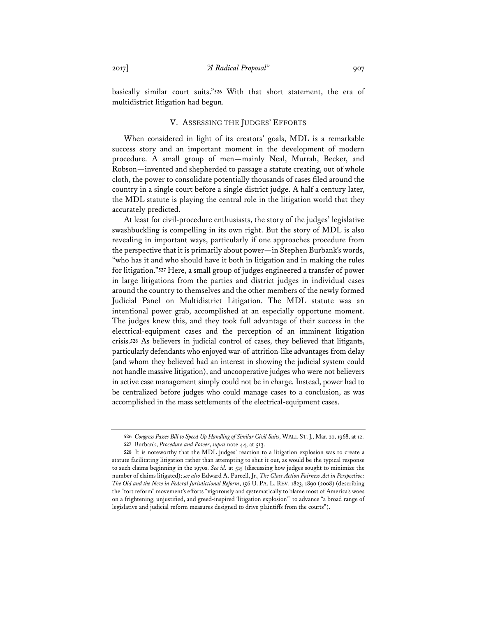basically similar court suits."**<sup>526</sup>** With that short statement, the era of multidistrict litigation had begun.

## V. ASSESSING THE JUDGES' EFFORTS

When considered in light of its creators' goals, MDL is a remarkable success story and an important moment in the development of modern procedure. A small group of men—mainly Neal, Murrah, Becker, and Robson—invented and shepherded to passage a statute creating, out of whole cloth, the power to consolidate potentially thousands of cases filed around the country in a single court before a single district judge. A half a century later, the MDL statute is playing the central role in the litigation world that they accurately predicted.

At least for civil-procedure enthusiasts, the story of the judges' legislative swashbuckling is compelling in its own right. But the story of MDL is also revealing in important ways, particularly if one approaches procedure from the perspective that it is primarily about power—in Stephen Burbank's words, "who has it and who should have it both in litigation and in making the rules for litigation."**<sup>527</sup>** Here, a small group of judges engineered a transfer of power in large litigations from the parties and district judges in individual cases around the country to themselves and the other members of the newly formed Judicial Panel on Multidistrict Litigation. The MDL statute was an intentional power grab, accomplished at an especially opportune moment. The judges knew this, and they took full advantage of their success in the electrical-equipment cases and the perception of an imminent litigation crisis.**<sup>528</sup>** As believers in judicial control of cases, they believed that litigants, particularly defendants who enjoyed war-of-attrition-like advantages from delay (and whom they believed had an interest in showing the judicial system could not handle massive litigation), and uncooperative judges who were not believers in active case management simply could not be in charge. Instead, power had to be centralized before judges who could manage cases to a conclusion, as was accomplished in the mass settlements of the electrical-equipment cases.

**<sup>526</sup>** *Congress Passes Bill to Speed Up Handling of Similar Civil Suits*, WALL ST. J., Mar. 20, 1968, at 12. **527** Burbank, *Procedure and Power*, *supra* note 44, at 513.

**<sup>528</sup>** It is noteworthy that the MDL judges' reaction to a litigation explosion was to create a statute facilitating litigation rather than attempting to shut it out, as would be the typical response to such claims beginning in the 1970s. *See id.* at 515 (discussing how judges sought to minimize the number of claims litigated); *see also* Edward A. Purcell, Jr., *The Class Action Fairness Act in Perspective: The Old and the New in Federal Jurisdictional Reform*, 156 U. PA. L. REV. 1823, 1890 (2008) (describing the "tort reform" movement's efforts "vigorously and systematically to blame most of America's woes on a frightening, unjustified, and greed-inspired 'litigation explosion'" to advance "a broad range of legislative and judicial reform measures designed to drive plaintiffs from the courts").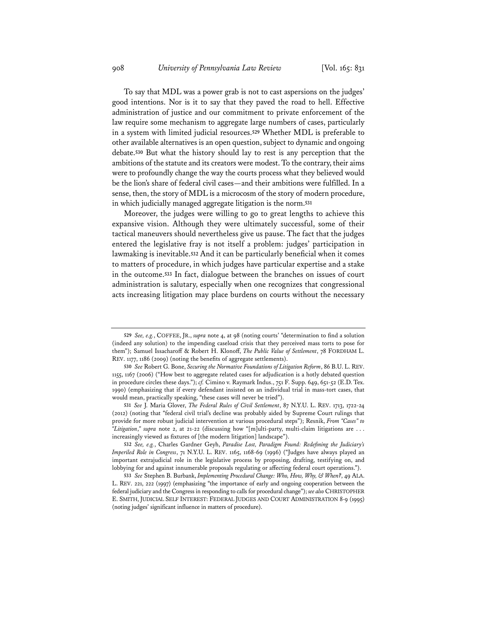To say that MDL was a power grab is not to cast aspersions on the judges' good intentions. Nor is it to say that they paved the road to hell. Effective administration of justice and our commitment to private enforcement of the law require some mechanism to aggregate large numbers of cases, particularly in a system with limited judicial resources.**<sup>529</sup>** Whether MDL is preferable to other available alternatives is an open question, subject to dynamic and ongoing debate.**<sup>530</sup>** But what the history should lay to rest is any perception that the ambitions of the statute and its creators were modest. To the contrary, their aims were to profoundly change the way the courts process what they believed would be the lion's share of federal civil cases—and their ambitions were fulfilled. In a sense, then, the story of MDL is a microcosm of the story of modern procedure, in which judicially managed aggregate litigation is the norm.**<sup>531</sup>**

Moreover, the judges were willing to go to great lengths to achieve this expansive vision. Although they were ultimately successful, some of their tactical maneuvers should nevertheless give us pause. The fact that the judges entered the legislative fray is not itself a problem: judges' participation in lawmaking is inevitable.**<sup>532</sup>** And it can be particularly beneficial when it comes to matters of procedure, in which judges have particular expertise and a stake in the outcome.**<sup>533</sup>** In fact, dialogue between the branches on issues of court administration is salutary, especially when one recognizes that congressional acts increasing litigation may place burdens on courts without the necessary

**<sup>529</sup>** *See, e.g.*, COFFEE, JR., *supra* note 4, at 98 (noting courts' "determination to find a solution (indeed any solution) to the impending caseload crisis that they perceived mass torts to pose for them"); Samuel Issacharoff & Robert H. Klonoff, *The Public Value of Settlement*, 78 FORDHAM L. REV. 1177, 1186 (2009) (noting the benefits of aggregate settlements).

**<sup>530</sup>** *See* Robert G. Bone, *Securing the Normative Foundations of Litigation Reform*, 86 B.U. L. REV. 1155, 1167 (2006) ("How best to aggregate related cases for adjudication is a hotly debated question in procedure circles these days."); *cf.* Cimino v. Raymark Indus., 751 F. Supp. 649, 651-52 (E.D. Tex. 1990) (emphasizing that if every defendant insisted on an individual trial in mass-tort cases, that would mean, practically speaking, "these cases will never be tried").

**<sup>531</sup>** *See* J. Maria Glover, *The Federal Rules of Civil Settlement*, 87 N.Y.U. L. REV. 1713, 1722-24 (2012) (noting that "federal civil trial's decline was probably aided by Supreme Court rulings that provide for more robust judicial intervention at various procedural steps"); Resnik, *From "Cases" to "Litigation*,*" supra* note 2, at 21-22 (discussing how "[m]ulti-party, multi-claim litigations are . . . increasingly viewed as fixtures of [the modern litigation] landscape").

**<sup>532</sup>** *See, e.g.*, Charles Gardner Geyh, *Paradise Lost, Paradigm Found: Redefining the Judiciary's Imperiled Role in Congress*, 71 N.Y.U. L. REV. 1165, 1168-69 (1996) ("Judges have always played an important extrajudicial role in the legislative process by proposing, drafting, testifying on, and lobbying for and against innumerable proposals regulating or affecting federal court operations.").

**<sup>533</sup>** *See* Stephen B. Burbank, *Implementing Procedural Change: Who, How, Why, & When?*, 49 ALA. L. REV. 221, 222 (1997) (emphasizing "the importance of early and ongoing cooperation between the federal judiciary and the Congress in responding to calls for procedural change"); *see also* CHRISTOPHER E. SMITH, JUDICIAL SELF INTEREST: FEDERAL JUDGES AND COURT ADMINISTRATION 8-9 (1995) (noting judges' significant influence in matters of procedure).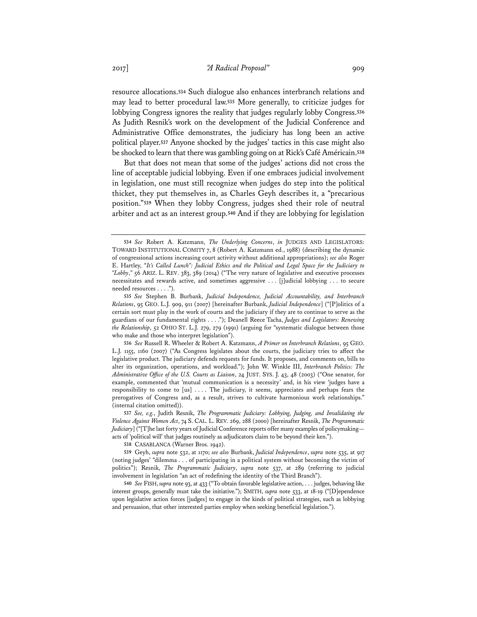resource allocations.**<sup>534</sup>** Such dialogue also enhances interbranch relations and may lead to better procedural law.**<sup>535</sup>** More generally, to criticize judges for lobbying Congress ignores the reality that judges regularly lobby Congress.**<sup>536</sup>** As Judith Resnik's work on the development of the Judicial Conference and Administrative Office demonstrates, the judiciary has long been an active political player.**<sup>537</sup>** Anyone shocked by the judges' tactics in this case might also be shocked to learn that there was gambling going on at Rick's Café Américain.**<sup>538</sup>**

But that does not mean that some of the judges' actions did not cross the line of acceptable judicial lobbying. Even if one embraces judicial involvement in legislation, one must still recognize when judges do step into the political thicket, they put themselves in, as Charles Geyh describes it, a "precarious position."**<sup>539</sup>** When they lobby Congress, judges shed their role of neutral arbiter and act as an interest group.**<sup>540</sup>** And if they are lobbying for legislation

**<sup>534</sup>** *See* Robert A. Katzmann, *The Underlying Concerns*, *in* JUDGES AND LEGISLATORS: TOWARD INSTITUTIONAL COMITY 7, 8 (Robert A. Katzmann ed., 1988) (describing the dynamic of congressional actions increasing court activity without additional appropriations); *see also* Roger E. Hartley, "*It's Called Lunch": Judicial Ethics and the Political and Legal Space for the Judiciary to "Lobby*,*"* 56 ARIZ. L. REV. 383, 389 (2014) ("The very nature of legislative and executive processes necessitates and rewards active, and sometimes aggressive . . . [j]udicial lobbying . . . to secure needed resources . . . .").

**<sup>535</sup>** *See* Stephen B. Burbank, *Judicial Independence, Judicial Accountability, and Interbranch Relations*, 95 GEO. L.J. 909, 911 (2007) [hereinafter Burbank, *Judicial Independence*] ("[P]olitics of a certain sort must play in the work of courts and the judiciary if they are to continue to serve as the guardians of our fundamental rights . . . ."); Deanell Reece Tacha, *Judges and Legislators: Renewing the Relationship*, 52 OHIO ST. L.J. 279, 279 (1991) (arguing for "systematic dialogue between those who make and those who interpret legislation").

**<sup>536</sup>** *See* Russell R. Wheeler & Robert A. Katzmann, *A Primer on Interbranch Relations*, 95 GEO. L.J. 1155, 1160 (2007) ("As Congress legislates about the courts, the judiciary tries to affect the legislative product. The judiciary defends requests for funds. It proposes, and comments on, bills to alter its organization, operations, and workload."); John W. Winkle III, *Interbranch Politics: The Administrative Office of the U.S. Courts as Liaison*, 24 JUST. SYS. J. 43, 48 (2003) ("One senator, for example, commented that 'mutual communication is a necessity' and, in his view 'judges have a responsibility to come to [us] . . . . The judiciary, it seems, appreciates and perhaps fears the prerogatives of Congress and, as a result, strives to cultivate harmonious work relationships." (internal citation omitted)).

**<sup>537</sup>** *See, e.g.*, Judith Resnik, *The Programmatic Judiciary: Lobbying, Judging, and Invalidating the Violence Against Women Act*, 74 S. CAL. L. REV. 269, 288 (2000) [hereinafter Resnik, *The Programmatic Judiciary*] ("[T]he last forty years of Judicial Conference reports offer many examples of policymaking acts of 'political will' that judges routinely as adjudicators claim to be beyond their ken.").

**<sup>538</sup>** CASABLANCA (Warner Bros. 1942).

**<sup>539</sup>** Geyh, *supra* note 532, at 1170; *see also* Burbank, *Judicial Independence*, *supra* note 535, at 917 (noting judges' "dilemma . . . of participating in a political system without becoming the victim of politics"); Resnik, *The Programmatic Judiciary*, *supra* note 537, at 289 (referring to judicial involvement in legislation "an act of redefining the identity of the Third Branch").

**<sup>540</sup>** *See* FISH, *supra* note 93, at 433 ("To obtain favorable legislative action, . . . judges, behaving like interest groups, generally must take the initiative."); SMITH, *supra* note 533, at 18-19 ("[D]ependence upon legislative action forces [judges] to engage in the kinds of political strategies, such as lobbying and persuasion, that other interested parties employ when seeking beneficial legislation.").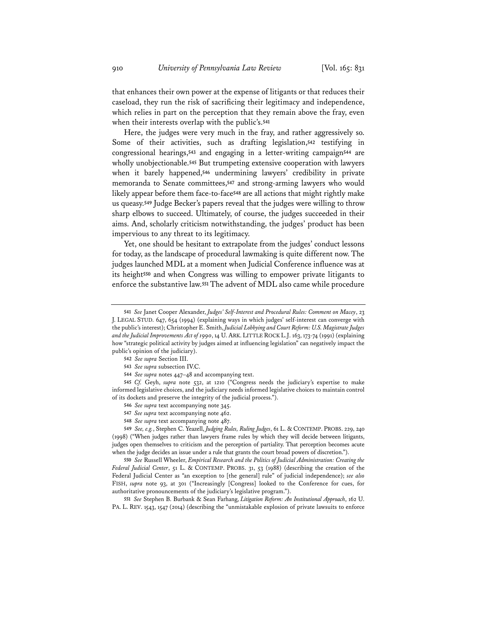that enhances their own power at the expense of litigants or that reduces their caseload, they run the risk of sacrificing their legitimacy and independence, which relies in part on the perception that they remain above the fray, even when their interests overlap with the public's.**<sup>541</sup>**

Here, the judges were very much in the fray, and rather aggressively so. Some of their activities, such as drafting legislation,**<sup>542</sup>** testifying in congressional hearings,**<sup>543</sup>** and engaging in a letter-writing campaign**<sup>544</sup>** are wholly unobjectionable.**<sup>545</sup>** But trumpeting extensive cooperation with lawyers when it barely happened,**<sup>546</sup>** undermining lawyers' credibility in private memoranda to Senate committees,**<sup>547</sup>** and strong-arming lawyers who would likely appear before them face-to-face**<sup>548</sup>** are all actions that might rightly make us queasy.**<sup>549</sup>** Judge Becker's papers reveal that the judges were willing to throw sharp elbows to succeed. Ultimately, of course, the judges succeeded in their aims. And, scholarly criticism notwithstanding, the judges' product has been impervious to any threat to its legitimacy.

Yet, one should be hesitant to extrapolate from the judges' conduct lessons for today, as the landscape of procedural lawmaking is quite different now. The judges launched MDL at a moment when Judicial Conference influence was at its height**<sup>550</sup>** and when Congress was willing to empower private litigants to enforce the substantive law.**<sup>551</sup>** The advent of MDL also came while procedure

**544** *See supra* notes 447–48 and accompanying text.

**545** *Cf.* Geyh, *supra* note 532, at 1210 ("Congress needs the judiciary's expertise to make informed legislative choices, and the judiciary needs informed legislative choices to maintain control of its dockets and preserve the integrity of the judicial process.").

- **546** *See supra* text accompanying note 345.
- **547** *See supra* text accompanying note 462.
- **548** *See supra* text accompanying note 487.

**549** *See, e.g.*, Stephen C. Yeazell, *Judging Rules, Ruling Judges*, 61 L. & CONTEMP. PROBS. 229, 240 (1998) ("When judges rather than lawyers frame rules by which they will decide between litigants, judges open themselves to criticism and the perception of partiality. That perception becomes acute when the judge decides an issue under a rule that grants the court broad powers of discretion.").

**550** *See* Russell Wheeler, *Empirical Research and the Politics of Judicial Administration: Creating the Federal Judicial Center*, 51 L. & CONTEMP. PROBS. 31, 53 (1988) (describing the creation of the Federal Judicial Center as "an exception to [the general] rule" of judicial independence); *see also* FISH, *supra* note 93, at 301 ("Increasingly [Congress] looked to the Conference for cues, for authoritative pronouncements of the judiciary's legislative program.").

**551** *See* Stephen B. Burbank & Sean Farhang, *Litigation Reform: An Institutional Approach*, 162 U. PA. L. REV. 1543, 1547 (2014) (describing the "unmistakable explosion of private lawsuits to enforce

**<sup>541</sup>** *See* Janet Cooper Alexander, *Judges' Self-Interest and Procedural Rules: Comment on Macey*, 23 J. LEGAL STUD. 647, 654 (1994) (explaining ways in which judges' self-interest can converge with the public's interest); Christopher E. Smith, *Judicial Lobbying and Court Reform: U.S. Magistrate Judges and the Judicial Improvements Act of 1990*, 14 U. ARK. LITTLE ROCK L.J. 163, 173-74 (1991) (explaining how "strategic political activity by judges aimed at influencing legislation" can negatively impact the public's opinion of the judiciary).

**<sup>542</sup>** *See supra* Section III.

**<sup>543</sup>** *See supra* subsection IV.C.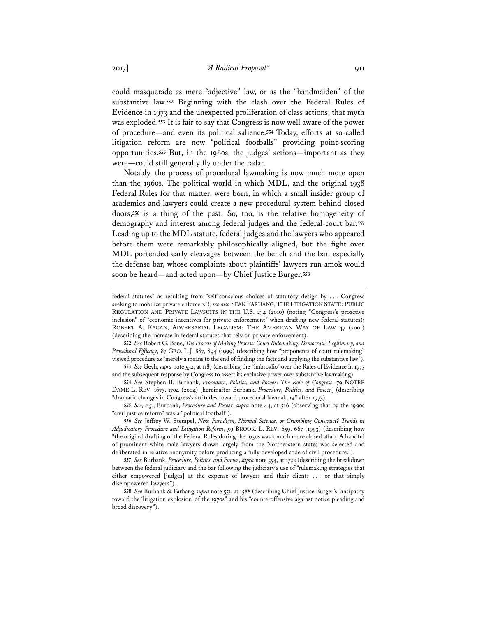could masquerade as mere "adjective" law, or as the "handmaiden" of the substantive law.**<sup>552</sup>** Beginning with the clash over the Federal Rules of Evidence in 1973 and the unexpected proliferation of class actions, that myth was exploded.**<sup>553</sup>** It is fair to say that Congress is now well aware of the power of procedure—and even its political salience.**<sup>554</sup>** Today, efforts at so-called litigation reform are now "political footballs" providing point-scoring opportunities.**<sup>555</sup>** But, in the 1960s, the judges' actions—important as they were—could still generally fly under the radar.

Notably, the process of procedural lawmaking is now much more open than the 1960s. The political world in which MDL, and the original 1938 Federal Rules for that matter, were born, in which a small insider group of academics and lawyers could create a new procedural system behind closed doors,**<sup>556</sup>** is a thing of the past. So, too, is the relative homogeneity of demography and interest among federal judges and the federal-court bar.**<sup>557</sup>** Leading up to the MDL statute, federal judges and the lawyers who appeared before them were remarkably philosophically aligned, but the fight over MDL portended early cleavages between the bench and the bar, especially the defense bar, whose complaints about plaintiffs' lawyers run amok would soon be heard—and acted upon—by Chief Justice Burger.**<sup>558</sup>**

**552** *See* Robert G. Bone, *The Process of Making Process: Court Rulemaking, Democratic Legitimacy, and Procedural Efficacy*, 87 GEO. L.J. 887, 894 (1999) (describing how "proponents of court rulemaking" viewed procedure as "merely a means to the end of finding the facts and applying the substantive law").

**553** *See* Geyh, *supra* note 532, at 1187 (describing the "imbroglio" over the Rules of Evidence in 1973 and the subsequent response by Congress to assert its exclusive power over substantive lawmaking).

**554** *See* Stephen B. Burbank, *Procedure, Politics, and Power: The Role of Congress*, 79 NOTRE DAME L. REV. 1677, 1704 (2004) [hereinafter Burbank, *Procedure, Politics, and Power*] (describing "dramatic changes in Congress's attitudes toward procedural lawmaking" after 1973).

**555** *See, e.g.*, Burbank, *Procedure and Power*, *supra* note 44, at 516 (observing that by the 1990s "civil justice reform" was a "political football").

**556** *See* Jeffrey W. Stempel, *New Paradigm, Normal Science, or Crumbling Construct? Trends in Adjudicatory Procedure and Litigation Reform*, 59 BROOK. L. REV. 659, 667 (1993) (describing how "the original drafting of the Federal Rules during the 1930s was a much more closed affair. A handful of prominent white male lawyers drawn largely from the Northeastern states was selected and deliberated in relative anonymity before producing a fully developed code of civil procedure.").

**557** *See* Burbank, *Procedure, Politics, and Power*, *supra* note 554, at 1722 (describing the breakdown between the federal judiciary and the bar following the judiciary's use of "rulemaking strategies that either empowered [judges] at the expense of lawyers and their clients . . . or that simply disempowered lawyers").

**558** *See* Burbank & Farhang, *supra* note 551, at 1588 (describing Chief Justice Burger's "antipathy toward the 'litigation explosion' of the 1970s" and his "counteroffensive against notice pleading and broad discovery").

federal statutes" as resulting from "self-conscious choices of statutory design by . . . Congress seeking to mobilize private enforcers"); *see also* SEAN FARHANG, THE LITIGATION STATE: PUBLIC REGULATION AND PRIVATE LAWSUITS IN THE U.S. 234 (2010) (noting "Congress's proactive inclusion" of "economic incentives for private enforcement" when drafting new federal statutes); ROBERT A. KAGAN, ADVERSARIAL LEGALISM: THE AMERICAN WAY OF LAW 47 (2001) (describing the increase in federal statutes that rely on private enforcement).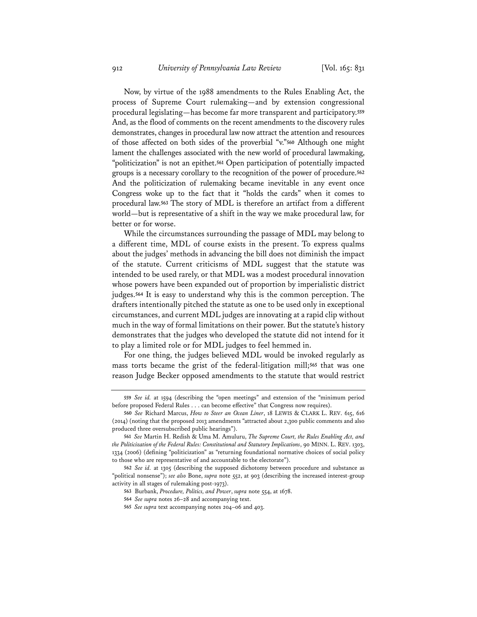Now, by virtue of the 1988 amendments to the Rules Enabling Act, the process of Supreme Court rulemaking—and by extension congressional procedural legislating—has become far more transparent and participatory.**<sup>559</sup>** And, as the flood of comments on the recent amendments to the discovery rules demonstrates, changes in procedural law now attract the attention and resources of those affected on both sides of the proverbial "v."**<sup>560</sup>** Although one might lament the challenges associated with the new world of procedural lawmaking, "politicization" is not an epithet.**<sup>561</sup>** Open participation of potentially impacted groups is a necessary corollary to the recognition of the power of procedure.**<sup>562</sup>** And the politicization of rulemaking became inevitable in any event once Congress woke up to the fact that it "holds the cards" when it comes to procedural law.**<sup>563</sup>** The story of MDL is therefore an artifact from a different world—but is representative of a shift in the way we make procedural law, for better or for worse.

While the circumstances surrounding the passage of MDL may belong to a different time, MDL of course exists in the present. To express qualms about the judges' methods in advancing the bill does not diminish the impact of the statute. Current criticisms of MDL suggest that the statute was intended to be used rarely, or that MDL was a modest procedural innovation whose powers have been expanded out of proportion by imperialistic district judges.**<sup>564</sup>** It is easy to understand why this is the common perception. The drafters intentionally pitched the statute as one to be used only in exceptional circumstances, and current MDL judges are innovating at a rapid clip without much in the way of formal limitations on their power. But the statute's history demonstrates that the judges who developed the statute did not intend for it to play a limited role or for MDL judges to feel hemmed in.

For one thing, the judges believed MDL would be invoked regularly as mass torts became the grist of the federal-litigation mill;**<sup>565</sup>** that was one reason Judge Becker opposed amendments to the statute that would restrict

**<sup>559</sup>** *See id.* at 1594 (describing the "open meetings" and extension of the "minimum period before proposed Federal Rules . . . can become effective" that Congress now requires).

**<sup>560</sup>** *See* Richard Marcus, *How to Steer an Ocean Liner*, 18 LEWIS & CLARK L. REV. 615, 616 (2014) (noting that the proposed 2013 amendments "attracted about 2,300 public comments and also produced three oversubscribed public hearings").

**<sup>561</sup>** *See* Martin H. Redish & Uma M. Amuluru, *The Supreme Court, the Rules Enabling Act, and the Politicization of the Federal Rules: Constitutional and Statutory Implications*, 90 MINN. L. REV. 1303, 1334 (2006) (defining "politicization" as "returning foundational normative choices of social policy to those who are representative of and accountable to the electorate").

**<sup>562</sup>** *See id.* at 1305 (describing the supposed dichotomy between procedure and substance as "political nonsense"); *see also* Bone, *supra* note 552, at 903 (describing the increased interest-group activity in all stages of rulemaking post-1973).

**<sup>563</sup>** Burbank, *Procedure, Politics, and Power*, *supra* note 554, at 1678.

**<sup>564</sup>** *See supra* notes 26–28 and accompanying text.

**<sup>565</sup>** *See supra* text accompanying notes 204–06 and 403.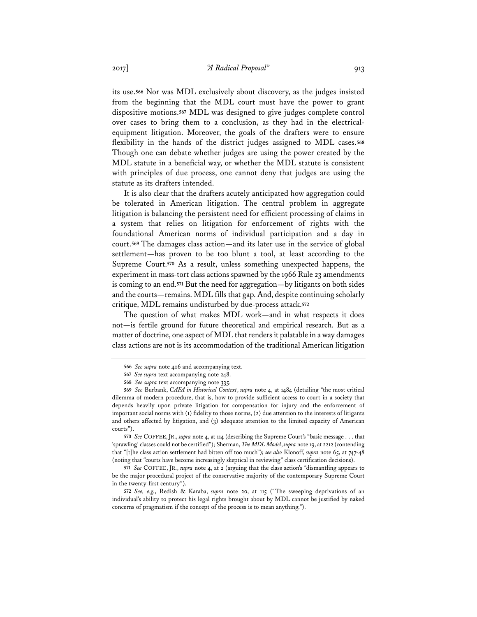its use.**<sup>566</sup>** Nor was MDL exclusively about discovery, as the judges insisted from the beginning that the MDL court must have the power to grant dispositive motions.**<sup>567</sup>** MDL was designed to give judges complete control over cases to bring them to a conclusion, as they had in the electricalequipment litigation. Moreover, the goals of the drafters were to ensure flexibility in the hands of the district judges assigned to MDL cases.**<sup>568</sup>** Though one can debate whether judges are using the power created by the MDL statute in a beneficial way, or whether the MDL statute is consistent with principles of due process, one cannot deny that judges are using the statute as its drafters intended.

It is also clear that the drafters acutely anticipated how aggregation could be tolerated in American litigation. The central problem in aggregate litigation is balancing the persistent need for efficient processing of claims in a system that relies on litigation for enforcement of rights with the foundational American norms of individual participation and a day in court.**<sup>569</sup>** The damages class action—and its later use in the service of global settlement—has proven to be too blunt a tool, at least according to the Supreme Court.**<sup>570</sup>** As a result, unless something unexpected happens, the experiment in mass-tort class actions spawned by the 1966 Rule 23 amendments is coming to an end.**<sup>571</sup>** But the need for aggregation—by litigants on both sides and the courts—remains. MDL fills that gap. And, despite continuing scholarly critique, MDL remains undisturbed by due-process attack.**<sup>572</sup>**

The question of what makes MDL work—and in what respects it does not—is fertile ground for future theoretical and empirical research. But as a matter of doctrine, one aspect of MDL that renders it palatable in a way damages class actions are not is its accommodation of the traditional American litigation

**570** *See* COFFEE,JR., *supra* note 4, at 114 (describing the Supreme Court's "basic message . . . that 'sprawling' classes could not be certified"); Sherman, *The MDL Model*, *supra* note 19, at 2212 (contending that "[t]he class action settlement had bitten off too much"); *see also* Klonoff, *supra* note 65, at 747-48 (noting that "courts have become increasingly skeptical in reviewing" class certification decisions).

**571** *See* COFFEE, JR., *supra* note 4, at 2 (arguing that the class action's "dismantling appears to be the major procedural project of the conservative majority of the contemporary Supreme Court in the twenty-first century").

**572** *See, e.g.*, Redish & Karaba, *supra* note 20, at 115 ("The sweeping deprivations of an individual's ability to protect his legal rights brought about by MDL cannot be justified by naked concerns of pragmatism if the concept of the process is to mean anything.").

**<sup>566</sup>** *See supra* note 406 and accompanying text.

**<sup>567</sup>** *See supra* text accompanying note 248.

**<sup>568</sup>** *See supra* text accompanying note 335.

**<sup>569</sup>** *See* Burbank, *CAFA in Historical Context*, *supra* note 4, at 1484 (detailing "the most critical dilemma of modern procedure, that is, how to provide sufficient access to court in a society that depends heavily upon private litigation for compensation for injury and the enforcement of important social norms with (1) fidelity to those norms, (2) due attention to the interests of litigants and others affected by litigation, and (3) adequate attention to the limited capacity of American courts").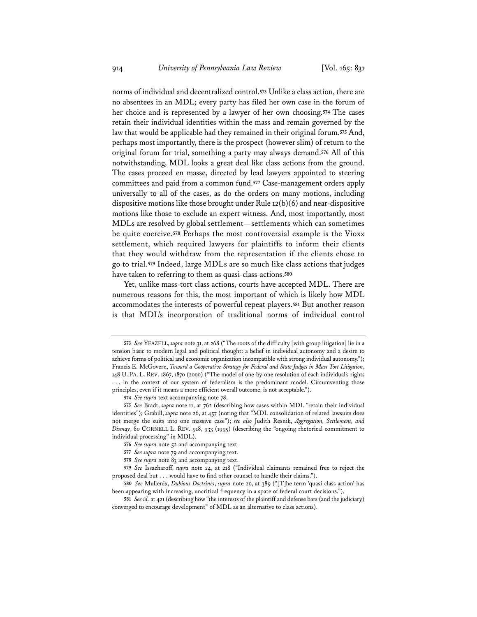norms of individual and decentralized control.**<sup>573</sup>** Unlike a class action, there are no absentees in an MDL; every party has filed her own case in the forum of her choice and is represented by a lawyer of her own choosing.**<sup>574</sup>** The cases retain their individual identities within the mass and remain governed by the law that would be applicable had they remained in their original forum.**<sup>575</sup>** And, perhaps most importantly, there is the prospect (however slim) of return to the original forum for trial, something a party may always demand.**<sup>576</sup>** All of this notwithstanding, MDL looks a great deal like class actions from the ground. The cases proceed en masse, directed by lead lawyers appointed to steering committees and paid from a common fund.**<sup>577</sup>** Case-management orders apply universally to all of the cases, as do the orders on many motions, including dispositive motions like those brought under Rule  $12(b)(6)$  and near-dispositive motions like those to exclude an expert witness. And, most importantly, most MDLs are resolved by global settlement—settlements which can sometimes be quite coercive.**<sup>578</sup>** Perhaps the most controversial example is the Vioxx settlement, which required lawyers for plaintiffs to inform their clients that they would withdraw from the representation if the clients chose to go to trial.**<sup>579</sup>** Indeed, large MDLs are so much like class actions that judges have taken to referring to them as quasi-class-actions.**<sup>580</sup>**

Yet, unlike mass-tort class actions, courts have accepted MDL. There are numerous reasons for this, the most important of which is likely how MDL accommodates the interests of powerful repeat players.**<sup>581</sup>** But another reason is that MDL's incorporation of traditional norms of individual control

**<sup>573</sup>** *See* YEAZELL, *supra* note 31, at 268 ("The roots of the difficulty [with group litigation] lie in a tension basic to modern legal and political thought: a belief in individual autonomy and a desire to achieve forms of political and economic organization incompatible with strong individual autonomy."); Francis E. McGovern, *Toward a Cooperative Strategy for Federal and State Judges in Mass Tort Litigation*, 148 U. PA. L. REV. 1867, 1870 (2000) ("The model of one-by-one resolution of each individual's rights ... in the context of our system of federalism is the predominant model. Circumventing those principles, even if it means a more efficient overall outcome, is not acceptable.").

**<sup>574</sup>** *See supra* text accompanying note 78.

**<sup>575</sup>** *See* Bradt, *supra* note 11, at 762 (describing how cases within MDL "retain their individual identities"); Grabill, *supra* note 26, at 457 (noting that "MDL consolidation of related lawsuits does not merge the suits into one massive case"); *see also* Judith Resnik, *Aggregation, Settlement, and Dismay*, 80 CORNELL L. REV. 918, 933 (1995) (describing the "ongoing rhetorical commitment to individual processing" in MDL).

**<sup>576</sup>** *See supra* note 52 and accompanying text.

**<sup>577</sup>** *See supra* note 79 and accompanying text.

**<sup>578</sup>** *See supra* note 83 and accompanying text.

**<sup>579</sup>** *See* Issacharoff, *supra* note 24, at 218 ("Individual claimants remained free to reject the proposed deal but . . . would have to find other counsel to handle their claims.").

**<sup>580</sup>** *See* Mullenix, *Dubious Doctrines*, *supra* note 20, at 389 ("[T]he term 'quasi-class action' has been appearing with increasing, uncritical frequency in a spate of federal court decisions.").

**<sup>581</sup>** *See id.* at 421 (describing how "the interests of the plaintiff and defense bars (and the judiciary) converged to encourage development" of MDL as an alternative to class actions).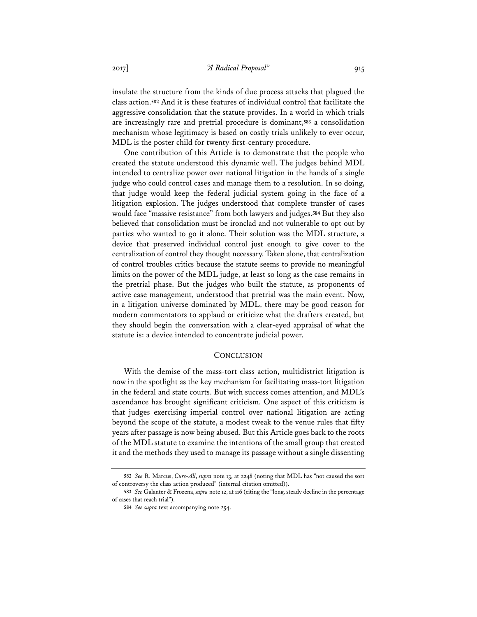insulate the structure from the kinds of due process attacks that plagued the class action.**<sup>582</sup>** And it is these features of individual control that facilitate the aggressive consolidation that the statute provides. In a world in which trials are increasingly rare and pretrial procedure is dominant,**<sup>583</sup>** a consolidation mechanism whose legitimacy is based on costly trials unlikely to ever occur, MDL is the poster child for twenty-first-century procedure.

One contribution of this Article is to demonstrate that the people who created the statute understood this dynamic well. The judges behind MDL intended to centralize power over national litigation in the hands of a single judge who could control cases and manage them to a resolution. In so doing, that judge would keep the federal judicial system going in the face of a litigation explosion. The judges understood that complete transfer of cases would face "massive resistance" from both lawyers and judges.**<sup>584</sup>** But they also believed that consolidation must be ironclad and not vulnerable to opt out by parties who wanted to go it alone. Their solution was the MDL structure, a device that preserved individual control just enough to give cover to the centralization of control they thought necessary. Taken alone, that centralization of control troubles critics because the statute seems to provide no meaningful limits on the power of the MDL judge, at least so long as the case remains in the pretrial phase. But the judges who built the statute, as proponents of active case management, understood that pretrial was the main event. Now, in a litigation universe dominated by MDL, there may be good reason for modern commentators to applaud or criticize what the drafters created, but they should begin the conversation with a clear-eyed appraisal of what the statute is: a device intended to concentrate judicial power.

## **CONCLUSION**

With the demise of the mass-tort class action, multidistrict litigation is now in the spotlight as the key mechanism for facilitating mass-tort litigation in the federal and state courts. But with success comes attention, and MDL's ascendance has brought significant criticism. One aspect of this criticism is that judges exercising imperial control over national litigation are acting beyond the scope of the statute, a modest tweak to the venue rules that fifty years after passage is now being abused. But this Article goes back to the roots of the MDL statute to examine the intentions of the small group that created it and the methods they used to manage its passage without a single dissenting

**<sup>582</sup>** *See* R. Marcus, *Cure-All*, *supra* note 13, at 2248 (noting that MDL has "not caused the sort of controversy the class action produced" (internal citation omitted)).

**<sup>583</sup>** *See* Galanter & Frozena, *supra* note 12, at 116 (citing the "long, steady decline in the percentage of cases that reach trial").

**<sup>584</sup>** *See supra* text accompanying note 254.